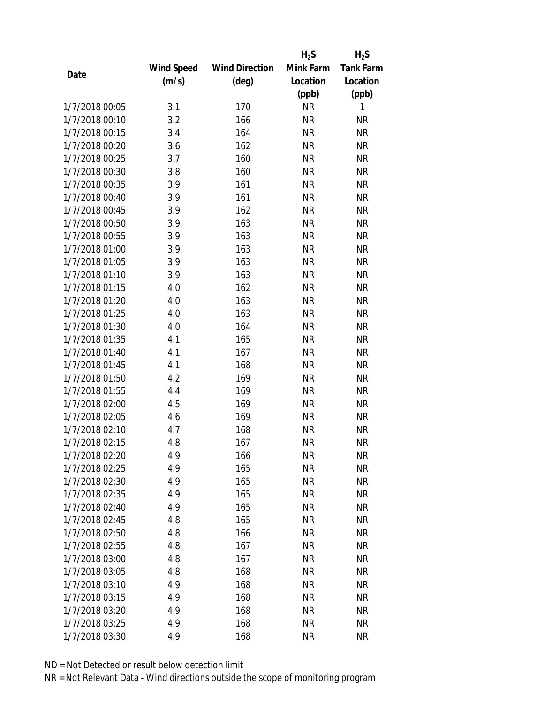|                |            |                       | $H_2S$    | $H_2S$           |
|----------------|------------|-----------------------|-----------|------------------|
|                | Wind Speed | <b>Wind Direction</b> | Mink Farm | <b>Tank Farm</b> |
| Date           | (m/s)      | $(\text{deg})$        | Location  | Location         |
|                |            |                       | (ppb)     | (ppb)            |
| 1/7/2018 00:05 | 3.1        | 170                   | <b>NR</b> | 1                |
| 1/7/2018 00:10 | 3.2        | 166                   | <b>NR</b> | <b>NR</b>        |
| 1/7/2018 00:15 | 3.4        | 164                   | <b>NR</b> | <b>NR</b>        |
| 1/7/2018 00:20 | 3.6        | 162                   | <b>NR</b> | <b>NR</b>        |
| 1/7/2018 00:25 | 3.7        | 160                   | <b>NR</b> | <b>NR</b>        |
| 1/7/2018 00:30 | 3.8        | 160                   | <b>NR</b> | <b>NR</b>        |
| 1/7/2018 00:35 | 3.9        | 161                   | <b>NR</b> | <b>NR</b>        |
| 1/7/2018 00:40 | 3.9        | 161                   | <b>NR</b> | <b>NR</b>        |
| 1/7/2018 00:45 | 3.9        | 162                   | <b>NR</b> | <b>NR</b>        |
| 1/7/2018 00:50 | 3.9        | 163                   | <b>NR</b> | <b>NR</b>        |
| 1/7/2018 00:55 | 3.9        | 163                   | <b>NR</b> | <b>NR</b>        |
| 1/7/2018 01:00 | 3.9        | 163                   | <b>NR</b> | <b>NR</b>        |
| 1/7/2018 01:05 | 3.9        | 163                   | <b>NR</b> | <b>NR</b>        |
| 1/7/2018 01:10 | 3.9        | 163                   | <b>NR</b> | <b>NR</b>        |
| 1/7/2018 01:15 | 4.0        | 162                   | <b>NR</b> | <b>NR</b>        |
| 1/7/2018 01:20 | 4.0        | 163                   | <b>NR</b> | <b>NR</b>        |
| 1/7/2018 01:25 | 4.0        | 163                   | <b>NR</b> | <b>NR</b>        |
| 1/7/2018 01:30 | 4.0        | 164                   | <b>NR</b> | <b>NR</b>        |
| 1/7/2018 01:35 | 4.1        | 165                   | <b>NR</b> | <b>NR</b>        |
| 1/7/2018 01:40 | 4.1        | 167                   | <b>NR</b> | <b>NR</b>        |
| 1/7/2018 01:45 | 4.1        | 168                   | <b>NR</b> | <b>NR</b>        |
| 1/7/2018 01:50 | 4.2        | 169                   | <b>NR</b> | <b>NR</b>        |
| 1/7/2018 01:55 | 4.4        | 169                   | <b>NR</b> | <b>NR</b>        |
| 1/7/2018 02:00 | 4.5        | 169                   | <b>NR</b> | <b>NR</b>        |
| 1/7/2018 02:05 | 4.6        | 169                   | <b>NR</b> | <b>NR</b>        |
| 1/7/2018 02:10 | 4.7        | 168                   | <b>NR</b> | <b>NR</b>        |
| 1/7/2018 02:15 | 4.8        | 167                   | <b>NR</b> | <b>NR</b>        |
| 1/7/2018 02:20 | 4.9        | 166                   | ΝR        | <b>NR</b>        |
| 1/7/2018 02:25 | 4.9        | 165                   | <b>NR</b> | <b>NR</b>        |
| 1/7/2018 02:30 | 4.9        | 165                   | ΝR        | <b>NR</b>        |
| 1/7/2018 02:35 | 4.9        | 165                   | <b>NR</b> | <b>NR</b>        |
| 1/7/2018 02:40 | 4.9        | 165                   | <b>NR</b> | <b>NR</b>        |
| 1/7/2018 02:45 | 4.8        | 165                   | <b>NR</b> | <b>NR</b>        |
| 1/7/2018 02:50 | 4.8        | 166                   | <b>NR</b> | <b>NR</b>        |
| 1/7/2018 02:55 | 4.8        | 167                   | <b>NR</b> | <b>NR</b>        |
| 1/7/2018 03:00 | 4.8        | 167                   | <b>NR</b> | <b>NR</b>        |
| 1/7/2018 03:05 | 4.8        | 168                   | ΝR        | <b>NR</b>        |
| 1/7/2018 03:10 | 4.9        | 168                   | ΝR        | <b>NR</b>        |
| 1/7/2018 03:15 | 4.9        | 168                   | <b>NR</b> | <b>NR</b>        |
| 1/7/2018 03:20 | 4.9        | 168                   | ΝR        | <b>NR</b>        |
| 1/7/2018 03:25 | 4.9        | 168                   | <b>NR</b> | <b>NR</b>        |
| 1/7/2018 03:30 | 4.9        | 168                   | <b>NR</b> | <b>NR</b>        |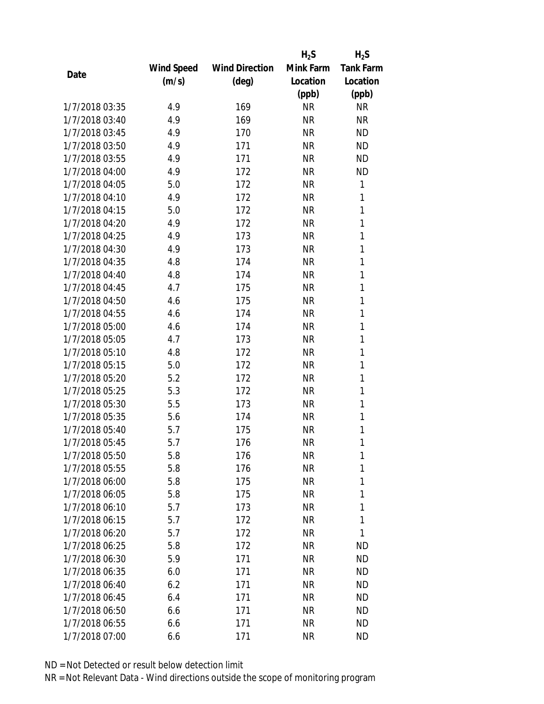|                |            |                       | $H_2S$    | $H_2S$           |
|----------------|------------|-----------------------|-----------|------------------|
|                | Wind Speed | <b>Wind Direction</b> | Mink Farm | <b>Tank Farm</b> |
| Date           | (m/s)      | (deg)                 | Location  | Location         |
|                |            |                       | (ppb)     | (ppb)            |
| 1/7/2018 03:35 | 4.9        | 169                   | <b>NR</b> | <b>NR</b>        |
| 1/7/2018 03:40 | 4.9        | 169                   | <b>NR</b> | <b>NR</b>        |
| 1/7/2018 03:45 | 4.9        | 170                   | <b>NR</b> | <b>ND</b>        |
| 1/7/2018 03:50 | 4.9        | 171                   | <b>NR</b> | <b>ND</b>        |
| 1/7/2018 03:55 | 4.9        | 171                   | <b>NR</b> | <b>ND</b>        |
| 1/7/2018 04:00 | 4.9        | 172                   | <b>NR</b> | <b>ND</b>        |
| 1/7/2018 04:05 | 5.0        | 172                   | <b>NR</b> | 1                |
| 1/7/2018 04:10 | 4.9        | 172                   | <b>NR</b> | 1                |
| 1/7/2018 04:15 | 5.0        | 172                   | <b>NR</b> | 1                |
| 1/7/2018 04:20 | 4.9        | 172                   | <b>NR</b> | 1                |
| 1/7/2018 04:25 | 4.9        | 173                   | <b>NR</b> | 1                |
| 1/7/2018 04:30 | 4.9        | 173                   | <b>NR</b> | 1                |
| 1/7/2018 04:35 | 4.8        | 174                   | <b>NR</b> | 1                |
| 1/7/2018 04:40 | 4.8        | 174                   | <b>NR</b> | 1                |
| 1/7/2018 04:45 | 4.7        | 175                   | <b>NR</b> | 1                |
| 1/7/2018 04:50 | 4.6        | 175                   | <b>NR</b> | 1                |
| 1/7/2018 04:55 | 4.6        | 174                   | <b>NR</b> | 1                |
| 1/7/2018 05:00 | 4.6        | 174                   | <b>NR</b> | 1                |
| 1/7/2018 05:05 | 4.7        | 173                   | <b>NR</b> | 1                |
| 1/7/2018 05:10 | 4.8        | 172                   | <b>NR</b> | 1                |
| 1/7/2018 05:15 | 5.0        | 172                   | <b>NR</b> | 1                |
| 1/7/2018 05:20 | 5.2        | 172                   | <b>NR</b> | 1                |
| 1/7/2018 05:25 | 5.3        | 172                   | <b>NR</b> | 1                |
| 1/7/2018 05:30 | 5.5        | 173                   | <b>NR</b> | 1                |
| 1/7/2018 05:35 | 5.6        | 174                   | <b>NR</b> | 1                |
| 1/7/2018 05:40 | 5.7        | 175                   | <b>NR</b> | 1                |
| 1/7/2018 05:45 | 5.7        | 176                   | <b>NR</b> | 1                |
| 1/7/2018 05:50 | 5.8        | 176                   | ΝR        | 1                |
| 1/7/2018 05:55 | 5.8        | 176                   | <b>NR</b> | 1                |
| 1/7/2018 06:00 | 5.8        | 175                   | <b>NR</b> | 1                |
| 1/7/2018 06:05 | 5.8        | 175                   | <b>NR</b> | 1                |
| 1/7/2018 06:10 | 5.7        | 173                   | <b>NR</b> | 1                |
| 1/7/2018 06:15 | 5.7        | 172                   | ΝR        | 1                |
| 1/7/2018 06:20 | 5.7        | 172                   | <b>NR</b> | 1                |
| 1/7/2018 06:25 | 5.8        | 172                   | NR        | ND               |
| 1/7/2018 06:30 | 5.9        | 171                   | <b>NR</b> | <b>ND</b>        |
| 1/7/2018 06:35 | 6.0        | 171                   | ΝR        | ND               |
| 1/7/2018 06:40 | 6.2        | 171                   | ΝR        | <b>ND</b>        |
| 1/7/2018 06:45 | 6.4        | 171                   | <b>NR</b> | <b>ND</b>        |
| 1/7/2018 06:50 | 6.6        | 171                   | ΝR        | <b>ND</b>        |
| 1/7/2018 06:55 | 6.6        | 171                   | <b>NR</b> | ND               |
| 1/7/2018 07:00 | 6.6        | 171                   | <b>NR</b> | <b>ND</b>        |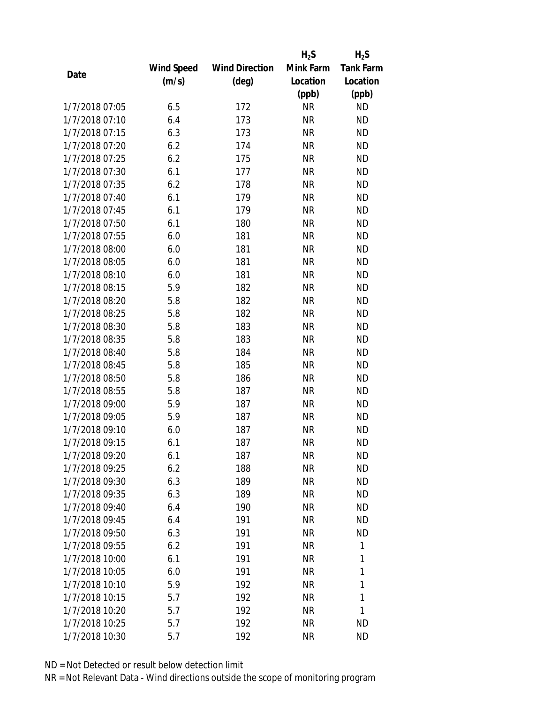|                |                   |                       | $H_2S$    | $H_2S$           |
|----------------|-------------------|-----------------------|-----------|------------------|
|                | <b>Wind Speed</b> | <b>Wind Direction</b> | Mink Farm | <b>Tank Farm</b> |
| Date           | (m/s)             | $(\text{deg})$        | Location  | Location         |
|                |                   |                       | (ppb)     | (ppb)            |
| 1/7/2018 07:05 | 6.5               | 172                   | <b>NR</b> | <b>ND</b>        |
| 1/7/2018 07:10 | 6.4               | 173                   | <b>NR</b> | <b>ND</b>        |
| 1/7/2018 07:15 | 6.3               | 173                   | <b>NR</b> | <b>ND</b>        |
| 1/7/2018 07:20 | 6.2               | 174                   | <b>NR</b> | <b>ND</b>        |
| 1/7/2018 07:25 | 6.2               | 175                   | <b>NR</b> | <b>ND</b>        |
| 1/7/2018 07:30 | 6.1               | 177                   | <b>NR</b> | <b>ND</b>        |
| 1/7/2018 07:35 | 6.2               | 178                   | <b>NR</b> | <b>ND</b>        |
| 1/7/2018 07:40 | 6.1               | 179                   | <b>NR</b> | <b>ND</b>        |
| 1/7/2018 07:45 | 6.1               | 179                   | <b>NR</b> | <b>ND</b>        |
| 1/7/2018 07:50 | 6.1               | 180                   | <b>NR</b> | <b>ND</b>        |
| 1/7/2018 07:55 | 6.0               | 181                   | <b>NR</b> | <b>ND</b>        |
| 1/7/2018 08:00 | 6.0               | 181                   | <b>NR</b> | <b>ND</b>        |
| 1/7/2018 08:05 | 6.0               | 181                   | <b>NR</b> | <b>ND</b>        |
| 1/7/2018 08:10 | 6.0               | 181                   | <b>NR</b> | <b>ND</b>        |
| 1/7/2018 08:15 | 5.9               | 182                   | <b>NR</b> | <b>ND</b>        |
| 1/7/2018 08:20 | 5.8               | 182                   | <b>NR</b> | <b>ND</b>        |
| 1/7/2018 08:25 | 5.8               | 182                   | <b>NR</b> | <b>ND</b>        |
| 1/7/2018 08:30 | 5.8               | 183                   | <b>NR</b> | <b>ND</b>        |
| 1/7/2018 08:35 | 5.8               | 183                   | <b>NR</b> | <b>ND</b>        |
| 1/7/2018 08:40 | 5.8               | 184                   | <b>NR</b> | <b>ND</b>        |
| 1/7/2018 08:45 | 5.8               | 185                   | <b>NR</b> | <b>ND</b>        |
| 1/7/2018 08:50 | 5.8               | 186                   | <b>NR</b> | <b>ND</b>        |
| 1/7/2018 08:55 | 5.8               | 187                   | <b>NR</b> | <b>ND</b>        |
| 1/7/2018 09:00 | 5.9               | 187                   | <b>NR</b> | <b>ND</b>        |
| 1/7/2018 09:05 | 5.9               | 187                   | <b>NR</b> | <b>ND</b>        |
| 1/7/2018 09:10 | 6.0               | 187                   | <b>NR</b> | <b>ND</b>        |
| 1/7/2018 09:15 | 6.1               | 187                   | <b>NR</b> | <b>ND</b>        |
| 1/7/2018 09:20 | 6.1               | 187                   | ΝR        | ND               |
| 1/7/2018 09:25 | 6.2               | 188                   | <b>NR</b> | <b>ND</b>        |
| 1/7/2018 09:30 | 6.3               | 189                   | ΝR        | ND               |
| 1/7/2018 09:35 | 6.3               | 189                   | <b>NR</b> | <b>ND</b>        |
| 1/7/2018 09:40 | 6.4               | 190                   | <b>NR</b> | <b>ND</b>        |
| 1/7/2018 09:45 | 6.4               | 191                   | <b>NR</b> | <b>ND</b>        |
| 1/7/2018 09:50 | 6.3               | 191                   | <b>NR</b> | <b>ND</b>        |
| 1/7/2018 09:55 | 6.2               | 191                   | <b>NR</b> | 1                |
| 1/7/2018 10:00 | 6.1               | 191                   | <b>NR</b> | 1                |
| 1/7/2018 10:05 | 6.0               | 191                   | <b>NR</b> | 1                |
| 1/7/2018 10:10 | 5.9               | 192                   | ΝR        | 1                |
| 1/7/2018 10:15 | 5.7               | 192                   | <b>NR</b> | 1                |
| 1/7/2018 10:20 | 5.7               | 192                   | NR        | 1                |
| 1/7/2018 10:25 | 5.7               | 192                   | <b>NR</b> | <b>ND</b>        |
| 1/7/2018 10:30 | 5.7               | 192                   | NR        | <b>ND</b>        |
|                |                   |                       |           |                  |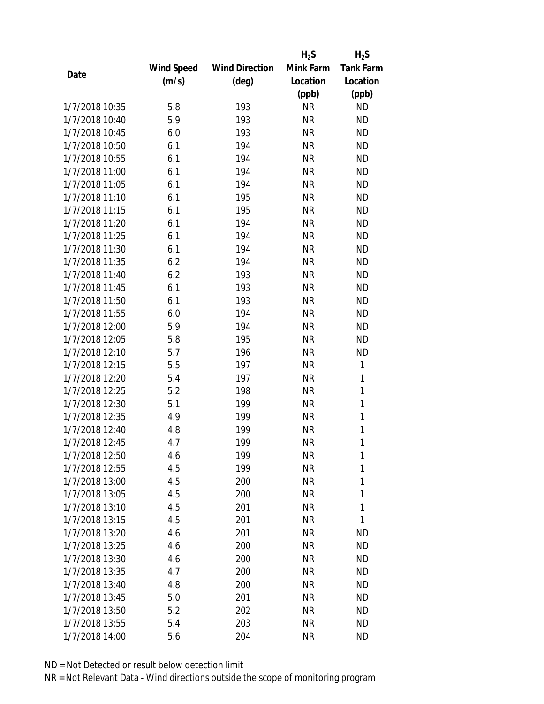|                |            |                       | $H_2S$    | $H_2S$           |
|----------------|------------|-----------------------|-----------|------------------|
|                | Wind Speed | <b>Wind Direction</b> | Mink Farm | <b>Tank Farm</b> |
| Date           | (m/s)      | (deg)                 | Location  | Location         |
|                |            |                       | (ppb)     | (ppb)            |
| 1/7/2018 10:35 | 5.8        | 193                   | <b>NR</b> | <b>ND</b>        |
| 1/7/2018 10:40 | 5.9        | 193                   | <b>NR</b> | <b>ND</b>        |
| 1/7/2018 10:45 | 6.0        | 193                   | <b>NR</b> | <b>ND</b>        |
| 1/7/2018 10:50 | 6.1        | 194                   | <b>NR</b> | <b>ND</b>        |
| 1/7/2018 10:55 | 6.1        | 194                   | <b>NR</b> | <b>ND</b>        |
| 1/7/2018 11:00 | 6.1        | 194                   | <b>NR</b> | <b>ND</b>        |
| 1/7/2018 11:05 | 6.1        | 194                   | <b>NR</b> | <b>ND</b>        |
| 1/7/2018 11:10 | 6.1        | 195                   | <b>NR</b> | <b>ND</b>        |
| 1/7/2018 11:15 | 6.1        | 195                   | <b>NR</b> | <b>ND</b>        |
| 1/7/2018 11:20 | 6.1        | 194                   | <b>NR</b> | <b>ND</b>        |
| 1/7/2018 11:25 | 6.1        | 194                   | <b>NR</b> | <b>ND</b>        |
| 1/7/2018 11:30 | 6.1        | 194                   | <b>NR</b> | <b>ND</b>        |
| 1/7/2018 11:35 | 6.2        | 194                   | <b>NR</b> | <b>ND</b>        |
| 1/7/2018 11:40 | 6.2        | 193                   | <b>NR</b> | <b>ND</b>        |
| 1/7/2018 11:45 | 6.1        | 193                   | <b>NR</b> | <b>ND</b>        |
| 1/7/2018 11:50 | 6.1        | 193                   | <b>NR</b> | <b>ND</b>        |
| 1/7/2018 11:55 | 6.0        | 194                   | <b>NR</b> | <b>ND</b>        |
| 1/7/2018 12:00 | 5.9        | 194                   | <b>NR</b> | <b>ND</b>        |
| 1/7/2018 12:05 | 5.8        | 195                   | <b>NR</b> | <b>ND</b>        |
| 1/7/2018 12:10 | 5.7        | 196                   | <b>NR</b> | <b>ND</b>        |
| 1/7/2018 12:15 | 5.5        | 197                   | <b>NR</b> | 1                |
| 1/7/2018 12:20 | 5.4        | 197                   | <b>NR</b> | $\mathbf{1}$     |
| 1/7/2018 12:25 | 5.2        | 198                   | <b>NR</b> | $\mathbf{1}$     |
| 1/7/2018 12:30 | 5.1        | 199                   | <b>NR</b> | 1                |
| 1/7/2018 12:35 | 4.9        | 199                   | <b>NR</b> | 1                |
| 1/7/2018 12:40 | 4.8        | 199                   | <b>NR</b> | 1                |
| 1/7/2018 12:45 | 4.7        | 199                   | <b>NR</b> | 1                |
| 1/7/2018 12:50 | 4.6        | 199                   | ΝR        | 1                |
| 1/7/2018 12:55 | 4.5        | 199                   | <b>NR</b> | 1                |
| 1/7/2018 13:00 | 4.5        | 200                   | <b>NR</b> | 1                |
| 1/7/2018 13:05 | 4.5        | 200                   | <b>NR</b> | 1                |
| 1/7/2018 13:10 | 4.5        | 201                   | <b>NR</b> | 1                |
| 1/7/2018 13:15 | 4.5        | 201                   | ΝR        | 1                |
| 1/7/2018 13:20 | 4.6        | 201                   | <b>NR</b> | <b>ND</b>        |
| 1/7/2018 13:25 | 4.6        | 200                   | NR        | <b>ND</b>        |
| 1/7/2018 13:30 | 4.6        | 200                   | <b>NR</b> | <b>ND</b>        |
| 1/7/2018 13:35 | 4.7        | 200                   | ΝR        | ND               |
| 1/7/2018 13:40 | 4.8        | 200                   | ΝR        | <b>ND</b>        |
| 1/7/2018 13:45 | 5.0        | 201                   | ΝR        | <b>ND</b>        |
| 1/7/2018 13:50 | 5.2        | 202                   | ΝR        | <b>ND</b>        |
| 1/7/2018 13:55 | 5.4        | 203                   | <b>NR</b> | ND               |
| 1/7/2018 14:00 | 5.6        | 204                   | <b>NR</b> | <b>ND</b>        |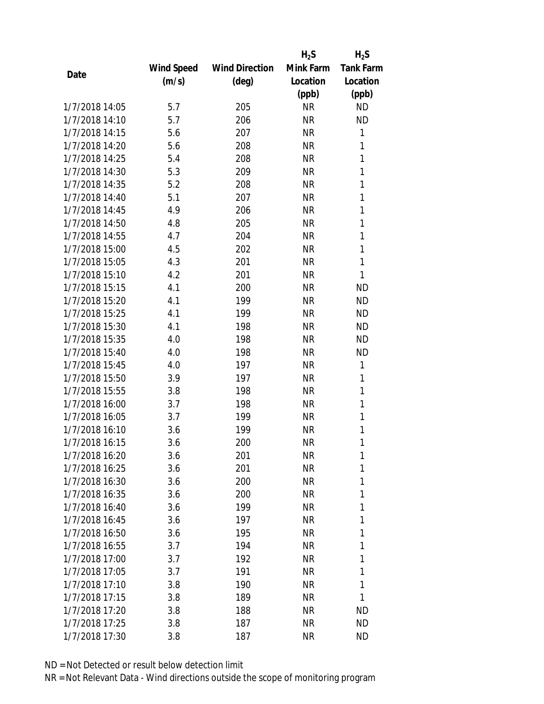|                |            |                       | $H_2S$    | $H_2S$           |
|----------------|------------|-----------------------|-----------|------------------|
|                | Wind Speed | <b>Wind Direction</b> | Mink Farm | <b>Tank Farm</b> |
| Date           | (m/s)      | (deg)                 | Location  | Location         |
|                |            |                       | (ppb)     | (ppb)            |
| 1/7/2018 14:05 | 5.7        | 205                   | <b>NR</b> | <b>ND</b>        |
| 1/7/2018 14:10 | 5.7        | 206                   | <b>NR</b> | <b>ND</b>        |
| 1/7/2018 14:15 | 5.6        | 207                   | <b>NR</b> | 1                |
| 1/7/2018 14:20 | 5.6        | 208                   | <b>NR</b> | 1                |
| 1/7/2018 14:25 | 5.4        | 208                   | <b>NR</b> | 1                |
| 1/7/2018 14:30 | 5.3        | 209                   | <b>NR</b> | 1                |
| 1/7/2018 14:35 | 5.2        | 208                   | <b>NR</b> | 1                |
| 1/7/2018 14:40 | 5.1        | 207                   | <b>NR</b> | 1                |
| 1/7/2018 14:45 | 4.9        | 206                   | <b>NR</b> | 1                |
| 1/7/2018 14:50 | 4.8        | 205                   | <b>NR</b> | 1                |
| 1/7/2018 14:55 | 4.7        | 204                   | <b>NR</b> | 1                |
| 1/7/2018 15:00 | 4.5        | 202                   | <b>NR</b> | 1                |
| 1/7/2018 15:05 | 4.3        | 201                   | <b>NR</b> | $\mathbf{1}$     |
| 1/7/2018 15:10 | 4.2        | 201                   | <b>NR</b> | 1                |
| 1/7/2018 15:15 | 4.1        | 200                   | <b>NR</b> | <b>ND</b>        |
| 1/7/2018 15:20 | 4.1        | 199                   | <b>NR</b> | <b>ND</b>        |
| 1/7/2018 15:25 | 4.1        | 199                   | <b>NR</b> | <b>ND</b>        |
| 1/7/2018 15:30 | 4.1        | 198                   | <b>NR</b> | <b>ND</b>        |
| 1/7/2018 15:35 | 4.0        | 198                   | <b>NR</b> | <b>ND</b>        |
| 1/7/2018 15:40 | 4.0        | 198                   | <b>NR</b> | <b>ND</b>        |
| 1/7/2018 15:45 | 4.0        | 197                   | <b>NR</b> | 1                |
| 1/7/2018 15:50 | 3.9        | 197                   | <b>NR</b> | 1                |
| 1/7/2018 15:55 | 3.8        | 198                   | <b>NR</b> | 1                |
| 1/7/2018 16:00 | 3.7        | 198                   | <b>NR</b> | 1                |
| 1/7/2018 16:05 | 3.7        | 199                   | <b>NR</b> | 1                |
| 1/7/2018 16:10 | 3.6        | 199                   | <b>NR</b> | 1                |
| 1/7/2018 16:15 | 3.6        | 200                   | <b>NR</b> | 1                |
| 1/7/2018 16:20 | 3.6        | 201                   | ΝR        | 1                |
| 1/7/2018 16:25 | 3.6        | 201                   | <b>NR</b> | 1                |
| 1/7/2018 16:30 | 3.6        | 200                   | NR        | 1                |
| 1/7/2018 16:35 | 3.6        | 200                   | <b>NR</b> | 1                |
| 1/7/2018 16:40 | 3.6        | 199                   | ΝR        | 1                |
| 1/7/2018 16:45 | 3.6        | 197                   | ΝR        | 1                |
| 1/7/2018 16:50 | 3.6        | 195                   | <b>NR</b> | 1                |
| 1/7/2018 16:55 | 3.7        | 194                   | NR        | 1                |
| 1/7/2018 17:00 | 3.7        | 192                   | <b>NR</b> | 1                |
| 1/7/2018 17:05 | 3.7        | 191                   | ΝR        | 1                |
| 1/7/2018 17:10 | 3.8        | 190                   | ΝR        | 1                |
| 1/7/2018 17:15 | 3.8        | 189                   | ΝR        | 1                |
| 1/7/2018 17:20 | 3.8        | 188                   | NR        | ND               |
| 1/7/2018 17:25 | 3.8        | 187                   | <b>NR</b> | ND               |
| 1/7/2018 17:30 | 3.8        | 187                   | <b>NR</b> | ND               |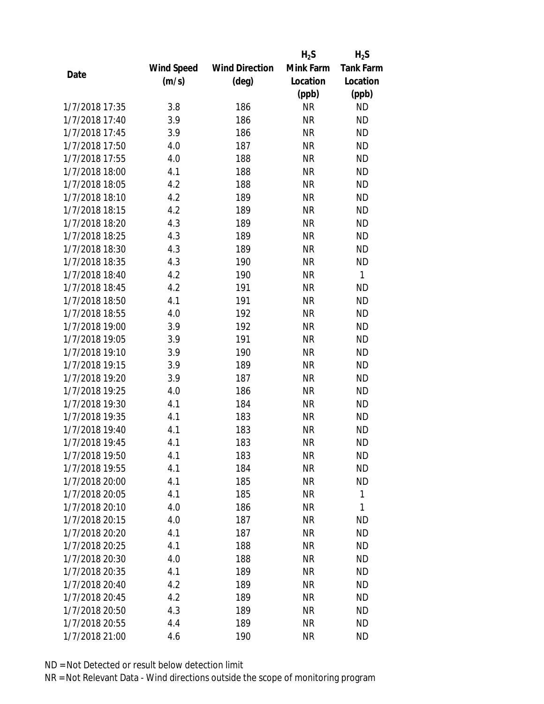|                |            |                       | $H_2S$    | $H_2S$           |
|----------------|------------|-----------------------|-----------|------------------|
|                | Wind Speed | <b>Wind Direction</b> | Mink Farm | <b>Tank Farm</b> |
| Date           | (m/s)      | $(\text{deg})$        | Location  | Location         |
|                |            |                       | (ppb)     | (ppb)            |
| 1/7/2018 17:35 | 3.8        | 186                   | <b>NR</b> | <b>ND</b>        |
| 1/7/2018 17:40 | 3.9        | 186                   | <b>NR</b> | <b>ND</b>        |
| 1/7/2018 17:45 | 3.9        | 186                   | <b>NR</b> | <b>ND</b>        |
| 1/7/2018 17:50 | 4.0        | 187                   | <b>NR</b> | <b>ND</b>        |
| 1/7/2018 17:55 | 4.0        | 188                   | <b>NR</b> | <b>ND</b>        |
| 1/7/2018 18:00 | 4.1        | 188                   | <b>NR</b> | <b>ND</b>        |
| 1/7/2018 18:05 | 4.2        | 188                   | <b>NR</b> | <b>ND</b>        |
| 1/7/2018 18:10 | 4.2        | 189                   | <b>NR</b> | <b>ND</b>        |
| 1/7/2018 18:15 | 4.2        | 189                   | <b>NR</b> | <b>ND</b>        |
| 1/7/2018 18:20 | 4.3        | 189                   | <b>NR</b> | <b>ND</b>        |
| 1/7/2018 18:25 | 4.3        | 189                   | <b>NR</b> | <b>ND</b>        |
| 1/7/2018 18:30 | 4.3        | 189                   | <b>NR</b> | <b>ND</b>        |
| 1/7/2018 18:35 | 4.3        | 190                   | <b>NR</b> | <b>ND</b>        |
| 1/7/2018 18:40 | 4.2        | 190                   | <b>NR</b> | 1                |
| 1/7/2018 18:45 | 4.2        | 191                   | <b>NR</b> | <b>ND</b>        |
| 1/7/2018 18:50 | 4.1        | 191                   | <b>NR</b> | <b>ND</b>        |
| 1/7/2018 18:55 | 4.0        | 192                   | <b>NR</b> | <b>ND</b>        |
| 1/7/2018 19:00 | 3.9        | 192                   | <b>NR</b> | <b>ND</b>        |
| 1/7/2018 19:05 | 3.9        | 191                   | <b>NR</b> | <b>ND</b>        |
| 1/7/2018 19:10 | 3.9        | 190                   | <b>NR</b> | <b>ND</b>        |
| 1/7/2018 19:15 | 3.9        | 189                   | <b>NR</b> | <b>ND</b>        |
| 1/7/2018 19:20 | 3.9        | 187                   | <b>NR</b> | <b>ND</b>        |
| 1/7/2018 19:25 | 4.0        | 186                   | <b>NR</b> | <b>ND</b>        |
| 1/7/2018 19:30 | 4.1        | 184                   | <b>NR</b> | <b>ND</b>        |
| 1/7/2018 19:35 | 4.1        | 183                   | <b>NR</b> | <b>ND</b>        |
| 1/7/2018 19:40 | 4.1        | 183                   | <b>NR</b> | <b>ND</b>        |
| 1/7/2018 19:45 | 4.1        | 183                   | <b>NR</b> | <b>ND</b>        |
| 1/7/2018 19:50 | 4.1        | 183                   | ΝR        | ND               |
| 1/7/2018 19:55 | 4.1        | 184                   | <b>NR</b> | <b>ND</b>        |
| 1/7/2018 20:00 | 4.1        | 185                   | ΝR        | <b>ND</b>        |
| 1/7/2018 20:05 | 4.1        | 185                   | <b>NR</b> | $\mathbf{1}$     |
| 1/7/2018 20:10 | 4.0        | 186                   | <b>NR</b> | 1                |
| 1/7/2018 20:15 | 4.0        | 187                   | ΝR        | <b>ND</b>        |
| 1/7/2018 20:20 | 4.1        | 187                   | <b>NR</b> | <b>ND</b>        |
| 1/7/2018 20:25 | 4.1        | 188                   | <b>NR</b> | <b>ND</b>        |
| 1/7/2018 20:30 | 4.0        | 188                   | <b>NR</b> | <b>ND</b>        |
| 1/7/2018 20:35 | 4.1        | 189                   | ΝR        | <b>ND</b>        |
| 1/7/2018 20:40 | 4.2        | 189                   | ΝR        | <b>ND</b>        |
| 1/7/2018 20:45 | 4.2        | 189                   | <b>NR</b> | <b>ND</b>        |
| 1/7/2018 20:50 | 4.3        | 189                   | ΝR        | <b>ND</b>        |
| 1/7/2018 20:55 | 4.4        | 189                   | <b>NR</b> | <b>ND</b>        |
| 1/7/2018 21:00 | 4.6        | 190                   | <b>NR</b> | <b>ND</b>        |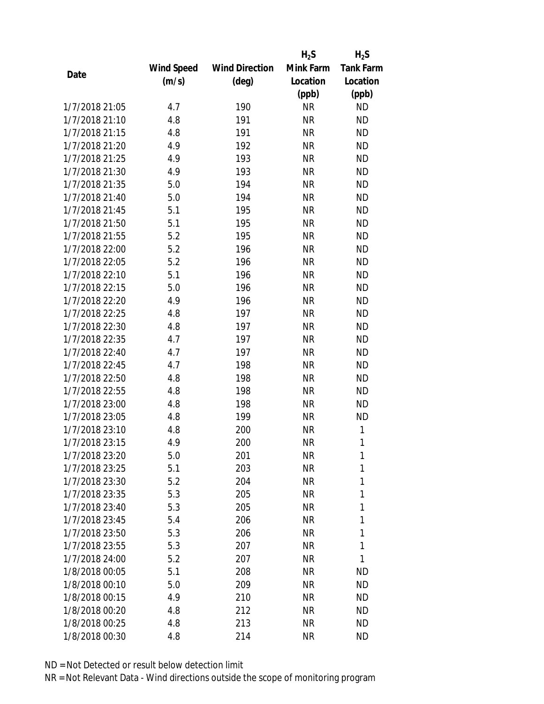|                |            |                       | $H_2S$    | $H_2S$           |
|----------------|------------|-----------------------|-----------|------------------|
|                | Wind Speed | <b>Wind Direction</b> | Mink Farm | <b>Tank Farm</b> |
| Date           | (m/s)      | $(\text{deg})$        | Location  | Location         |
|                |            |                       | (ppb)     | (ppb)            |
| 1/7/2018 21:05 | 4.7        | 190                   | <b>NR</b> | <b>ND</b>        |
| 1/7/2018 21:10 | 4.8        | 191                   | <b>NR</b> | <b>ND</b>        |
| 1/7/2018 21:15 | 4.8        | 191                   | <b>NR</b> | <b>ND</b>        |
| 1/7/2018 21:20 | 4.9        | 192                   | <b>NR</b> | <b>ND</b>        |
| 1/7/2018 21:25 | 4.9        | 193                   | <b>NR</b> | <b>ND</b>        |
| 1/7/2018 21:30 | 4.9        | 193                   | <b>NR</b> | <b>ND</b>        |
| 1/7/2018 21:35 | 5.0        | 194                   | <b>NR</b> | <b>ND</b>        |
| 1/7/2018 21:40 | 5.0        | 194                   | <b>NR</b> | <b>ND</b>        |
| 1/7/2018 21:45 | 5.1        | 195                   | <b>NR</b> | <b>ND</b>        |
| 1/7/2018 21:50 | 5.1        | 195                   | <b>NR</b> | <b>ND</b>        |
| 1/7/2018 21:55 | 5.2        | 195                   | <b>NR</b> | <b>ND</b>        |
| 1/7/2018 22:00 | 5.2        | 196                   | <b>NR</b> | <b>ND</b>        |
| 1/7/2018 22:05 | 5.2        | 196                   | <b>NR</b> | <b>ND</b>        |
| 1/7/2018 22:10 | 5.1        | 196                   | <b>NR</b> | <b>ND</b>        |
| 1/7/2018 22:15 | 5.0        | 196                   | <b>NR</b> | <b>ND</b>        |
| 1/7/2018 22:20 | 4.9        | 196                   | <b>NR</b> | <b>ND</b>        |
| 1/7/2018 22:25 | 4.8        | 197                   | <b>NR</b> | <b>ND</b>        |
| 1/7/2018 22:30 | 4.8        | 197                   | <b>NR</b> | <b>ND</b>        |
| 1/7/2018 22:35 | 4.7        | 197                   | <b>NR</b> | <b>ND</b>        |
| 1/7/2018 22:40 | 4.7        | 197                   | <b>NR</b> | <b>ND</b>        |
| 1/7/2018 22:45 | 4.7        | 198                   | <b>NR</b> | <b>ND</b>        |
| 1/7/2018 22:50 | 4.8        | 198                   | <b>NR</b> | <b>ND</b>        |
| 1/7/2018 22:55 | 4.8        | 198                   | <b>NR</b> | <b>ND</b>        |
| 1/7/2018 23:00 | 4.8        | 198                   | <b>NR</b> | <b>ND</b>        |
| 1/7/2018 23:05 | 4.8        | 199                   | <b>NR</b> | <b>ND</b>        |
| 1/7/2018 23:10 | 4.8        | 200                   | <b>NR</b> | 1                |
| 1/7/2018 23:15 | 4.9        | 200                   | <b>NR</b> | 1                |
| 1/7/2018 23:20 | 5.0        | 201                   | ΝR        | 1                |
| 1/7/2018 23:25 | 5.1        | 203                   | <b>NR</b> | 1                |
| 1/7/2018 23:30 | 5.2        | 204                   | <b>NR</b> | 1                |
| 1/7/2018 23:35 | 5.3        | 205                   | <b>NR</b> | 1                |
| 1/7/2018 23:40 | 5.3        | 205                   | <b>NR</b> | 1                |
| 1/7/2018 23:45 | 5.4        | 206                   | NR        | 1                |
| 1/7/2018 23:50 | 5.3        | 206                   | <b>NR</b> | 1                |
| 1/7/2018 23:55 | 5.3        | 207                   | <b>NR</b> | 1                |
| 1/7/2018 24:00 | 5.2        | 207                   | <b>NR</b> | 1                |
| 1/8/2018 00:05 | 5.1        | 208                   | NR        | ND               |
| 1/8/2018 00:10 | 5.0        | 209                   | NR        | <b>ND</b>        |
| 1/8/2018 00:15 | 4.9        | 210                   | <b>NR</b> | <b>ND</b>        |
| 1/8/2018 00:20 | 4.8        | 212                   | NR        | <b>ND</b>        |
| 1/8/2018 00:25 | 4.8        | 213                   | <b>NR</b> | <b>ND</b>        |
| 1/8/2018 00:30 | 4.8        | 214                   | <b>NR</b> | <b>ND</b>        |
|                |            |                       |           |                  |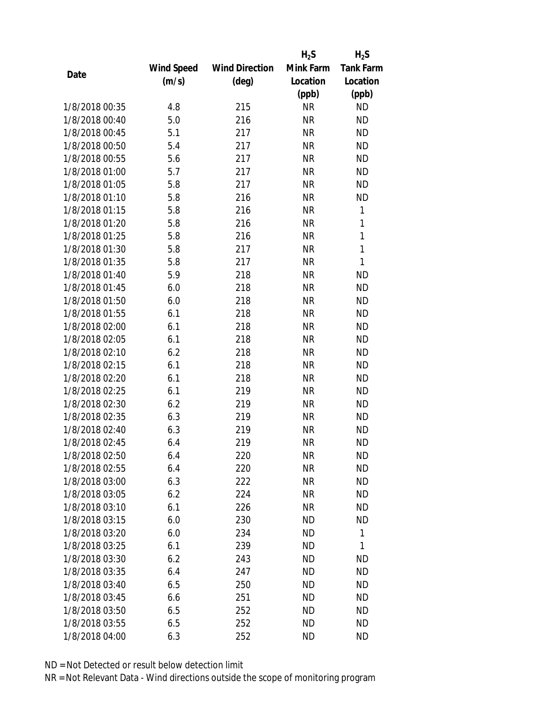|                |            |                       | $H_2S$    | $H_2S$           |
|----------------|------------|-----------------------|-----------|------------------|
|                | Wind Speed | <b>Wind Direction</b> | Mink Farm | <b>Tank Farm</b> |
| Date           | (m/s)      | $(\text{deg})$        | Location  | Location         |
|                |            |                       | (ppb)     | (ppb)            |
| 1/8/2018 00:35 | 4.8        | 215                   | <b>NR</b> | <b>ND</b>        |
| 1/8/2018 00:40 | 5.0        | 216                   | <b>NR</b> | <b>ND</b>        |
| 1/8/2018 00:45 | 5.1        | 217                   | <b>NR</b> | <b>ND</b>        |
| 1/8/2018 00:50 | 5.4        | 217                   | <b>NR</b> | <b>ND</b>        |
| 1/8/2018 00:55 | 5.6        | 217                   | <b>NR</b> | <b>ND</b>        |
| 1/8/2018 01:00 | 5.7        | 217                   | <b>NR</b> | <b>ND</b>        |
| 1/8/2018 01:05 | 5.8        | 217                   | <b>NR</b> | <b>ND</b>        |
| 1/8/2018 01:10 | 5.8        | 216                   | <b>NR</b> | <b>ND</b>        |
| 1/8/2018 01:15 | 5.8        | 216                   | <b>NR</b> | 1                |
| 1/8/2018 01:20 | 5.8        | 216                   | <b>NR</b> | 1                |
| 1/8/2018 01:25 | 5.8        | 216                   | <b>NR</b> | $\mathbf{1}$     |
| 1/8/2018 01:30 | 5.8        | 217                   | <b>NR</b> | $\mathbf{1}$     |
| 1/8/2018 01:35 | 5.8        | 217                   | <b>NR</b> | $\mathbf{1}$     |
| 1/8/2018 01:40 | 5.9        | 218                   | <b>NR</b> | <b>ND</b>        |
| 1/8/2018 01:45 | 6.0        | 218                   | <b>NR</b> | <b>ND</b>        |
| 1/8/2018 01:50 | 6.0        | 218                   | <b>NR</b> | <b>ND</b>        |
| 1/8/2018 01:55 | 6.1        | 218                   | <b>NR</b> | <b>ND</b>        |
| 1/8/2018 02:00 | 6.1        | 218                   | <b>NR</b> | <b>ND</b>        |
| 1/8/2018 02:05 | 6.1        | 218                   | <b>NR</b> | <b>ND</b>        |
| 1/8/2018 02:10 | 6.2        | 218                   | <b>NR</b> | <b>ND</b>        |
| 1/8/2018 02:15 | 6.1        | 218                   | <b>NR</b> | <b>ND</b>        |
| 1/8/2018 02:20 | 6.1        | 218                   | <b>NR</b> | <b>ND</b>        |
| 1/8/2018 02:25 | 6.1        | 219                   | <b>NR</b> | <b>ND</b>        |
| 1/8/2018 02:30 | 6.2        | 219                   | <b>NR</b> | <b>ND</b>        |
| 1/8/2018 02:35 | 6.3        | 219                   | <b>NR</b> | <b>ND</b>        |
| 1/8/2018 02:40 | 6.3        | 219                   | <b>NR</b> | <b>ND</b>        |
| 1/8/2018 02:45 | 6.4        | 219                   | <b>NR</b> | <b>ND</b>        |
| 1/8/2018 02:50 | 6.4        | 220                   | <b>NR</b> | <b>ND</b>        |
| 1/8/2018 02:55 | 6.4        | 220                   | <b>NR</b> | <b>ND</b>        |
| 1/8/2018 03:00 | 6.3        | 222                   | NR        | <b>ND</b>        |
| 1/8/2018 03:05 | 6.2        | 224                   | <b>NR</b> | <b>ND</b>        |
| 1/8/2018 03:10 | 6.1        | 226                   | <b>NR</b> | <b>ND</b>        |
| 1/8/2018 03:15 | 6.0        | 230                   | ND        | ND               |
| 1/8/2018 03:20 | 6.0        | 234                   | <b>ND</b> | $\mathbf{1}$     |
| 1/8/2018 03:25 | 6.1        | 239                   | ND        | 1                |
| 1/8/2018 03:30 | 6.2        | 243                   | <b>ND</b> | <b>ND</b>        |
| 1/8/2018 03:35 | 6.4        | 247                   | ND        | <b>ND</b>        |
| 1/8/2018 03:40 | 6.5        | 250                   | <b>ND</b> | <b>ND</b>        |
| 1/8/2018 03:45 | 6.6        | 251                   | <b>ND</b> | <b>ND</b>        |
| 1/8/2018 03:50 | 6.5        | 252                   | ND        | ND               |
| 1/8/2018 03:55 | 6.5        | 252                   | <b>ND</b> | <b>ND</b>        |
| 1/8/2018 04:00 | 6.3        | 252                   | <b>ND</b> | <b>ND</b>        |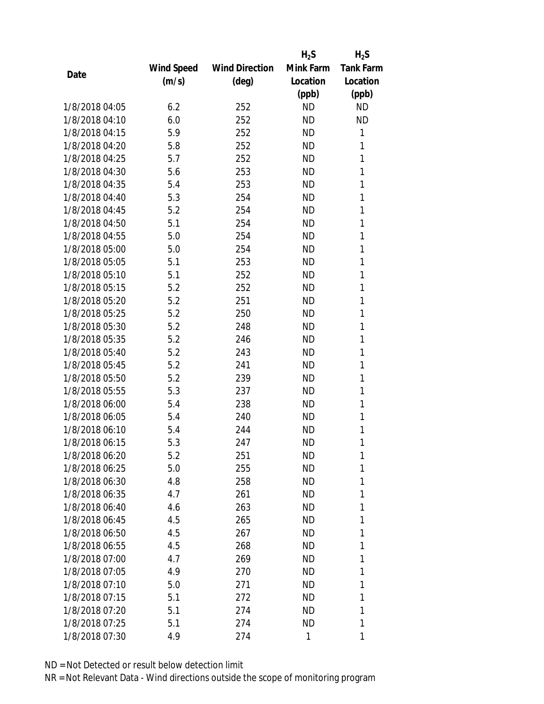|                |            |                       | $H_2S$    | $H_2S$           |
|----------------|------------|-----------------------|-----------|------------------|
|                | Wind Speed | <b>Wind Direction</b> | Mink Farm | <b>Tank Farm</b> |
| Date           | (m/s)      | (deg)                 | Location  | Location         |
|                |            |                       | (ppb)     | (ppb)            |
| 1/8/2018 04:05 | 6.2        | 252                   | <b>ND</b> | <b>ND</b>        |
| 1/8/2018 04:10 | 6.0        | 252                   | <b>ND</b> | <b>ND</b>        |
| 1/8/2018 04:15 | 5.9        | 252                   | <b>ND</b> | 1                |
| 1/8/2018 04:20 | 5.8        | 252                   | <b>ND</b> | 1                |
| 1/8/2018 04:25 | 5.7        | 252                   | <b>ND</b> | 1                |
| 1/8/2018 04:30 | 5.6        | 253                   | <b>ND</b> | 1                |
| 1/8/2018 04:35 | 5.4        | 253                   | <b>ND</b> | 1                |
| 1/8/2018 04:40 | 5.3        | 254                   | <b>ND</b> | 1                |
| 1/8/2018 04:45 | 5.2        | 254                   | <b>ND</b> | 1                |
| 1/8/2018 04:50 | 5.1        | 254                   | <b>ND</b> | 1                |
| 1/8/2018 04:55 | 5.0        | 254                   | <b>ND</b> | 1                |
| 1/8/2018 05:00 | 5.0        | 254                   | <b>ND</b> | 1                |
| 1/8/2018 05:05 | 5.1        | 253                   | <b>ND</b> | 1                |
| 1/8/2018 05:10 | 5.1        | 252                   | <b>ND</b> | 1                |
| 1/8/2018 05:15 | 5.2        | 252                   | <b>ND</b> | 1                |
| 1/8/2018 05:20 | 5.2        | 251                   | <b>ND</b> | 1                |
| 1/8/2018 05:25 | 5.2        | 250                   | <b>ND</b> | 1                |
| 1/8/2018 05:30 | 5.2        | 248                   | <b>ND</b> | 1                |
| 1/8/2018 05:35 | 5.2        | 246                   | <b>ND</b> | 1                |
| 1/8/2018 05:40 | 5.2        | 243                   | <b>ND</b> | 1                |
| 1/8/2018 05:45 | 5.2        | 241                   | <b>ND</b> | 1                |
| 1/8/2018 05:50 | 5.2        | 239                   | <b>ND</b> | 1                |
| 1/8/2018 05:55 | 5.3        | 237                   | <b>ND</b> | 1                |
| 1/8/2018 06:00 | 5.4        | 238                   | <b>ND</b> | 1                |
| 1/8/2018 06:05 | 5.4        | 240                   | <b>ND</b> | 1                |
| 1/8/2018 06:10 | 5.4        | 244                   | <b>ND</b> | 1                |
| 1/8/2018 06:15 | 5.3        | 247                   | <b>ND</b> | 1                |
| 1/8/2018 06:20 | 5.2        | 251                   | ND        | 1                |
| 1/8/2018 06:25 | 5.0        | 255                   | <b>ND</b> | 1                |
| 1/8/2018 06:30 | 4.8        | 258                   | ND        | 1                |
| 1/8/2018 06:35 | 4.7        | 261                   | ND        | 1                |
| 1/8/2018 06:40 | 4.6        | 263                   | <b>ND</b> | 1                |
| 1/8/2018 06:45 | 4.5        | 265                   | ND        | 1                |
| 1/8/2018 06:50 | 4.5        | 267                   | <b>ND</b> | 1                |
| 1/8/2018 06:55 | 4.5        | 268                   | ND        | 1                |
| 1/8/2018 07:00 | 4.7        | 269                   | ND        | 1                |
| 1/8/2018 07:05 | 4.9        | 270                   | ND        | 1                |
| 1/8/2018 07:10 | 5.0        | 271                   | ND        | 1                |
| 1/8/2018 07:15 | 5.1        | 272                   | <b>ND</b> | 1                |
| 1/8/2018 07:20 | 5.1        | 274                   | ND        | 1                |
| 1/8/2018 07:25 | 5.1        | 274                   | <b>ND</b> | 1                |
| 1/8/2018 07:30 | 4.9        | 274                   | 1         | 1                |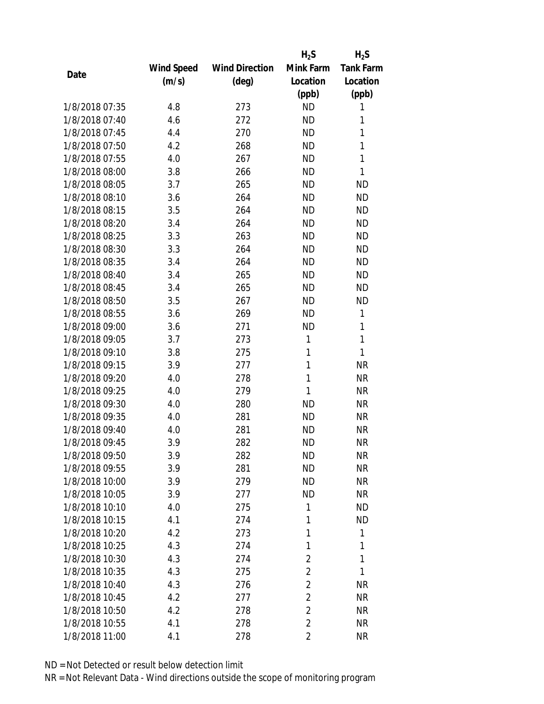|                |            |                       | $H_2S$         | $H_2S$           |
|----------------|------------|-----------------------|----------------|------------------|
|                | Wind Speed | <b>Wind Direction</b> | Mink Farm      | <b>Tank Farm</b> |
| Date           | (m/s)      | $(\text{deg})$        | Location       | Location         |
|                |            |                       | (ppb)          | (ppb)            |
| 1/8/2018 07:35 | 4.8        | 273                   | <b>ND</b>      | 1                |
| 1/8/2018 07:40 | 4.6        | 272                   | <b>ND</b>      | 1                |
| 1/8/2018 07:45 | 4.4        | 270                   | <b>ND</b>      | 1                |
| 1/8/2018 07:50 | 4.2        | 268                   | <b>ND</b>      | 1                |
| 1/8/2018 07:55 | 4.0        | 267                   | <b>ND</b>      | 1                |
| 1/8/2018 08:00 | 3.8        | 266                   | <b>ND</b>      | 1                |
| 1/8/2018 08:05 | 3.7        | 265                   | <b>ND</b>      | <b>ND</b>        |
| 1/8/2018 08:10 | 3.6        | 264                   | <b>ND</b>      | <b>ND</b>        |
| 1/8/2018 08:15 | 3.5        | 264                   | <b>ND</b>      | <b>ND</b>        |
| 1/8/2018 08:20 | 3.4        | 264                   | <b>ND</b>      | <b>ND</b>        |
| 1/8/2018 08:25 | 3.3        | 263                   | <b>ND</b>      | <b>ND</b>        |
| 1/8/2018 08:30 | 3.3        | 264                   | <b>ND</b>      | <b>ND</b>        |
| 1/8/2018 08:35 | 3.4        | 264                   | <b>ND</b>      | <b>ND</b>        |
| 1/8/2018 08:40 | 3.4        | 265                   | <b>ND</b>      | <b>ND</b>        |
| 1/8/2018 08:45 | 3.4        | 265                   | <b>ND</b>      | <b>ND</b>        |
| 1/8/2018 08:50 | 3.5        | 267                   | <b>ND</b>      | <b>ND</b>        |
| 1/8/2018 08:55 | 3.6        | 269                   | <b>ND</b>      | 1                |
| 1/8/2018 09:00 | 3.6        | 271                   | <b>ND</b>      | 1                |
| 1/8/2018 09:05 | 3.7        | 273                   | 1              | 1                |
| 1/8/2018 09:10 | 3.8        | 275                   | 1              | 1                |
| 1/8/2018 09:15 | 3.9        | 277                   | 1              | <b>NR</b>        |
| 1/8/2018 09:20 | 4.0        | 278                   | 1              | <b>NR</b>        |
| 1/8/2018 09:25 | 4.0        | 279                   | 1              | <b>NR</b>        |
| 1/8/2018 09:30 | 4.0        | 280                   | <b>ND</b>      | <b>NR</b>        |
| 1/8/2018 09:35 | 4.0        | 281                   | <b>ND</b>      | <b>NR</b>        |
| 1/8/2018 09:40 | 4.0        | 281                   | <b>ND</b>      | <b>NR</b>        |
| 1/8/2018 09:45 | 3.9        | 282                   | <b>ND</b>      | <b>NR</b>        |
| 1/8/2018 09:50 | 3.9        | 282                   | <b>ND</b>      | <b>NR</b>        |
| 1/8/2018 09:55 | 3.9        | 281                   | <b>ND</b>      | <b>NR</b>        |
| 1/8/2018 10:00 | 3.9        | 279                   | <b>ND</b>      | <b>NR</b>        |
| 1/8/2018 10:05 | 3.9        | 277                   | <b>ND</b>      | <b>NR</b>        |
| 1/8/2018 10:10 | 4.0        | 275                   | 1              | <b>ND</b>        |
| 1/8/2018 10:15 | 4.1        | 274                   | 1              | <b>ND</b>        |
| 1/8/2018 10:20 | 4.2        | 273                   | 1              | 1                |
| 1/8/2018 10:25 | 4.3        | 274                   | 1              | 1                |
| 1/8/2018 10:30 | 4.3        | 274                   | $\overline{2}$ | 1                |
| 1/8/2018 10:35 | 4.3        | 275                   | $\overline{c}$ | 1                |
| 1/8/2018 10:40 | 4.3        | 276                   | $\overline{2}$ | <b>NR</b>        |
| 1/8/2018 10:45 | 4.2        | 277                   | $\overline{2}$ | <b>NR</b>        |
| 1/8/2018 10:50 | 4.2        | 278                   | 2              | <b>NR</b>        |
| 1/8/2018 10:55 | 4.1        | 278                   | $\overline{2}$ | <b>NR</b>        |
| 1/8/2018 11:00 | 4.1        | 278                   | $\overline{c}$ | <b>NR</b>        |
|                |            |                       |                |                  |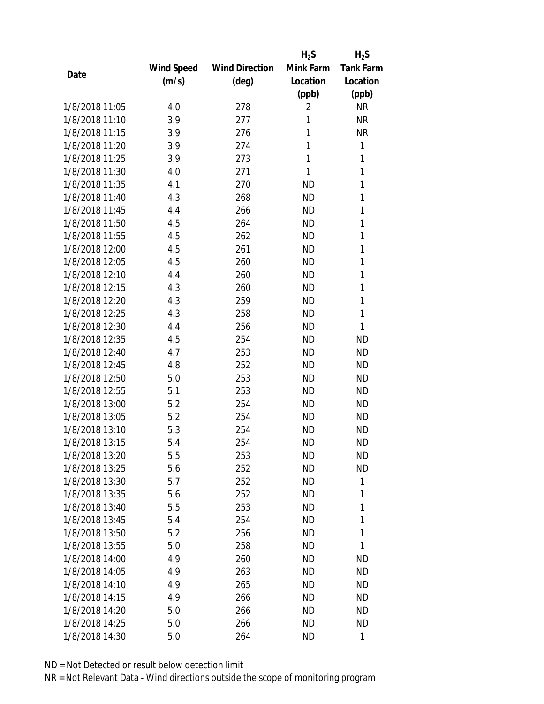|                |            |                       | $H_2S$         | $H_2S$           |
|----------------|------------|-----------------------|----------------|------------------|
|                | Wind Speed | <b>Wind Direction</b> | Mink Farm      | <b>Tank Farm</b> |
| Date           | (m/s)      | $(\text{deg})$        | Location       | Location         |
|                |            |                       | (ppb)          | (ppb)            |
| 1/8/2018 11:05 | 4.0        | 278                   | $\overline{2}$ | <b>NR</b>        |
| 1/8/2018 11:10 | 3.9        | 277                   | 1              | <b>NR</b>        |
| 1/8/2018 11:15 | 3.9        | 276                   | 1              | <b>NR</b>        |
| 1/8/2018 11:20 | 3.9        | 274                   | 1              | $\mathbf{1}$     |
| 1/8/2018 11:25 | 3.9        | 273                   | 1              | 1                |
| 1/8/2018 11:30 | 4.0        | 271                   | 1              | 1                |
| 1/8/2018 11:35 | 4.1        | 270                   | <b>ND</b>      | 1                |
| 1/8/2018 11:40 | 4.3        | 268                   | <b>ND</b>      | 1                |
| 1/8/2018 11:45 | 4.4        | 266                   | <b>ND</b>      | $\mathbf{1}$     |
| 1/8/2018 11:50 | 4.5        | 264                   | <b>ND</b>      | $\mathbf{1}$     |
| 1/8/2018 11:55 | 4.5        | 262                   | <b>ND</b>      | 1                |
| 1/8/2018 12:00 | 4.5        | 261                   | <b>ND</b>      | 1                |
| 1/8/2018 12:05 | 4.5        | 260                   | <b>ND</b>      | $\mathbf{1}$     |
| 1/8/2018 12:10 | 4.4        | 260                   | <b>ND</b>      | 1                |
| 1/8/2018 12:15 | 4.3        | 260                   | <b>ND</b>      | 1                |
| 1/8/2018 12:20 | 4.3        | 259                   | <b>ND</b>      | 1                |
| 1/8/2018 12:25 | 4.3        | 258                   | <b>ND</b>      | 1                |
| 1/8/2018 12:30 | 4.4        | 256                   | <b>ND</b>      | $\mathbf{1}$     |
| 1/8/2018 12:35 | 4.5        | 254                   | <b>ND</b>      | <b>ND</b>        |
| 1/8/2018 12:40 | 4.7        | 253                   | <b>ND</b>      | <b>ND</b>        |
| 1/8/2018 12:45 | 4.8        | 252                   | <b>ND</b>      | <b>ND</b>        |
| 1/8/2018 12:50 | 5.0        | 253                   | <b>ND</b>      | <b>ND</b>        |
| 1/8/2018 12:55 | 5.1        | 253                   | <b>ND</b>      | <b>ND</b>        |
| 1/8/2018 13:00 | 5.2        | 254                   | <b>ND</b>      | <b>ND</b>        |
| 1/8/2018 13:05 | 5.2        | 254                   | <b>ND</b>      | <b>ND</b>        |
| 1/8/2018 13:10 | 5.3        | 254                   | <b>ND</b>      | <b>ND</b>        |
| 1/8/2018 13:15 | 5.4        | 254                   | <b>ND</b>      | <b>ND</b>        |
| 1/8/2018 13:20 | 5.5        | 253                   | ND             | ND               |
| 1/8/2018 13:25 | 5.6        | 252                   | <b>ND</b>      | <b>ND</b>        |
| 1/8/2018 13:30 | 5.7        | 252                   | ND             | 1                |
| 1/8/2018 13:35 | 5.6        | 252                   | <b>ND</b>      | 1                |
| 1/8/2018 13:40 | 5.5        | 253                   | <b>ND</b>      | 1                |
| 1/8/2018 13:45 | 5.4        | 254                   | ND             | 1                |
| 1/8/2018 13:50 | 5.2        | 256                   | <b>ND</b>      | 1                |
| 1/8/2018 13:55 | 5.0        | 258                   | ND             | 1                |
| 1/8/2018 14:00 | 4.9        | 260                   | ND             | <b>ND</b>        |
| 1/8/2018 14:05 | 4.9        | 263                   | ND             | <b>ND</b>        |
| 1/8/2018 14:10 | 4.9        | 265                   | ND             | <b>ND</b>        |
| 1/8/2018 14:15 | 4.9        | 266                   | <b>ND</b>      | <b>ND</b>        |
| 1/8/2018 14:20 | 5.0        | 266                   | ND             | ND               |
| 1/8/2018 14:25 | 5.0        | 266                   | ND             | <b>ND</b>        |
| 1/8/2018 14:30 | 5.0        | 264                   | <b>ND</b>      | 1                |
|                |            |                       |                |                  |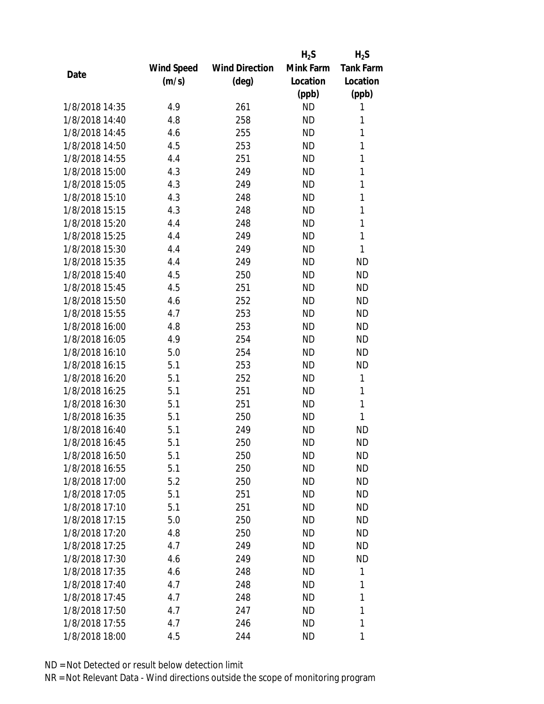|                |            |                       | $H_2S$    | $H_2S$           |
|----------------|------------|-----------------------|-----------|------------------|
|                | Wind Speed | <b>Wind Direction</b> | Mink Farm | <b>Tank Farm</b> |
| Date           | (m/s)      | $(\text{deg})$        | Location  | Location         |
|                |            |                       | (ppb)     | (ppb)            |
| 1/8/2018 14:35 | 4.9        | 261                   | <b>ND</b> | 1                |
| 1/8/2018 14:40 | 4.8        | 258                   | <b>ND</b> | 1                |
| 1/8/2018 14:45 | 4.6        | 255                   | <b>ND</b> | $\mathbf{1}$     |
| 1/8/2018 14:50 | 4.5        | 253                   | <b>ND</b> | 1                |
| 1/8/2018 14:55 | 4.4        | 251                   | <b>ND</b> | 1                |
| 1/8/2018 15:00 | 4.3        | 249                   | <b>ND</b> | $\mathbf{1}$     |
| 1/8/2018 15:05 | 4.3        | 249                   | <b>ND</b> | $\mathbf{1}$     |
| 1/8/2018 15:10 | 4.3        | 248                   | <b>ND</b> | $\mathbf{1}$     |
| 1/8/2018 15:15 | 4.3        | 248                   | <b>ND</b> | $\mathbf{1}$     |
| 1/8/2018 15:20 | 4.4        | 248                   | <b>ND</b> | $\mathbf{1}$     |
| 1/8/2018 15:25 | 4.4        | 249                   | <b>ND</b> | $\mathbf{1}$     |
| 1/8/2018 15:30 | 4.4        | 249                   | <b>ND</b> | 1                |
| 1/8/2018 15:35 | 4.4        | 249                   | <b>ND</b> | <b>ND</b>        |
| 1/8/2018 15:40 | 4.5        | 250                   | <b>ND</b> | <b>ND</b>        |
| 1/8/2018 15:45 | 4.5        | 251                   | <b>ND</b> | <b>ND</b>        |
| 1/8/2018 15:50 | 4.6        | 252                   | <b>ND</b> | <b>ND</b>        |
| 1/8/2018 15:55 | 4.7        | 253                   | <b>ND</b> | <b>ND</b>        |
| 1/8/2018 16:00 | 4.8        | 253                   | <b>ND</b> | <b>ND</b>        |
| 1/8/2018 16:05 | 4.9        | 254                   | <b>ND</b> | <b>ND</b>        |
| 1/8/2018 16:10 | 5.0        | 254                   | <b>ND</b> | <b>ND</b>        |
| 1/8/2018 16:15 | 5.1        | 253                   | <b>ND</b> | <b>ND</b>        |
| 1/8/2018 16:20 | 5.1        | 252                   | <b>ND</b> | $\mathbf{1}$     |
| 1/8/2018 16:25 | 5.1        | 251                   | <b>ND</b> | 1                |
| 1/8/2018 16:30 | 5.1        | 251                   | <b>ND</b> | $\mathbf{1}$     |
| 1/8/2018 16:35 | 5.1        | 250                   | <b>ND</b> | 1                |
| 1/8/2018 16:40 | 5.1        | 249                   | <b>ND</b> | <b>ND</b>        |
| 1/8/2018 16:45 | 5.1        | 250                   | <b>ND</b> | <b>ND</b>        |
| 1/8/2018 16:50 | 5.1        | 250                   | ND        | ND               |
| 1/8/2018 16:55 | 5.1        | 250                   | <b>ND</b> | <b>ND</b>        |
| 1/8/2018 17:00 | 5.2        | 250                   | ND        | <b>ND</b>        |
| 1/8/2018 17:05 | 5.1        | 251                   | <b>ND</b> | <b>ND</b>        |
| 1/8/2018 17:10 | 5.1        | 251                   | <b>ND</b> | <b>ND</b>        |
| 1/8/2018 17:15 | 5.0        | 250                   | ND        | <b>ND</b>        |
| 1/8/2018 17:20 | 4.8        | 250                   | <b>ND</b> | <b>ND</b>        |
| 1/8/2018 17:25 | 4.7        | 249                   | ND        | ND               |
| 1/8/2018 17:30 | 4.6        | 249                   | <b>ND</b> | <b>ND</b>        |
| 1/8/2018 17:35 | 4.6        | 248                   | ND.       | 1                |
| 1/8/2018 17:40 | 4.7        | 248                   | ND        | 1                |
| 1/8/2018 17:45 | 4.7        | 248                   | <b>ND</b> | 1                |
| 1/8/2018 17:50 | 4.7        | 247                   | ND        | 1                |
| 1/8/2018 17:55 | 4.7        | 246                   | <b>ND</b> | 1                |
| 1/8/2018 18:00 | 4.5        | 244                   | <b>ND</b> | 1                |
|                |            |                       |           |                  |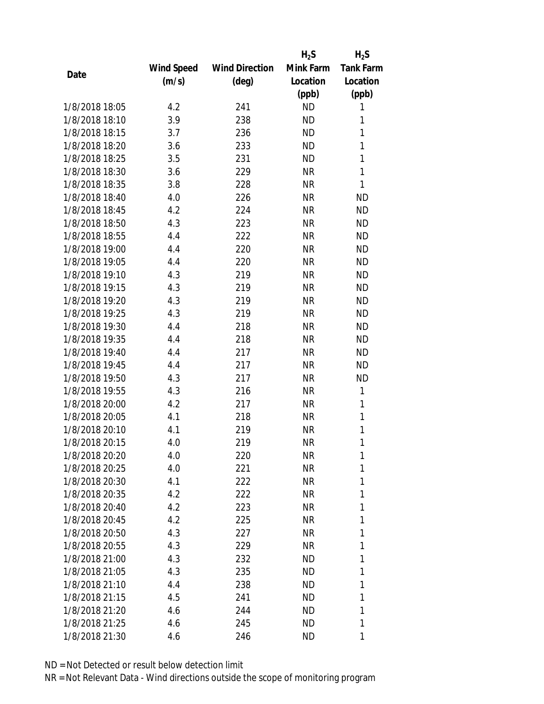|                |                   |                       | $H_2S$    | $H_2S$           |
|----------------|-------------------|-----------------------|-----------|------------------|
|                | <b>Wind Speed</b> | <b>Wind Direction</b> | Mink Farm | <b>Tank Farm</b> |
| Date           | (m/s)             | $(\text{deg})$        | Location  | Location         |
|                |                   |                       | (ppb)     | (ppb)            |
| 1/8/2018 18:05 | 4.2               | 241                   | <b>ND</b> | 1                |
| 1/8/2018 18:10 | 3.9               | 238                   | <b>ND</b> | 1                |
| 1/8/2018 18:15 | 3.7               | 236                   | <b>ND</b> | 1                |
| 1/8/2018 18:20 | 3.6               | 233                   | <b>ND</b> | 1                |
| 1/8/2018 18:25 | 3.5               | 231                   | <b>ND</b> | 1                |
| 1/8/2018 18:30 | 3.6               | 229                   | <b>NR</b> | 1                |
| 1/8/2018 18:35 | 3.8               | 228                   | <b>NR</b> | 1                |
| 1/8/2018 18:40 | 4.0               | 226                   | <b>NR</b> | <b>ND</b>        |
| 1/8/2018 18:45 | 4.2               | 224                   | <b>NR</b> | <b>ND</b>        |
| 1/8/2018 18:50 | 4.3               | 223                   | <b>NR</b> | <b>ND</b>        |
| 1/8/2018 18:55 | 4.4               | 222                   | <b>NR</b> | <b>ND</b>        |
| 1/8/2018 19:00 | 4.4               | 220                   | <b>NR</b> | <b>ND</b>        |
| 1/8/2018 19:05 | 4.4               | 220                   | <b>NR</b> | <b>ND</b>        |
| 1/8/2018 19:10 | 4.3               | 219                   | <b>NR</b> | <b>ND</b>        |
| 1/8/2018 19:15 | 4.3               | 219                   | <b>NR</b> | <b>ND</b>        |
| 1/8/2018 19:20 | 4.3               | 219                   | <b>NR</b> | <b>ND</b>        |
| 1/8/2018 19:25 | 4.3               | 219                   | <b>NR</b> | <b>ND</b>        |
| 1/8/2018 19:30 | 4.4               | 218                   | <b>NR</b> | <b>ND</b>        |
| 1/8/2018 19:35 | 4.4               | 218                   | <b>NR</b> | <b>ND</b>        |
| 1/8/2018 19:40 | 4.4               | 217                   | <b>NR</b> | <b>ND</b>        |
| 1/8/2018 19:45 | 4.4               | 217                   | <b>NR</b> | <b>ND</b>        |
| 1/8/2018 19:50 | 4.3               | 217                   | <b>NR</b> | <b>ND</b>        |
| 1/8/2018 19:55 | 4.3               | 216                   | <b>NR</b> | $\mathbf{1}$     |
| 1/8/2018 20:00 | 4.2               | 217                   | <b>NR</b> | 1                |
| 1/8/2018 20:05 | 4.1               | 218                   | <b>NR</b> | 1                |
| 1/8/2018 20:10 | 4.1               | 219                   | <b>NR</b> | 1                |
| 1/8/2018 20:15 | 4.0               | 219                   | <b>NR</b> | 1                |
| 1/8/2018 20:20 | 4.0               | 220                   | NR        | 1                |
| 1/8/2018 20:25 | 4.0               | 221                   | <b>NR</b> | 1                |
| 1/8/2018 20:30 | 4.1               | 222                   | NR        | 1                |
| 1/8/2018 20:35 | 4.2               | 222                   | NR        | 1                |
| 1/8/2018 20:40 | 4.2               | 223                   | <b>NR</b> | 1                |
| 1/8/2018 20:45 | 4.2               | 225                   | NR        | 1                |
| 1/8/2018 20:50 | 4.3               | 227                   | <b>NR</b> | 1                |
| 1/8/2018 20:55 | 4.3               | 229                   | NR        | 1                |
| 1/8/2018 21:00 | 4.3               | 232                   | ND        | 1                |
| 1/8/2018 21:05 | 4.3               | 235                   | ND        | 1                |
| 1/8/2018 21:10 | 4.4               | 238                   | ND        | 1                |
| 1/8/2018 21:15 | 4.5               | 241                   | <b>ND</b> | 1                |
| 1/8/2018 21:20 | 4.6               | 244                   | ND        | 1                |
|                |                   |                       |           |                  |
| 1/8/2018 21:25 | 4.6               | 245                   | ND        | 1                |
| 1/8/2018 21:30 | 4.6               | 246                   | ND        | 1                |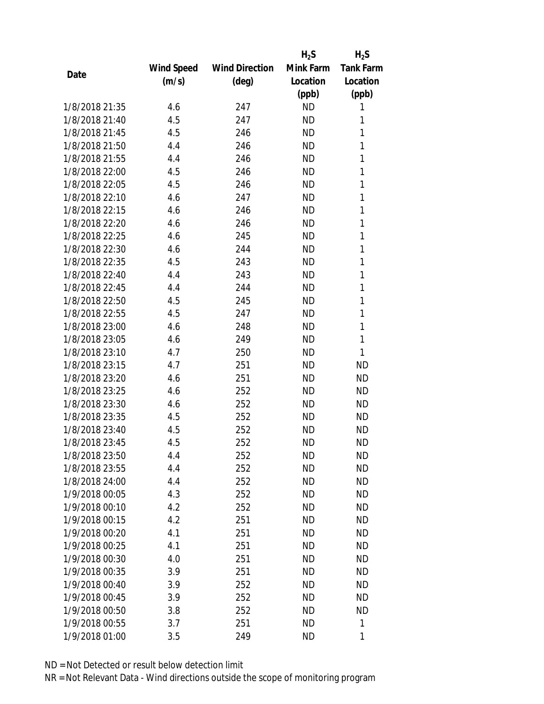|                |            |                       | $H_2S$    | $H_2S$           |
|----------------|------------|-----------------------|-----------|------------------|
|                | Wind Speed | <b>Wind Direction</b> | Mink Farm | <b>Tank Farm</b> |
| Date           | (m/s)      | $(\text{deg})$        | Location  | Location         |
|                |            |                       | (ppb)     | (ppb)            |
| 1/8/2018 21:35 | 4.6        | 247                   | <b>ND</b> | 1                |
| 1/8/2018 21:40 | 4.5        | 247                   | <b>ND</b> | 1                |
| 1/8/2018 21:45 | 4.5        | 246                   | <b>ND</b> | 1                |
| 1/8/2018 21:50 | 4.4        | 246                   | <b>ND</b> | 1                |
| 1/8/2018 21:55 | 4.4        | 246                   | <b>ND</b> | 1                |
| 1/8/2018 22:00 | 4.5        | 246                   | <b>ND</b> | 1                |
| 1/8/2018 22:05 | 4.5        | 246                   | <b>ND</b> | 1                |
| 1/8/2018 22:10 | 4.6        | 247                   | <b>ND</b> | 1                |
| 1/8/2018 22:15 | 4.6        | 246                   | <b>ND</b> | 1                |
| 1/8/2018 22:20 | 4.6        | 246                   | <b>ND</b> | 1                |
| 1/8/2018 22:25 | 4.6        | 245                   | <b>ND</b> | 1                |
| 1/8/2018 22:30 | 4.6        | 244                   | <b>ND</b> | 1                |
| 1/8/2018 22:35 | 4.5        | 243                   | <b>ND</b> | 1                |
| 1/8/2018 22:40 | 4.4        | 243                   | <b>ND</b> | 1                |
| 1/8/2018 22:45 | 4.4        | 244                   | <b>ND</b> | 1                |
| 1/8/2018 22:50 | 4.5        | 245                   | <b>ND</b> | 1                |
| 1/8/2018 22:55 | 4.5        | 247                   | <b>ND</b> | 1                |
| 1/8/2018 23:00 | 4.6        | 248                   | <b>ND</b> | $\mathbf{1}$     |
| 1/8/2018 23:05 | 4.6        | 249                   | <b>ND</b> | $\mathbf{1}$     |
| 1/8/2018 23:10 | 4.7        | 250                   | <b>ND</b> | $\mathbf{1}$     |
| 1/8/2018 23:15 | 4.7        | 251                   | <b>ND</b> | <b>ND</b>        |
| 1/8/2018 23:20 | 4.6        | 251                   | <b>ND</b> | <b>ND</b>        |
| 1/8/2018 23:25 | 4.6        | 252                   | <b>ND</b> | <b>ND</b>        |
| 1/8/2018 23:30 | 4.6        | 252                   | <b>ND</b> | <b>ND</b>        |
| 1/8/2018 23:35 | 4.5        | 252                   | <b>ND</b> | <b>ND</b>        |
| 1/8/2018 23:40 | 4.5        | 252                   | <b>ND</b> | <b>ND</b>        |
| 1/8/2018 23:45 | 4.5        | 252                   | <b>ND</b> | <b>ND</b>        |
| 1/8/2018 23:50 | 4.4        | 252                   | <b>ND</b> | <b>ND</b>        |
| 1/8/2018 23:55 | 4.4        | 252                   | <b>ND</b> | <b>ND</b>        |
| 1/8/2018 24:00 | 4.4        | 252                   | <b>ND</b> | <b>ND</b>        |
| 1/9/2018 00:05 | 4.3        | 252                   | <b>ND</b> | <b>ND</b>        |
| 1/9/2018 00:10 | 4.2        | 252                   | <b>ND</b> | <b>ND</b>        |
| 1/9/2018 00:15 | 4.2        | 251                   | <b>ND</b> | <b>ND</b>        |
| 1/9/2018 00:20 | 4.1        | 251                   | <b>ND</b> | <b>ND</b>        |
| 1/9/2018 00:25 | 4.1        | 251                   | <b>ND</b> | <b>ND</b>        |
| 1/9/2018 00:30 | 4.0        | 251                   | <b>ND</b> | <b>ND</b>        |
| 1/9/2018 00:35 | 3.9        | 251                   | ND        | <b>ND</b>        |
| 1/9/2018 00:40 | 3.9        | 252                   | <b>ND</b> | <b>ND</b>        |
| 1/9/2018 00:45 | 3.9        | 252                   | <b>ND</b> | <b>ND</b>        |
| 1/9/2018 00:50 | 3.8        | 252                   | <b>ND</b> | <b>ND</b>        |
| 1/9/2018 00:55 | 3.7        | 251                   | <b>ND</b> | 1                |
| 1/9/2018 01:00 | 3.5        | 249                   | <b>ND</b> | 1                |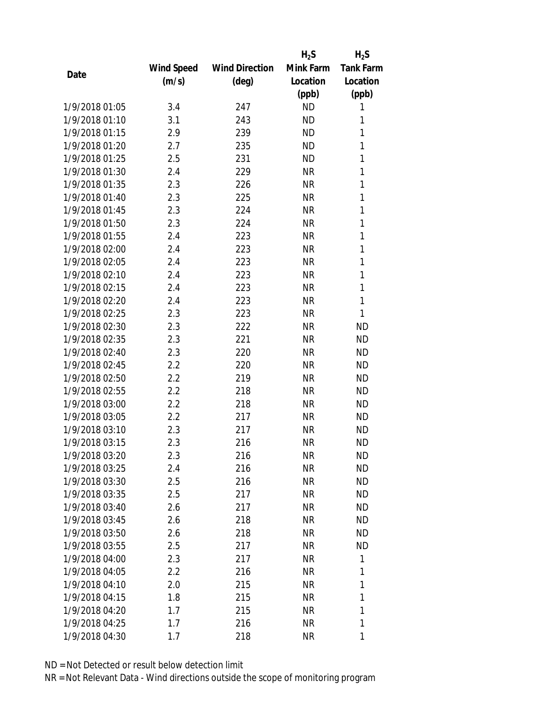|                |            |                       | $H_2S$    | $H_2S$           |
|----------------|------------|-----------------------|-----------|------------------|
|                | Wind Speed | <b>Wind Direction</b> | Mink Farm | <b>Tank Farm</b> |
| Date           | (m/s)      | $(\text{deg})$        | Location  | Location         |
|                |            |                       | (ppb)     | (ppb)            |
| 1/9/2018 01:05 | 3.4        | 247                   | <b>ND</b> | 1                |
| 1/9/2018 01:10 | 3.1        | 243                   | <b>ND</b> | 1                |
| 1/9/2018 01:15 | 2.9        | 239                   | <b>ND</b> | 1                |
| 1/9/2018 01:20 | 2.7        | 235                   | <b>ND</b> | 1                |
| 1/9/2018 01:25 | 2.5        | 231                   | <b>ND</b> | 1                |
| 1/9/2018 01:30 | 2.4        | 229                   | <b>NR</b> | 1                |
| 1/9/2018 01:35 | 2.3        | 226                   | <b>NR</b> | 1                |
| 1/9/2018 01:40 | 2.3        | 225                   | <b>NR</b> | 1                |
| 1/9/2018 01:45 | 2.3        | 224                   | <b>NR</b> | 1                |
| 1/9/2018 01:50 | 2.3        | 224                   | <b>NR</b> | 1                |
| 1/9/2018 01:55 | 2.4        | 223                   | <b>NR</b> | 1                |
| 1/9/2018 02:00 | 2.4        | 223                   | <b>NR</b> | 1                |
| 1/9/2018 02:05 | 2.4        | 223                   | <b>NR</b> | 1                |
| 1/9/2018 02:10 | 2.4        | 223                   | <b>NR</b> | 1                |
| 1/9/2018 02:15 | 2.4        | 223                   | <b>NR</b> | 1                |
| 1/9/2018 02:20 | 2.4        | 223                   | <b>NR</b> | 1                |
| 1/9/2018 02:25 | 2.3        | 223                   | <b>NR</b> | 1                |
| 1/9/2018 02:30 | 2.3        | 222                   | <b>NR</b> | <b>ND</b>        |
| 1/9/2018 02:35 | 2.3        | 221                   | <b>NR</b> | <b>ND</b>        |
| 1/9/2018 02:40 | 2.3        | 220                   | <b>NR</b> | <b>ND</b>        |
| 1/9/2018 02:45 | 2.2        | 220                   | <b>NR</b> | <b>ND</b>        |
| 1/9/2018 02:50 | 2.2        | 219                   | <b>NR</b> | <b>ND</b>        |
| 1/9/2018 02:55 | 2.2        | 218                   | <b>NR</b> | <b>ND</b>        |
| 1/9/2018 03:00 | 2.2        | 218                   | <b>NR</b> | <b>ND</b>        |
| 1/9/2018 03:05 | 2.2        | 217                   | <b>NR</b> | <b>ND</b>        |
| 1/9/2018 03:10 | 2.3        | 217                   | <b>NR</b> | <b>ND</b>        |
| 1/9/2018 03:15 | 2.3        | 216                   | <b>NR</b> | <b>ND</b>        |
| 1/9/2018 03:20 | 2.3        | 216                   | ΝR        | <b>ND</b>        |
| 1/9/2018 03:25 | 2.4        | 216                   | <b>NR</b> | <b>ND</b>        |
| 1/9/2018 03:30 | 2.5        | 216                   | NR        | <b>ND</b>        |
| 1/9/2018 03:35 | 2.5        | 217                   | <b>NR</b> | <b>ND</b>        |
| 1/9/2018 03:40 | 2.6        | 217                   | <b>NR</b> | <b>ND</b>        |
| 1/9/2018 03:45 | 2.6        | 218                   | <b>NR</b> | <b>ND</b>        |
| 1/9/2018 03:50 | 2.6        | 218                   | <b>NR</b> | <b>ND</b>        |
| 1/9/2018 03:55 | 2.5        | 217                   | <b>NR</b> | <b>ND</b>        |
| 1/9/2018 04:00 | 2.3        | 217                   | <b>NR</b> | 1                |
| 1/9/2018 04:05 | 2.2        | 216                   | <b>NR</b> | 1                |
| 1/9/2018 04:10 | 2.0        | 215                   | <b>NR</b> | 1                |
| 1/9/2018 04:15 | 1.8        | 215                   | <b>NR</b> | 1                |
| 1/9/2018 04:20 | 1.7        | 215                   | <b>NR</b> | 1                |
| 1/9/2018 04:25 | 1.7        | 216                   | <b>NR</b> | 1                |
| 1/9/2018 04:30 | 1.7        | 218                   | <b>NR</b> | 1                |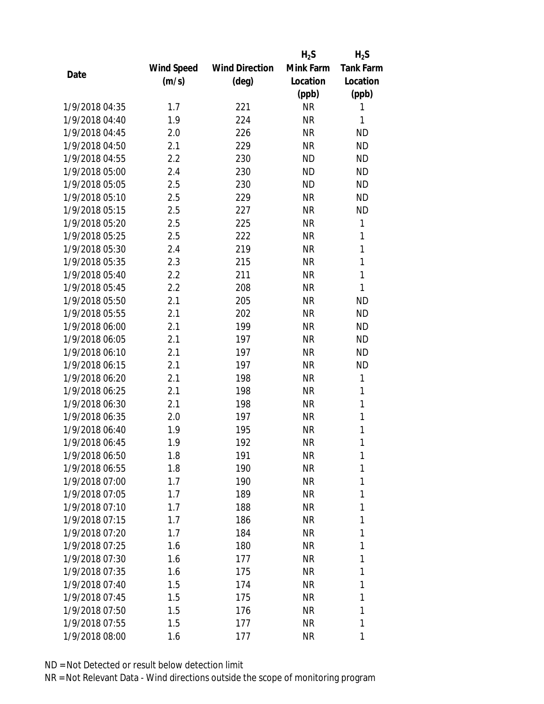|                |                   |                       | $H_2S$    | $H_2S$           |
|----------------|-------------------|-----------------------|-----------|------------------|
|                | <b>Wind Speed</b> | <b>Wind Direction</b> | Mink Farm | <b>Tank Farm</b> |
| Date           | (m/s)             | $(\text{deg})$        | Location  | Location         |
|                |                   |                       | (ppb)     | (ppb)            |
| 1/9/2018 04:35 | 1.7               | 221                   | <b>NR</b> | 1                |
| 1/9/2018 04:40 | 1.9               | 224                   | <b>NR</b> | 1                |
| 1/9/2018 04:45 | 2.0               | 226                   | <b>NR</b> | <b>ND</b>        |
| 1/9/2018 04:50 | 2.1               | 229                   | <b>NR</b> | <b>ND</b>        |
| 1/9/2018 04:55 | 2.2               | 230                   | <b>ND</b> | <b>ND</b>        |
| 1/9/2018 05:00 | 2.4               | 230                   | <b>ND</b> | <b>ND</b>        |
| 1/9/2018 05:05 | 2.5               | 230                   | <b>ND</b> | <b>ND</b>        |
| 1/9/2018 05:10 | 2.5               | 229                   | <b>NR</b> | <b>ND</b>        |
| 1/9/2018 05:15 | 2.5               | 227                   | <b>NR</b> | <b>ND</b>        |
| 1/9/2018 05:20 | 2.5               | 225                   | <b>NR</b> | 1                |
| 1/9/2018 05:25 | 2.5               | 222                   | <b>NR</b> | 1                |
| 1/9/2018 05:30 | 2.4               | 219                   | <b>NR</b> | $\mathbf{1}$     |
| 1/9/2018 05:35 | 2.3               | 215                   | <b>NR</b> | $\mathbf{1}$     |
| 1/9/2018 05:40 | 2.2               | 211                   | <b>NR</b> | $\mathbf{1}$     |
| 1/9/2018 05:45 | 2.2               | 208                   | <b>NR</b> | 1                |
| 1/9/2018 05:50 | 2.1               | 205                   | <b>NR</b> | <b>ND</b>        |
| 1/9/2018 05:55 | 2.1               | 202                   | <b>NR</b> | <b>ND</b>        |
| 1/9/2018 06:00 | 2.1               | 199                   | <b>NR</b> | <b>ND</b>        |
| 1/9/2018 06:05 | 2.1               | 197                   | <b>NR</b> | <b>ND</b>        |
| 1/9/2018 06:10 | 2.1               | 197                   | <b>NR</b> | <b>ND</b>        |
| 1/9/2018 06:15 | 2.1               | 197                   | <b>NR</b> | <b>ND</b>        |
| 1/9/2018 06:20 | 2.1               | 198                   | <b>NR</b> | $\mathbf{1}$     |
| 1/9/2018 06:25 | 2.1               | 198                   | <b>NR</b> | 1                |
| 1/9/2018 06:30 | 2.1               | 198                   | <b>NR</b> | 1                |
| 1/9/2018 06:35 | 2.0               | 197                   | <b>NR</b> | 1                |
| 1/9/2018 06:40 | 1.9               | 195                   | <b>NR</b> | 1                |
| 1/9/2018 06:45 | 1.9               | 192                   | <b>NR</b> | 1                |
| 1/9/2018 06:50 | 1.8               | 191                   | NR        | 1                |
| 1/9/2018 06:55 | 1.8               | 190                   | <b>NR</b> | 1                |
| 1/9/2018 07:00 | 1.7               | 190                   | NR        | 1                |
| 1/9/2018 07:05 | 1.7               | 189                   | <b>NR</b> | 1                |
| 1/9/2018 07:10 | 1.7               | 188                   | <b>NR</b> | 1                |
| 1/9/2018 07:15 | 1.7               | 186                   | NR        | 1                |
| 1/9/2018 07:20 | 1.7               | 184                   | <b>NR</b> | 1                |
| 1/9/2018 07:25 | 1.6               | 180                   | NR        | 1                |
| 1/9/2018 07:30 | 1.6               | 177                   | <b>NR</b> | 1                |
| 1/9/2018 07:35 | 1.6               | 175                   | NR        | 1                |
| 1/9/2018 07:40 | 1.5               | 174                   | NR        | 1                |
| 1/9/2018 07:45 | 1.5               | 175                   | <b>NR</b> | 1                |
| 1/9/2018 07:50 | 1.5               | 176                   | NR        | 1                |
| 1/9/2018 07:55 | 1.5               | 177                   | <b>NR</b> | 1                |
| 1/9/2018 08:00 | 1.6               | 177                   | <b>NR</b> | 1                |
|                |                   |                       |           |                  |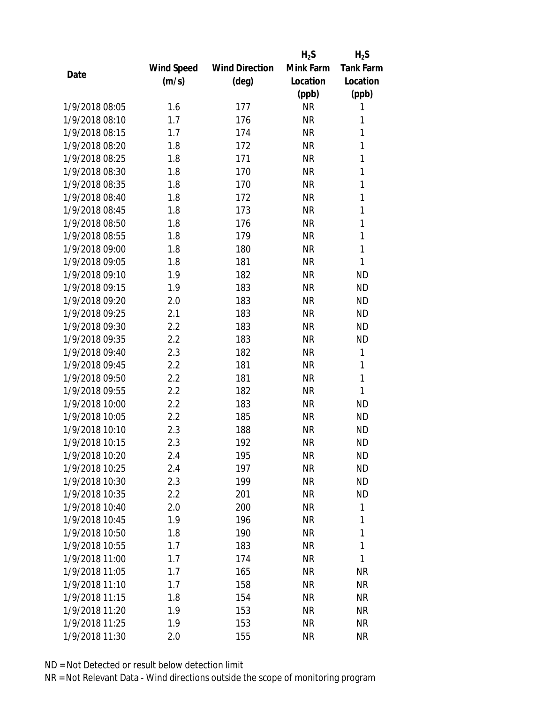|                |            |                       | $H_2S$    | $H_2S$           |
|----------------|------------|-----------------------|-----------|------------------|
|                | Wind Speed | <b>Wind Direction</b> | Mink Farm | <b>Tank Farm</b> |
| Date           | (m/s)      | $(\text{deg})$        | Location  | Location         |
|                |            |                       | (ppb)     | (ppb)            |
| 1/9/2018 08:05 | 1.6        | 177                   | <b>NR</b> | 1                |
| 1/9/2018 08:10 | 1.7        | 176                   | <b>NR</b> | 1                |
| 1/9/2018 08:15 | 1.7        | 174                   | <b>NR</b> | 1                |
| 1/9/2018 08:20 | 1.8        | 172                   | <b>NR</b> | 1                |
| 1/9/2018 08:25 | 1.8        | 171                   | <b>NR</b> | 1                |
| 1/9/2018 08:30 | 1.8        | 170                   | <b>NR</b> | 1                |
| 1/9/2018 08:35 | 1.8        | 170                   | <b>NR</b> | 1                |
| 1/9/2018 08:40 | 1.8        | 172                   | <b>NR</b> | 1                |
| 1/9/2018 08:45 | 1.8        | 173                   | <b>NR</b> | 1                |
| 1/9/2018 08:50 | 1.8        | 176                   | <b>NR</b> | 1                |
| 1/9/2018 08:55 | 1.8        | 179                   | <b>NR</b> | 1                |
| 1/9/2018 09:00 | 1.8        | 180                   | <b>NR</b> | 1                |
| 1/9/2018 09:05 | 1.8        | 181                   | <b>NR</b> | 1                |
| 1/9/2018 09:10 | 1.9        | 182                   | <b>NR</b> | <b>ND</b>        |
| 1/9/2018 09:15 | 1.9        | 183                   | <b>NR</b> | <b>ND</b>        |
| 1/9/2018 09:20 | 2.0        | 183                   | <b>NR</b> | <b>ND</b>        |
| 1/9/2018 09:25 | 2.1        | 183                   | <b>NR</b> | <b>ND</b>        |
| 1/9/2018 09:30 | 2.2        | 183                   | <b>NR</b> | <b>ND</b>        |
| 1/9/2018 09:35 | 2.2        | 183                   | <b>NR</b> | <b>ND</b>        |
| 1/9/2018 09:40 | 2.3        | 182                   | <b>NR</b> | 1                |
| 1/9/2018 09:45 | 2.2        | 181                   | <b>NR</b> | 1                |
| 1/9/2018 09:50 | 2.2        | 181                   | <b>NR</b> | 1                |
| 1/9/2018 09:55 | 2.2        | 182                   | <b>NR</b> | 1                |
| 1/9/2018 10:00 | 2.2        | 183                   | <b>NR</b> | <b>ND</b>        |
| 1/9/2018 10:05 | 2.2        | 185                   | <b>NR</b> | <b>ND</b>        |
| 1/9/2018 10:10 | 2.3        | 188                   | <b>NR</b> | <b>ND</b>        |
| 1/9/2018 10:15 | 2.3        | 192                   | <b>NR</b> | <b>ND</b>        |
| 1/9/2018 10:20 | 2.4        | 195                   | ΝR        | <b>ND</b>        |
| 1/9/2018 10:25 | 2.4        | 197                   | <b>NR</b> | <b>ND</b>        |
| 1/9/2018 10:30 | 2.3        | 199                   | <b>NR</b> | <b>ND</b>        |
| 1/9/2018 10:35 | 2.2        | 201                   | <b>NR</b> | <b>ND</b>        |
| 1/9/2018 10:40 | 2.0        | 200                   | <b>NR</b> | 1                |
| 1/9/2018 10:45 | 1.9        | 196                   | <b>NR</b> | 1                |
| 1/9/2018 10:50 | 1.8        | 190                   | <b>NR</b> | 1                |
| 1/9/2018 10:55 | 1.7        | 183                   | <b>NR</b> | 1                |
| 1/9/2018 11:00 | 1.7        | 174                   | <b>NR</b> | 1                |
| 1/9/2018 11:05 | 1.7        | 165                   | <b>NR</b> | <b>NR</b>        |
| 1/9/2018 11:10 | 1.7        | 158                   | <b>NR</b> | <b>NR</b>        |
| 1/9/2018 11:15 | 1.8        | 154                   | <b>NR</b> | <b>NR</b>        |
| 1/9/2018 11:20 | 1.9        | 153                   | <b>NR</b> | <b>NR</b>        |
| 1/9/2018 11:25 | 1.9        | 153                   | <b>NR</b> | <b>NR</b>        |
| 1/9/2018 11:30 | 2.0        | 155                   | <b>NR</b> | <b>NR</b>        |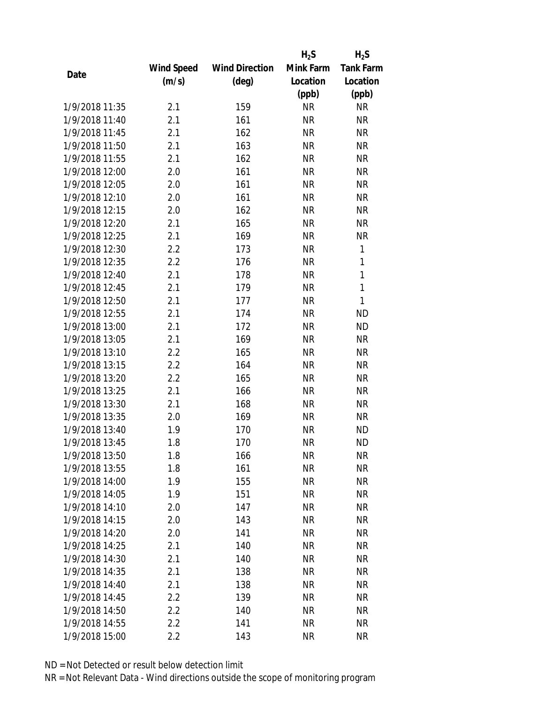|                |                   |                       | $H_2S$    | $H_2S$           |
|----------------|-------------------|-----------------------|-----------|------------------|
|                | <b>Wind Speed</b> | <b>Wind Direction</b> | Mink Farm | <b>Tank Farm</b> |
| Date           | (m/s)             | $(\text{deg})$        | Location  | Location         |
|                |                   |                       | (ppb)     | (ppb)            |
| 1/9/2018 11:35 | 2.1               | 159                   | <b>NR</b> | <b>NR</b>        |
| 1/9/2018 11:40 | 2.1               | 161                   | <b>NR</b> | <b>NR</b>        |
| 1/9/2018 11:45 | 2.1               | 162                   | <b>NR</b> | <b>NR</b>        |
| 1/9/2018 11:50 | 2.1               | 163                   | <b>NR</b> | <b>NR</b>        |
| 1/9/2018 11:55 | 2.1               | 162                   | <b>NR</b> | <b>NR</b>        |
| 1/9/2018 12:00 | 2.0               | 161                   | <b>NR</b> | <b>NR</b>        |
| 1/9/2018 12:05 | 2.0               | 161                   | <b>NR</b> | <b>NR</b>        |
| 1/9/2018 12:10 | 2.0               | 161                   | <b>NR</b> | <b>NR</b>        |
| 1/9/2018 12:15 | 2.0               | 162                   | <b>NR</b> | <b>NR</b>        |
| 1/9/2018 12:20 | 2.1               | 165                   | <b>NR</b> | <b>NR</b>        |
| 1/9/2018 12:25 | 2.1               | 169                   | <b>NR</b> | <b>NR</b>        |
| 1/9/2018 12:30 | 2.2               | 173                   | <b>NR</b> | 1                |
| 1/9/2018 12:35 | 2.2               | 176                   | <b>NR</b> | $\mathbf{1}$     |
| 1/9/2018 12:40 | 2.1               | 178                   | <b>NR</b> | $\mathbf{1}$     |
| 1/9/2018 12:45 | 2.1               | 179                   | <b>NR</b> | $\mathbf{1}$     |
| 1/9/2018 12:50 | 2.1               | 177                   | <b>NR</b> | $\mathbf{1}$     |
| 1/9/2018 12:55 | 2.1               | 174                   | <b>NR</b> | <b>ND</b>        |
| 1/9/2018 13:00 | 2.1               | 172                   | <b>NR</b> | <b>ND</b>        |
| 1/9/2018 13:05 | 2.1               | 169                   | <b>NR</b> | <b>NR</b>        |
| 1/9/2018 13:10 | 2.2               | 165                   | <b>NR</b> | <b>NR</b>        |
| 1/9/2018 13:15 | 2.2               | 164                   | <b>NR</b> | <b>NR</b>        |
| 1/9/2018 13:20 | 2.2               | 165                   | <b>NR</b> | <b>NR</b>        |
| 1/9/2018 13:25 | 2.1               | 166                   | <b>NR</b> | <b>NR</b>        |
| 1/9/2018 13:30 | 2.1               | 168                   | <b>NR</b> | <b>NR</b>        |
| 1/9/2018 13:35 | 2.0               | 169                   | <b>NR</b> | <b>NR</b>        |
| 1/9/2018 13:40 | 1.9               | 170                   | <b>NR</b> | <b>ND</b>        |
| 1/9/2018 13:45 | 1.8               | 170                   | <b>NR</b> | <b>ND</b>        |
| 1/9/2018 13:50 | 1.8               | 166                   | ΝR        | <b>NR</b>        |
| 1/9/2018 13:55 | 1.8               | 161                   | <b>NR</b> | <b>NR</b>        |
| 1/9/2018 14:00 | 1.9               | 155                   | ΝR        | <b>NR</b>        |
| 1/9/2018 14:05 | 1.9               | 151                   | <b>NR</b> | <b>NR</b>        |
| 1/9/2018 14:10 | 2.0               | 147                   | <b>NR</b> | <b>NR</b>        |
| 1/9/2018 14:15 | 2.0               | 143                   | <b>NR</b> | <b>NR</b>        |
| 1/9/2018 14:20 | 2.0               | 141                   | <b>NR</b> | <b>NR</b>        |
| 1/9/2018 14:25 | 2.1               | 140                   | <b>NR</b> | <b>NR</b>        |
| 1/9/2018 14:30 | 2.1               | 140                   | <b>NR</b> | <b>NR</b>        |
| 1/9/2018 14:35 | 2.1               | 138                   | <b>NR</b> | <b>NR</b>        |
| 1/9/2018 14:40 | 2.1               | 138                   | ΝR        | <b>NR</b>        |
| 1/9/2018 14:45 | 2.2               | 139                   | <b>NR</b> | <b>NR</b>        |
| 1/9/2018 14:50 | 2.2               | 140                   | ΝR        | <b>NR</b>        |
| 1/9/2018 14:55 | 2.2               | 141                   | <b>NR</b> | <b>NR</b>        |
| 1/9/2018 15:00 | 2.2               | 143                   | <b>NR</b> | <b>NR</b>        |
|                |                   |                       |           |                  |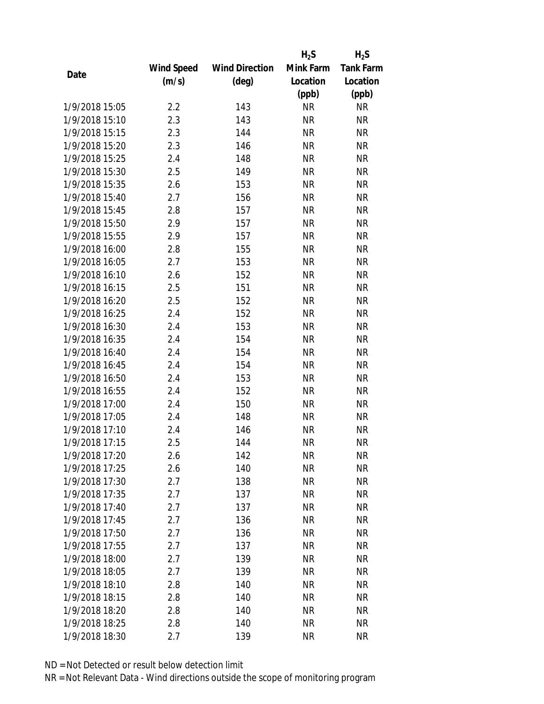|                |                   |                       | $H_2S$    | $H_2S$           |
|----------------|-------------------|-----------------------|-----------|------------------|
|                | <b>Wind Speed</b> | <b>Wind Direction</b> | Mink Farm | <b>Tank Farm</b> |
| Date           | (m/s)             | $(\text{deg})$        | Location  | Location         |
|                |                   |                       | (ppb)     | (ppb)            |
| 1/9/2018 15:05 | 2.2               | 143                   | <b>NR</b> | <b>NR</b>        |
| 1/9/2018 15:10 | 2.3               | 143                   | <b>NR</b> | <b>NR</b>        |
| 1/9/2018 15:15 | 2.3               | 144                   | <b>NR</b> | <b>NR</b>        |
| 1/9/2018 15:20 | 2.3               | 146                   | <b>NR</b> | <b>NR</b>        |
| 1/9/2018 15:25 | 2.4               | 148                   | <b>NR</b> | <b>NR</b>        |
| 1/9/2018 15:30 | 2.5               | 149                   | <b>NR</b> | <b>NR</b>        |
| 1/9/2018 15:35 | 2.6               | 153                   | <b>NR</b> | <b>NR</b>        |
| 1/9/2018 15:40 | 2.7               | 156                   | <b>NR</b> | <b>NR</b>        |
| 1/9/2018 15:45 | 2.8               | 157                   | <b>NR</b> | <b>NR</b>        |
| 1/9/2018 15:50 | 2.9               | 157                   | <b>NR</b> | <b>NR</b>        |
| 1/9/2018 15:55 | 2.9               | 157                   | <b>NR</b> | <b>NR</b>        |
| 1/9/2018 16:00 | 2.8               | 155                   | <b>NR</b> | <b>NR</b>        |
| 1/9/2018 16:05 | 2.7               | 153                   | <b>NR</b> | <b>NR</b>        |
| 1/9/2018 16:10 | 2.6               | 152                   | <b>NR</b> | <b>NR</b>        |
| 1/9/2018 16:15 | 2.5               | 151                   | <b>NR</b> | <b>NR</b>        |
| 1/9/2018 16:20 | 2.5               | 152                   | <b>NR</b> | <b>NR</b>        |
| 1/9/2018 16:25 | 2.4               | 152                   | <b>NR</b> | <b>NR</b>        |
| 1/9/2018 16:30 | 2.4               | 153                   | <b>NR</b> | <b>NR</b>        |
| 1/9/2018 16:35 | 2.4               | 154                   | <b>NR</b> | <b>NR</b>        |
| 1/9/2018 16:40 | 2.4               | 154                   | <b>NR</b> | <b>NR</b>        |
| 1/9/2018 16:45 | 2.4               | 154                   | <b>NR</b> | <b>NR</b>        |
| 1/9/2018 16:50 | 2.4               | 153                   | <b>NR</b> | <b>NR</b>        |
| 1/9/2018 16:55 | 2.4               | 152                   | <b>NR</b> | <b>NR</b>        |
| 1/9/2018 17:00 | 2.4               | 150                   | <b>NR</b> | <b>NR</b>        |
| 1/9/2018 17:05 | 2.4               | 148                   | <b>NR</b> | <b>NR</b>        |
| 1/9/2018 17:10 | 2.4               | 146                   | <b>NR</b> | <b>NR</b>        |
| 1/9/2018 17:15 | 2.5               | 144                   | <b>NR</b> | <b>NR</b>        |
| 1/9/2018 17:20 | 2.6               | 142                   | ΝR        | <b>NR</b>        |
| 1/9/2018 17:25 | 2.6               | 140                   | <b>NR</b> | <b>NR</b>        |
| 1/9/2018 17:30 | 2.7               | 138                   | ΝR        | <b>NR</b>        |
| 1/9/2018 17:35 | 2.7               | 137                   | <b>NR</b> | <b>NR</b>        |
| 1/9/2018 17:40 | 2.7               | 137                   | <b>NR</b> | <b>NR</b>        |
| 1/9/2018 17:45 | 2.7               | 136                   | <b>NR</b> | <b>NR</b>        |
| 1/9/2018 17:50 | 2.7               | 136                   | <b>NR</b> | <b>NR</b>        |
| 1/9/2018 17:55 | 2.7               | 137                   | <b>NR</b> | <b>NR</b>        |
| 1/9/2018 18:00 | 2.7               | 139                   | <b>NR</b> | <b>NR</b>        |
| 1/9/2018 18:05 | 2.7               | 139                   | <b>NR</b> | <b>NR</b>        |
| 1/9/2018 18:10 | 2.8               | 140                   | ΝR        | <b>NR</b>        |
| 1/9/2018 18:15 | 2.8               | 140                   | <b>NR</b> | <b>NR</b>        |
| 1/9/2018 18:20 | 2.8               | 140                   | ΝR        | <b>NR</b>        |
| 1/9/2018 18:25 | 2.8               | 140                   | <b>NR</b> | <b>NR</b>        |
| 1/9/2018 18:30 | 2.7               | 139                   | <b>NR</b> | <b>NR</b>        |
|                |                   |                       |           |                  |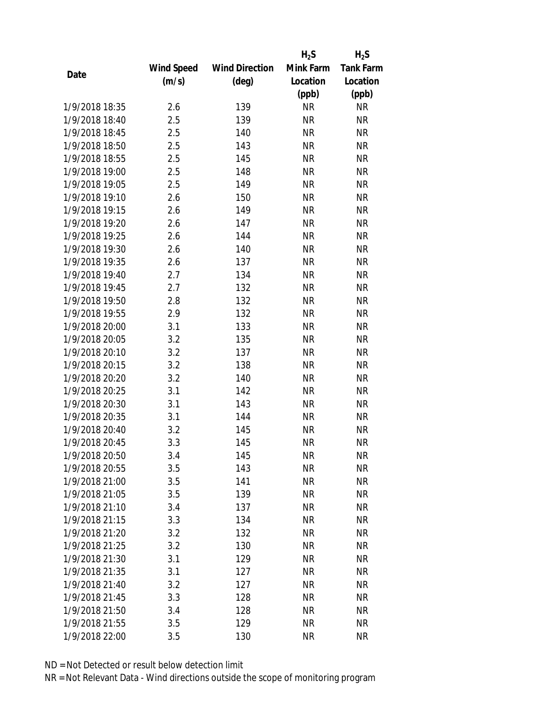|                |                   |                       | $H_2S$    | $H_2S$           |
|----------------|-------------------|-----------------------|-----------|------------------|
|                | <b>Wind Speed</b> | <b>Wind Direction</b> | Mink Farm | <b>Tank Farm</b> |
| Date           | (m/s)             | $(\text{deg})$        | Location  | Location         |
|                |                   |                       | (ppb)     | (ppb)            |
| 1/9/2018 18:35 | 2.6               | 139                   | <b>NR</b> | <b>NR</b>        |
| 1/9/2018 18:40 | 2.5               | 139                   | <b>NR</b> | <b>NR</b>        |
| 1/9/2018 18:45 | 2.5               | 140                   | <b>NR</b> | <b>NR</b>        |
| 1/9/2018 18:50 | 2.5               | 143                   | <b>NR</b> | <b>NR</b>        |
| 1/9/2018 18:55 | 2.5               | 145                   | <b>NR</b> | <b>NR</b>        |
| 1/9/2018 19:00 | 2.5               | 148                   | <b>NR</b> | <b>NR</b>        |
| 1/9/2018 19:05 | 2.5               | 149                   | <b>NR</b> | <b>NR</b>        |
| 1/9/2018 19:10 | 2.6               | 150                   | <b>NR</b> | <b>NR</b>        |
| 1/9/2018 19:15 | 2.6               | 149                   | <b>NR</b> | <b>NR</b>        |
| 1/9/2018 19:20 | 2.6               | 147                   | <b>NR</b> | <b>NR</b>        |
| 1/9/2018 19:25 | 2.6               | 144                   | <b>NR</b> | <b>NR</b>        |
| 1/9/2018 19:30 | 2.6               | 140                   | <b>NR</b> | <b>NR</b>        |
| 1/9/2018 19:35 | 2.6               | 137                   | <b>NR</b> | <b>NR</b>        |
| 1/9/2018 19:40 | 2.7               | 134                   | <b>NR</b> | <b>NR</b>        |
| 1/9/2018 19:45 | 2.7               | 132                   | <b>NR</b> | <b>NR</b>        |
| 1/9/2018 19:50 | 2.8               | 132                   | <b>NR</b> | <b>NR</b>        |
| 1/9/2018 19:55 | 2.9               | 132                   | <b>NR</b> | <b>NR</b>        |
| 1/9/2018 20:00 | 3.1               | 133                   | <b>NR</b> | <b>NR</b>        |
| 1/9/2018 20:05 | 3.2               | 135                   | <b>NR</b> | <b>NR</b>        |
| 1/9/2018 20:10 | 3.2               | 137                   | <b>NR</b> | <b>NR</b>        |
| 1/9/2018 20:15 | 3.2               | 138                   | <b>NR</b> | <b>NR</b>        |
| 1/9/2018 20:20 | 3.2               | 140                   | <b>NR</b> | <b>NR</b>        |
| 1/9/2018 20:25 | 3.1               | 142                   | <b>NR</b> | <b>NR</b>        |
| 1/9/2018 20:30 | 3.1               | 143                   | <b>NR</b> | <b>NR</b>        |
| 1/9/2018 20:35 | 3.1               | 144                   | <b>NR</b> | <b>NR</b>        |
| 1/9/2018 20:40 | 3.2               | 145                   | <b>NR</b> | <b>NR</b>        |
| 1/9/2018 20:45 | 3.3               | 145                   | <b>NR</b> | <b>NR</b>        |
| 1/9/2018 20:50 | 3.4               | 145                   | ΝR        | <b>NR</b>        |
| 1/9/2018 20:55 | 3.5               | 143                   | <b>NR</b> | <b>NR</b>        |
| 1/9/2018 21:00 | 3.5               | 141                   | <b>NR</b> | <b>NR</b>        |
| 1/9/2018 21:05 | 3.5               | 139                   | <b>NR</b> | <b>NR</b>        |
| 1/9/2018 21:10 | 3.4               | 137                   | <b>NR</b> | <b>NR</b>        |
| 1/9/2018 21:15 | 3.3               | 134                   | <b>NR</b> | <b>NR</b>        |
| 1/9/2018 21:20 | 3.2               | 132                   | <b>NR</b> | <b>NR</b>        |
| 1/9/2018 21:25 | 3.2               | 130                   | <b>NR</b> | <b>NR</b>        |
| 1/9/2018 21:30 | 3.1               | 129                   | <b>NR</b> | <b>NR</b>        |
| 1/9/2018 21:35 | 3.1               | 127                   | <b>NR</b> | <b>NR</b>        |
| 1/9/2018 21:40 | 3.2               | 127                   | <b>NR</b> | <b>NR</b>        |
| 1/9/2018 21:45 | 3.3               | 128                   | <b>NR</b> | <b>NR</b>        |
| 1/9/2018 21:50 | 3.4               | 128                   | NR        | <b>NR</b>        |
| 1/9/2018 21:55 | 3.5               | 129                   | <b>NR</b> | <b>NR</b>        |
| 1/9/2018 22:00 | 3.5               | 130                   | <b>NR</b> | <b>NR</b>        |
|                |                   |                       |           |                  |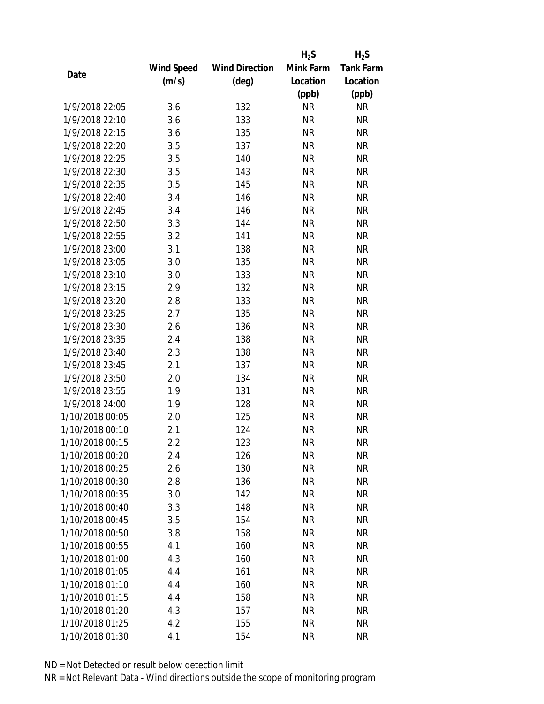|                 |                   |                       | $H_2S$    | $H_2S$           |
|-----------------|-------------------|-----------------------|-----------|------------------|
|                 | <b>Wind Speed</b> | <b>Wind Direction</b> | Mink Farm | <b>Tank Farm</b> |
| Date            | (m/s)             | $(\text{deg})$        | Location  | Location         |
|                 |                   |                       | (ppb)     | (ppb)            |
| 1/9/2018 22:05  | 3.6               | 132                   | <b>NR</b> | <b>NR</b>        |
| 1/9/2018 22:10  | 3.6               | 133                   | <b>NR</b> | <b>NR</b>        |
| 1/9/2018 22:15  | 3.6               | 135                   | <b>NR</b> | <b>NR</b>        |
| 1/9/2018 22:20  | 3.5               | 137                   | <b>NR</b> | <b>NR</b>        |
| 1/9/2018 22:25  | 3.5               | 140                   | <b>NR</b> | <b>NR</b>        |
| 1/9/2018 22:30  | 3.5               | 143                   | <b>NR</b> | <b>NR</b>        |
| 1/9/2018 22:35  | 3.5               | 145                   | <b>NR</b> | <b>NR</b>        |
| 1/9/2018 22:40  | 3.4               | 146                   | <b>NR</b> | <b>NR</b>        |
| 1/9/2018 22:45  | 3.4               | 146                   | <b>NR</b> | <b>NR</b>        |
| 1/9/2018 22:50  | 3.3               | 144                   | <b>NR</b> | <b>NR</b>        |
| 1/9/2018 22:55  | 3.2               | 141                   | <b>NR</b> | <b>NR</b>        |
| 1/9/2018 23:00  | 3.1               | 138                   | <b>NR</b> | <b>NR</b>        |
| 1/9/2018 23:05  | 3.0               | 135                   | <b>NR</b> | <b>NR</b>        |
| 1/9/2018 23:10  | 3.0               | 133                   | <b>NR</b> | <b>NR</b>        |
| 1/9/2018 23:15  | 2.9               | 132                   | <b>NR</b> | <b>NR</b>        |
| 1/9/2018 23:20  | 2.8               | 133                   | <b>NR</b> | <b>NR</b>        |
| 1/9/2018 23:25  | 2.7               | 135                   | <b>NR</b> | <b>NR</b>        |
| 1/9/2018 23:30  | 2.6               | 136                   | <b>NR</b> | <b>NR</b>        |
| 1/9/2018 23:35  | 2.4               | 138                   | <b>NR</b> | <b>NR</b>        |
| 1/9/2018 23:40  | 2.3               | 138                   | <b>NR</b> | <b>NR</b>        |
| 1/9/2018 23:45  | 2.1               | 137                   | <b>NR</b> | <b>NR</b>        |
| 1/9/2018 23:50  | 2.0               | 134                   | <b>NR</b> | <b>NR</b>        |
| 1/9/2018 23:55  | 1.9               | 131                   | <b>NR</b> | <b>NR</b>        |
| 1/9/2018 24:00  | 1.9               | 128                   | <b>NR</b> | <b>NR</b>        |
| 1/10/2018 00:05 | 2.0               | 125                   | <b>NR</b> | <b>NR</b>        |
| 1/10/2018 00:10 | 2.1               | 124                   | <b>NR</b> | <b>NR</b>        |
| 1/10/2018 00:15 | 2.2               | 123                   | <b>NR</b> | <b>NR</b>        |
| 1/10/2018 00:20 | 2.4               | 126                   | NR        | <b>NR</b>        |
| 1/10/2018 00:25 | 2.6               | 130                   | <b>NR</b> | <b>NR</b>        |
| 1/10/2018 00:30 | 2.8               | 136                   | NR        | <b>NR</b>        |
| 1/10/2018 00:35 | 3.0               | 142                   | <b>NR</b> | <b>NR</b>        |
| 1/10/2018 00:40 | 3.3               | 148                   | <b>NR</b> | <b>NR</b>        |
| 1/10/2018 00:45 | 3.5               | 154                   | <b>NR</b> | <b>NR</b>        |
| 1/10/2018 00:50 | 3.8               | 158                   | <b>NR</b> | <b>NR</b>        |
| 1/10/2018 00:55 | 4.1               | 160                   | <b>NR</b> | <b>NR</b>        |
| 1/10/2018 01:00 | 4.3               | 160                   | <b>NR</b> | <b>NR</b>        |
| 1/10/2018 01:05 | 4.4               | 161                   | NR        | <b>NR</b>        |
| 1/10/2018 01:10 | 4.4               | 160                   | NR        | <b>NR</b>        |
| 1/10/2018 01:15 | 4.4               | 158                   | <b>NR</b> | <b>NR</b>        |
| 1/10/2018 01:20 | 4.3               | 157                   | NR        | <b>NR</b>        |
| 1/10/2018 01:25 | 4.2               | 155                   | <b>NR</b> | <b>NR</b>        |
| 1/10/2018 01:30 | 4.1               | 154                   | <b>NR</b> | <b>NR</b>        |
|                 |                   |                       |           |                  |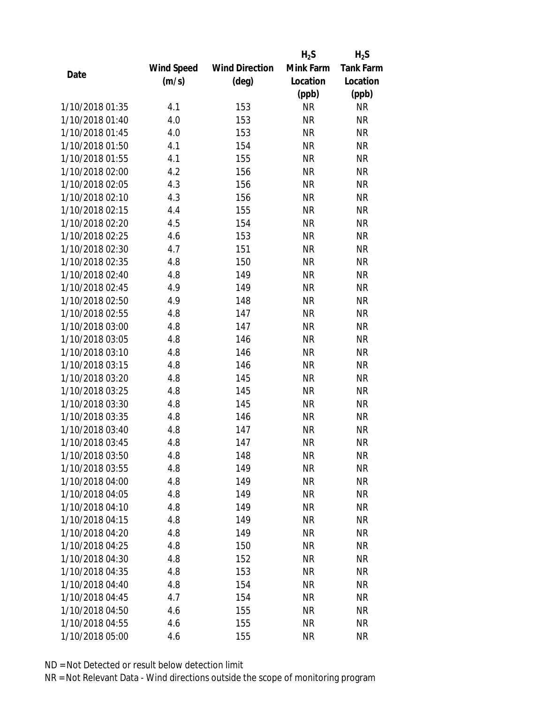|                 |                   |                       | $H_2S$    | $H_2S$           |
|-----------------|-------------------|-----------------------|-----------|------------------|
|                 | <b>Wind Speed</b> | <b>Wind Direction</b> | Mink Farm | <b>Tank Farm</b> |
| Date            | (m/s)             | (deg)                 | Location  | Location         |
|                 |                   |                       | (ppb)     | (ppb)            |
| 1/10/2018 01:35 | 4.1               | 153                   | <b>NR</b> | <b>NR</b>        |
| 1/10/2018 01:40 | 4.0               | 153                   | <b>NR</b> | <b>NR</b>        |
| 1/10/2018 01:45 | 4.0               | 153                   | <b>NR</b> | <b>NR</b>        |
| 1/10/2018 01:50 | 4.1               | 154                   | <b>NR</b> | <b>NR</b>        |
| 1/10/2018 01:55 | 4.1               | 155                   | <b>NR</b> | <b>NR</b>        |
| 1/10/2018 02:00 | 4.2               | 156                   | <b>NR</b> | <b>NR</b>        |
| 1/10/2018 02:05 | 4.3               | 156                   | <b>NR</b> | <b>NR</b>        |
| 1/10/2018 02:10 | 4.3               | 156                   | <b>NR</b> | <b>NR</b>        |
| 1/10/2018 02:15 | 4.4               | 155                   | <b>NR</b> | <b>NR</b>        |
| 1/10/2018 02:20 | 4.5               | 154                   | <b>NR</b> | <b>NR</b>        |
| 1/10/2018 02:25 | 4.6               | 153                   | <b>NR</b> | <b>NR</b>        |
| 1/10/2018 02:30 | 4.7               | 151                   | <b>NR</b> | <b>NR</b>        |
| 1/10/2018 02:35 | 4.8               | 150                   | <b>NR</b> | <b>NR</b>        |
| 1/10/2018 02:40 | 4.8               | 149                   | <b>NR</b> | <b>NR</b>        |
| 1/10/2018 02:45 | 4.9               | 149                   | <b>NR</b> | <b>NR</b>        |
| 1/10/2018 02:50 | 4.9               | 148                   | <b>NR</b> | <b>NR</b>        |
| 1/10/2018 02:55 | 4.8               | 147                   | <b>NR</b> | <b>NR</b>        |
| 1/10/2018 03:00 | 4.8               | 147                   | <b>NR</b> | <b>NR</b>        |
| 1/10/2018 03:05 | 4.8               | 146                   | <b>NR</b> | <b>NR</b>        |
| 1/10/2018 03:10 | 4.8               | 146                   | <b>NR</b> | <b>NR</b>        |
| 1/10/2018 03:15 | 4.8               | 146                   | <b>NR</b> | <b>NR</b>        |
| 1/10/2018 03:20 | 4.8               | 145                   | <b>NR</b> | <b>NR</b>        |
| 1/10/2018 03:25 | 4.8               | 145                   | <b>NR</b> | <b>NR</b>        |
| 1/10/2018 03:30 | 4.8               | 145                   | <b>NR</b> | <b>NR</b>        |
| 1/10/2018 03:35 | 4.8               | 146                   | <b>NR</b> | <b>NR</b>        |
| 1/10/2018 03:40 | 4.8               | 147                   | <b>NR</b> | <b>NR</b>        |
| 1/10/2018 03:45 | 4.8               | 147                   | <b>NR</b> | <b>NR</b>        |
| 1/10/2018 03:50 | 4.8               | 148                   | NR        | <b>NR</b>        |
| 1/10/2018 03:55 | 4.8               | 149                   | <b>NR</b> | <b>NR</b>        |
| 1/10/2018 04:00 | 4.8               | 149                   | NR        | <b>NR</b>        |
| 1/10/2018 04:05 | 4.8               | 149                   | <b>NR</b> | <b>NR</b>        |
| 1/10/2018 04:10 | 4.8               | 149                   | <b>NR</b> | <b>NR</b>        |
| 1/10/2018 04:15 | 4.8               | 149                   | ΝR        | <b>NR</b>        |
| 1/10/2018 04:20 | 4.8               | 149                   | <b>NR</b> | <b>NR</b>        |
| 1/10/2018 04:25 | 4.8               | 150                   | <b>NR</b> | <b>NR</b>        |
| 1/10/2018 04:30 | 4.8               | 152                   | <b>NR</b> | <b>NR</b>        |
| 1/10/2018 04:35 | 4.8               | 153                   | ΝR        | <b>NR</b>        |
| 1/10/2018 04:40 | 4.8               | 154                   | ΝR        | <b>NR</b>        |
| 1/10/2018 04:45 | 4.7               | 154                   | <b>NR</b> | <b>NR</b>        |
| 1/10/2018 04:50 | 4.6               | 155                   | ΝR        | <b>NR</b>        |
| 1/10/2018 04:55 | 4.6               | 155                   | <b>NR</b> | <b>NR</b>        |
| 1/10/2018 05:00 | 4.6               | 155                   | <b>NR</b> | <b>NR</b>        |
|                 |                   |                       |           |                  |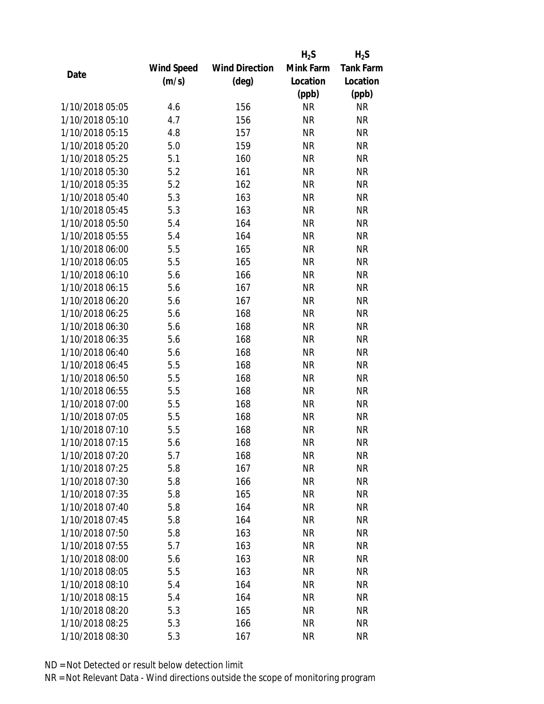|                 |                   |                       | $H_2S$    | $H_2S$           |
|-----------------|-------------------|-----------------------|-----------|------------------|
|                 | <b>Wind Speed</b> | <b>Wind Direction</b> | Mink Farm | <b>Tank Farm</b> |
| Date            | (m/s)             | $(\text{deg})$        | Location  | Location         |
|                 |                   |                       | (ppb)     | (ppb)            |
| 1/10/2018 05:05 | 4.6               | 156                   | <b>NR</b> | <b>NR</b>        |
| 1/10/2018 05:10 | 4.7               | 156                   | <b>NR</b> | <b>NR</b>        |
| 1/10/2018 05:15 | 4.8               | 157                   | <b>NR</b> | <b>NR</b>        |
| 1/10/2018 05:20 | 5.0               | 159                   | <b>NR</b> | <b>NR</b>        |
| 1/10/2018 05:25 | 5.1               | 160                   | <b>NR</b> | <b>NR</b>        |
| 1/10/2018 05:30 | 5.2               | 161                   | <b>NR</b> | <b>NR</b>        |
| 1/10/2018 05:35 | 5.2               | 162                   | <b>NR</b> | <b>NR</b>        |
| 1/10/2018 05:40 | 5.3               | 163                   | <b>NR</b> | <b>NR</b>        |
| 1/10/2018 05:45 | 5.3               | 163                   | <b>NR</b> | <b>NR</b>        |
| 1/10/2018 05:50 | 5.4               | 164                   | <b>NR</b> | <b>NR</b>        |
| 1/10/2018 05:55 | 5.4               | 164                   | <b>NR</b> | <b>NR</b>        |
| 1/10/2018 06:00 | 5.5               | 165                   | <b>NR</b> | <b>NR</b>        |
| 1/10/2018 06:05 | 5.5               | 165                   | <b>NR</b> | <b>NR</b>        |
| 1/10/2018 06:10 | 5.6               | 166                   | <b>NR</b> | <b>NR</b>        |
| 1/10/2018 06:15 | 5.6               | 167                   | <b>NR</b> | <b>NR</b>        |
| 1/10/2018 06:20 | 5.6               | 167                   | <b>NR</b> | <b>NR</b>        |
| 1/10/2018 06:25 | 5.6               | 168                   | <b>NR</b> | <b>NR</b>        |
| 1/10/2018 06:30 | 5.6               | 168                   | <b>NR</b> | <b>NR</b>        |
| 1/10/2018 06:35 | 5.6               | 168                   | <b>NR</b> | <b>NR</b>        |
| 1/10/2018 06:40 | 5.6               | 168                   | <b>NR</b> | <b>NR</b>        |
| 1/10/2018 06:45 | 5.5               | 168                   | <b>NR</b> | <b>NR</b>        |
| 1/10/2018 06:50 | 5.5               | 168                   | <b>NR</b> | <b>NR</b>        |
| 1/10/2018 06:55 | 5.5               | 168                   | <b>NR</b> | <b>NR</b>        |
| 1/10/2018 07:00 | 5.5               | 168                   | <b>NR</b> | <b>NR</b>        |
| 1/10/2018 07:05 | 5.5               | 168                   | <b>NR</b> | <b>NR</b>        |
| 1/10/2018 07:10 | 5.5               | 168                   | <b>NR</b> | <b>NR</b>        |
| 1/10/2018 07:15 | 5.6               | 168                   | <b>NR</b> | <b>NR</b>        |
| 1/10/2018 07:20 | 5.7               | 168                   | ΝR        | <b>NR</b>        |
| 1/10/2018 07:25 | 5.8               | 167                   | <b>NR</b> | <b>NR</b>        |
| 1/10/2018 07:30 | 5.8               | 166                   | NR        | <b>NR</b>        |
| 1/10/2018 07:35 | 5.8               | 165                   | <b>NR</b> | <b>NR</b>        |
| 1/10/2018 07:40 | 5.8               | 164                   | <b>NR</b> | <b>NR</b>        |
| 1/10/2018 07:45 | 5.8               | 164                   | NR        | <b>NR</b>        |
| 1/10/2018 07:50 | 5.8               | 163                   | <b>NR</b> | <b>NR</b>        |
| 1/10/2018 07:55 | 5.7               | 163                   | NR        | <b>NR</b>        |
| 1/10/2018 08:00 | 5.6               | 163                   | <b>NR</b> | <b>NR</b>        |
| 1/10/2018 08:05 | 5.5               | 163                   | NR        | <b>NR</b>        |
| 1/10/2018 08:10 | 5.4               | 164                   | NR        | <b>NR</b>        |
| 1/10/2018 08:15 | 5.4               | 164                   | <b>NR</b> | <b>NR</b>        |
| 1/10/2018 08:20 | 5.3               | 165                   | NR        | <b>NR</b>        |
| 1/10/2018 08:25 | 5.3               | 166                   | <b>NR</b> | <b>NR</b>        |
| 1/10/2018 08:30 | 5.3               | 167                   | <b>NR</b> | <b>NR</b>        |
|                 |                   |                       |           |                  |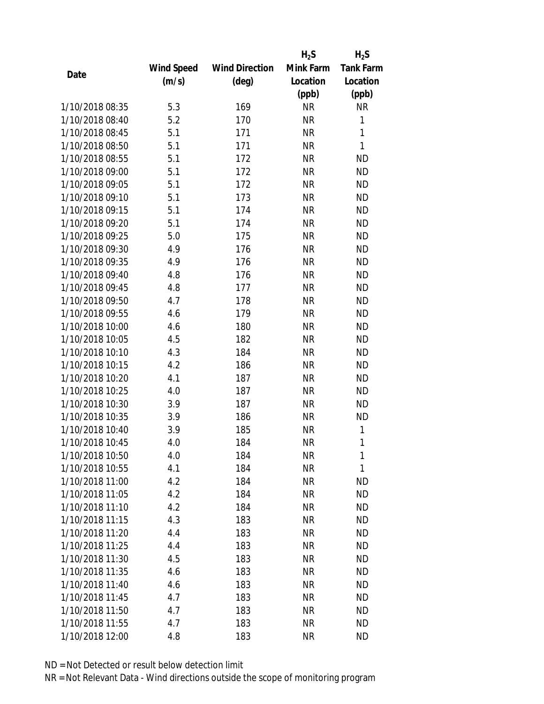|                 |                   |                       | $H_2S$    | $H_2S$           |
|-----------------|-------------------|-----------------------|-----------|------------------|
|                 | <b>Wind Speed</b> | <b>Wind Direction</b> | Mink Farm | <b>Tank Farm</b> |
| Date            | (m/s)             | (deg)                 | Location  | Location         |
|                 |                   |                       | (ppb)     | (ppb)            |
| 1/10/2018 08:35 | 5.3               | 169                   | <b>NR</b> | NR               |
| 1/10/2018 08:40 | 5.2               | 170                   | <b>NR</b> | $\mathbf{1}$     |
| 1/10/2018 08:45 | 5.1               | 171                   | <b>NR</b> | $\mathbf{1}$     |
| 1/10/2018 08:50 | 5.1               | 171                   | <b>NR</b> | $\mathbf{1}$     |
| 1/10/2018 08:55 | 5.1               | 172                   | <b>NR</b> | <b>ND</b>        |
| 1/10/2018 09:00 | 5.1               | 172                   | <b>NR</b> | <b>ND</b>        |
| 1/10/2018 09:05 | 5.1               | 172                   | <b>NR</b> | <b>ND</b>        |
| 1/10/2018 09:10 | 5.1               | 173                   | <b>NR</b> | <b>ND</b>        |
| 1/10/2018 09:15 | 5.1               | 174                   | <b>NR</b> | <b>ND</b>        |
| 1/10/2018 09:20 | 5.1               | 174                   | <b>NR</b> | <b>ND</b>        |
| 1/10/2018 09:25 | 5.0               | 175                   | <b>NR</b> | <b>ND</b>        |
| 1/10/2018 09:30 | 4.9               | 176                   | <b>NR</b> | <b>ND</b>        |
| 1/10/2018 09:35 | 4.9               | 176                   | <b>NR</b> | <b>ND</b>        |
| 1/10/2018 09:40 | 4.8               | 176                   | <b>NR</b> | <b>ND</b>        |
| 1/10/2018 09:45 | 4.8               | 177                   | <b>NR</b> | <b>ND</b>        |
| 1/10/2018 09:50 | 4.7               | 178                   | <b>NR</b> | <b>ND</b>        |
| 1/10/2018 09:55 | 4.6               | 179                   | <b>NR</b> | <b>ND</b>        |
| 1/10/2018 10:00 | 4.6               | 180                   | <b>NR</b> | <b>ND</b>        |
| 1/10/2018 10:05 | 4.5               | 182                   | <b>NR</b> | <b>ND</b>        |
| 1/10/2018 10:10 | 4.3               | 184                   | <b>NR</b> | <b>ND</b>        |
| 1/10/2018 10:15 | 4.2               | 186                   | <b>NR</b> | <b>ND</b>        |
| 1/10/2018 10:20 | 4.1               | 187                   | <b>NR</b> | <b>ND</b>        |
| 1/10/2018 10:25 | 4.0               | 187                   | <b>NR</b> | <b>ND</b>        |
| 1/10/2018 10:30 | 3.9               | 187                   | <b>NR</b> | <b>ND</b>        |
| 1/10/2018 10:35 | 3.9               | 186                   | <b>NR</b> | <b>ND</b>        |
| 1/10/2018 10:40 | 3.9               | 185                   | <b>NR</b> | 1                |
| 1/10/2018 10:45 | 4.0               | 184                   | <b>NR</b> | 1                |
| 1/10/2018 10:50 | 4.0               | 184                   | NR        | 1                |
| 1/10/2018 10:55 | 4.1               | 184                   | <b>NR</b> | 1                |
| 1/10/2018 11:00 | 4.2               | 184                   | NR        | ND               |
| 1/10/2018 11:05 | 4.2               | 184                   | <b>NR</b> | <b>ND</b>        |
| 1/10/2018 11:10 | 4.2               | 184                   | <b>NR</b> | <b>ND</b>        |
| 1/10/2018 11:15 | 4.3               | 183                   | NR        | <b>ND</b>        |
| 1/10/2018 11:20 | 4.4               | 183                   | <b>NR</b> | <b>ND</b>        |
| 1/10/2018 11:25 | 4.4               | 183                   | <b>NR</b> | <b>ND</b>        |
| 1/10/2018 11:30 | 4.5               | 183                   | <b>NR</b> | <b>ND</b>        |
| 1/10/2018 11:35 | 4.6               | 183                   | NR        | <b>ND</b>        |
| 1/10/2018 11:40 | 4.6               | 183                   | NR        | <b>ND</b>        |
| 1/10/2018 11:45 | 4.7               | 183                   | <b>NR</b> | <b>ND</b>        |
| 1/10/2018 11:50 | 4.7               | 183                   | NR        | <b>ND</b>        |
| 1/10/2018 11:55 | 4.7               | 183                   | <b>NR</b> | <b>ND</b>        |
| 1/10/2018 12:00 | 4.8               | 183                   | <b>NR</b> | <b>ND</b>        |
|                 |                   |                       |           |                  |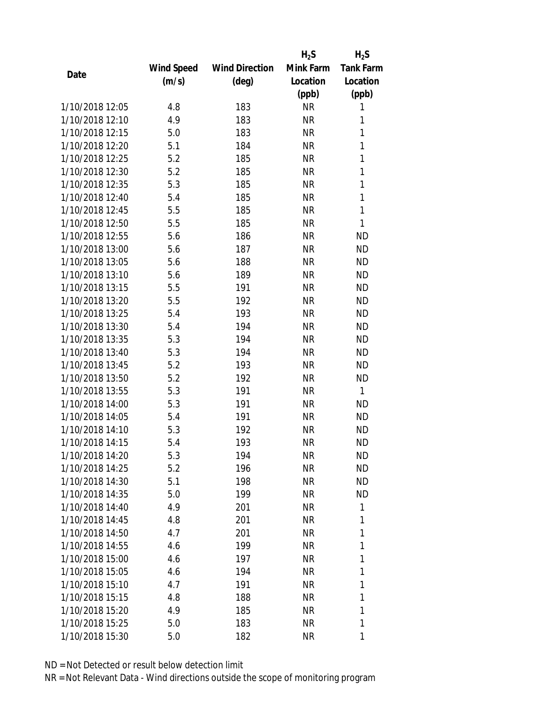|                 |                   |                       | $H_2S$    | $H_2S$           |
|-----------------|-------------------|-----------------------|-----------|------------------|
|                 | <b>Wind Speed</b> | <b>Wind Direction</b> | Mink Farm | <b>Tank Farm</b> |
| Date            | (m/s)             | (deg)                 | Location  | Location         |
|                 |                   |                       | (ppb)     | (ppb)            |
| 1/10/2018 12:05 | 4.8               | 183                   | <b>NR</b> | 1                |
| 1/10/2018 12:10 | 4.9               | 183                   | <b>NR</b> | 1                |
| 1/10/2018 12:15 | 5.0               | 183                   | <b>NR</b> | 1                |
| 1/10/2018 12:20 | 5.1               | 184                   | <b>NR</b> | 1                |
| 1/10/2018 12:25 | 5.2               | 185                   | <b>NR</b> | 1                |
| 1/10/2018 12:30 | 5.2               | 185                   | <b>NR</b> | 1                |
| 1/10/2018 12:35 | 5.3               | 185                   | <b>NR</b> | 1                |
| 1/10/2018 12:40 | 5.4               | 185                   | <b>NR</b> | $\mathbf{1}$     |
| 1/10/2018 12:45 | 5.5               | 185                   | <b>NR</b> | 1                |
| 1/10/2018 12:50 | 5.5               | 185                   | <b>NR</b> | 1                |
| 1/10/2018 12:55 | 5.6               | 186                   | <b>NR</b> | <b>ND</b>        |
| 1/10/2018 13:00 | 5.6               | 187                   | <b>NR</b> | <b>ND</b>        |
| 1/10/2018 13:05 | 5.6               | 188                   | <b>NR</b> | <b>ND</b>        |
| 1/10/2018 13:10 | 5.6               | 189                   | <b>NR</b> | <b>ND</b>        |
| 1/10/2018 13:15 | 5.5               | 191                   | <b>NR</b> | <b>ND</b>        |
| 1/10/2018 13:20 | 5.5               | 192                   | <b>NR</b> | <b>ND</b>        |
| 1/10/2018 13:25 | 5.4               | 193                   | <b>NR</b> | <b>ND</b>        |
| 1/10/2018 13:30 | 5.4               | 194                   | <b>NR</b> | <b>ND</b>        |
| 1/10/2018 13:35 | 5.3               | 194                   | <b>NR</b> | <b>ND</b>        |
| 1/10/2018 13:40 | 5.3               | 194                   | <b>NR</b> | <b>ND</b>        |
| 1/10/2018 13:45 | 5.2               | 193                   | <b>NR</b> | <b>ND</b>        |
| 1/10/2018 13:50 | 5.2               | 192                   | <b>NR</b> | <b>ND</b>        |
| 1/10/2018 13:55 | 5.3               | 191                   | <b>NR</b> | $\mathbf{1}$     |
| 1/10/2018 14:00 | 5.3               | 191                   | <b>NR</b> | <b>ND</b>        |
| 1/10/2018 14:05 | 5.4               | 191                   | <b>NR</b> | <b>ND</b>        |
| 1/10/2018 14:10 | 5.3               | 192                   | <b>NR</b> | <b>ND</b>        |
| 1/10/2018 14:15 | 5.4               | 193                   | <b>NR</b> | <b>ND</b>        |
| 1/10/2018 14:20 | 5.3               | 194                   | NR        | <b>ND</b>        |
| 1/10/2018 14:25 | 5.2               | 196                   | <b>NR</b> | <b>ND</b>        |
| 1/10/2018 14:30 | 5.1               | 198                   | NR        | ND.              |
| 1/10/2018 14:35 | 5.0               | 199                   | <b>NR</b> | <b>ND</b>        |
| 1/10/2018 14:40 | 4.9               | 201                   | <b>NR</b> | 1                |
| 1/10/2018 14:45 | 4.8               | 201                   | NR        | 1                |
| 1/10/2018 14:50 | 4.7               | 201                   | <b>NR</b> | 1                |
| 1/10/2018 14:55 | 4.6               | 199                   | <b>NR</b> | 1                |
| 1/10/2018 15:00 | 4.6               | 197                   | <b>NR</b> | 1                |
| 1/10/2018 15:05 | 4.6               | 194                   | NR        | 1                |
| 1/10/2018 15:10 | 4.7               | 191                   | NR        | 1                |
| 1/10/2018 15:15 | 4.8               | 188                   | <b>NR</b> | 1                |
| 1/10/2018 15:20 | 4.9               | 185                   | NR        | 1                |
| 1/10/2018 15:25 | 5.0               | 183                   | <b>NR</b> | 1                |
|                 |                   |                       |           |                  |
| 1/10/2018 15:30 | 5.0               | 182                   | <b>NR</b> | 1                |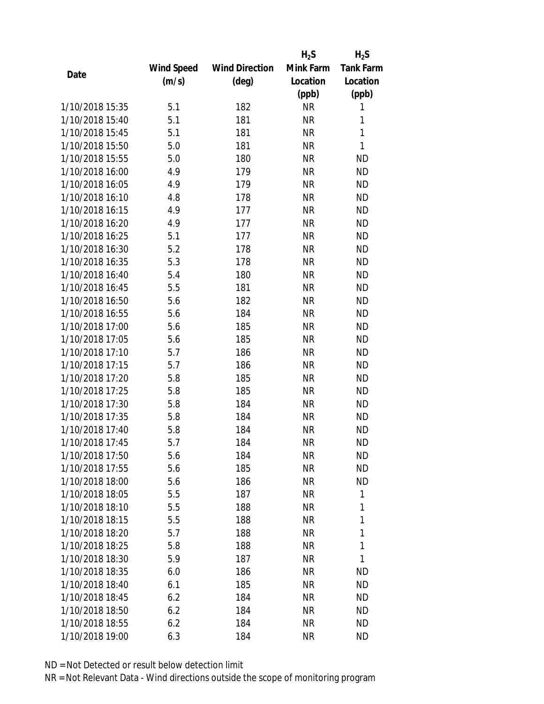|                 |                   |                       | $H_2S$    | $H_2S$           |
|-----------------|-------------------|-----------------------|-----------|------------------|
|                 | <b>Wind Speed</b> | <b>Wind Direction</b> | Mink Farm | <b>Tank Farm</b> |
| Date            | (m/s)             | (deg)                 | Location  | Location         |
|                 |                   |                       | (ppb)     | (ppb)            |
| 1/10/2018 15:35 | 5.1               | 182                   | <b>NR</b> | 1                |
| 1/10/2018 15:40 | 5.1               | 181                   | <b>NR</b> | 1                |
| 1/10/2018 15:45 | 5.1               | 181                   | <b>NR</b> | $\mathbf{1}$     |
| 1/10/2018 15:50 | 5.0               | 181                   | <b>NR</b> | $\mathbf{1}$     |
| 1/10/2018 15:55 | 5.0               | 180                   | <b>NR</b> | <b>ND</b>        |
| 1/10/2018 16:00 | 4.9               | 179                   | <b>NR</b> | <b>ND</b>        |
| 1/10/2018 16:05 | 4.9               | 179                   | <b>NR</b> | <b>ND</b>        |
| 1/10/2018 16:10 | 4.8               | 178                   | <b>NR</b> | <b>ND</b>        |
| 1/10/2018 16:15 | 4.9               | 177                   | <b>NR</b> | <b>ND</b>        |
| 1/10/2018 16:20 | 4.9               | 177                   | <b>NR</b> | <b>ND</b>        |
| 1/10/2018 16:25 | 5.1               | 177                   | <b>NR</b> | <b>ND</b>        |
| 1/10/2018 16:30 | 5.2               | 178                   | <b>NR</b> | <b>ND</b>        |
| 1/10/2018 16:35 | 5.3               | 178                   | <b>NR</b> | <b>ND</b>        |
| 1/10/2018 16:40 | 5.4               | 180                   | <b>NR</b> | <b>ND</b>        |
| 1/10/2018 16:45 | 5.5               | 181                   | <b>NR</b> | <b>ND</b>        |
| 1/10/2018 16:50 | 5.6               | 182                   | <b>NR</b> | <b>ND</b>        |
| 1/10/2018 16:55 | 5.6               | 184                   | <b>NR</b> | <b>ND</b>        |
| 1/10/2018 17:00 | 5.6               | 185                   | <b>NR</b> | <b>ND</b>        |
| 1/10/2018 17:05 | 5.6               | 185                   | <b>NR</b> | <b>ND</b>        |
| 1/10/2018 17:10 | 5.7               | 186                   | <b>NR</b> | <b>ND</b>        |
| 1/10/2018 17:15 | 5.7               | 186                   | <b>NR</b> | <b>ND</b>        |
| 1/10/2018 17:20 | 5.8               | 185                   | <b>NR</b> | <b>ND</b>        |
| 1/10/2018 17:25 | 5.8               | 185                   | <b>NR</b> | <b>ND</b>        |
| 1/10/2018 17:30 | 5.8               | 184                   | <b>NR</b> | <b>ND</b>        |
| 1/10/2018 17:35 | 5.8               | 184                   | <b>NR</b> | <b>ND</b>        |
| 1/10/2018 17:40 | 5.8               | 184                   | <b>NR</b> | <b>ND</b>        |
| 1/10/2018 17:45 | 5.7               | 184                   | <b>NR</b> | <b>ND</b>        |
| 1/10/2018 17:50 | 5.6               | 184                   | NR        | ND               |
| 1/10/2018 17:55 | 5.6               | 185                   | <b>NR</b> | ND               |
| 1/10/2018 18:00 | 5.6               | 186                   | NR        | <b>ND</b>        |
| 1/10/2018 18:05 | 5.5               | 187                   | <b>NR</b> | 1                |
| 1/10/2018 18:10 | 5.5               | 188                   | <b>NR</b> | 1                |
| 1/10/2018 18:15 | 5.5               | 188                   | NR        | 1                |
| 1/10/2018 18:20 | 5.7               | 188                   | <b>NR</b> | 1                |
| 1/10/2018 18:25 | 5.8               | 188                   | NR        | $\mathbf{1}$     |
| 1/10/2018 18:30 | 5.9               | 187                   | <b>NR</b> | 1                |
| 1/10/2018 18:35 | 6.0               | 186                   | NR        | ΝD               |
| 1/10/2018 18:40 | 6.1               | 185                   | NR        | <b>ND</b>        |
| 1/10/2018 18:45 | 6.2               | 184                   | NR        | ND.              |
| 1/10/2018 18:50 | 6.2               | 184                   | NR        | ND               |
| 1/10/2018 18:55 | 6.2               | 184                   | <b>NR</b> | ND               |
| 1/10/2018 19:00 | 6.3               | 184                   | <b>NR</b> | <b>ND</b>        |
|                 |                   |                       |           |                  |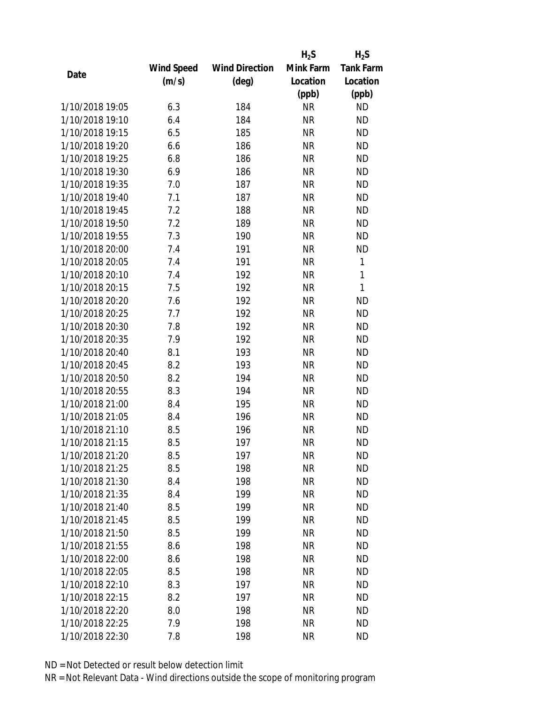|                 |                   |                       | $H_2S$    | $H_2S$           |
|-----------------|-------------------|-----------------------|-----------|------------------|
|                 | <b>Wind Speed</b> | <b>Wind Direction</b> | Mink Farm | <b>Tank Farm</b> |
| Date            | (m/s)             | (deg)                 | Location  | Location         |
|                 |                   |                       | (ppb)     | (ppb)            |
| 1/10/2018 19:05 | 6.3               | 184                   | <b>NR</b> | <b>ND</b>        |
| 1/10/2018 19:10 | 6.4               | 184                   | <b>NR</b> | <b>ND</b>        |
| 1/10/2018 19:15 | 6.5               | 185                   | <b>NR</b> | <b>ND</b>        |
| 1/10/2018 19:20 | 6.6               | 186                   | <b>NR</b> | <b>ND</b>        |
| 1/10/2018 19:25 | 6.8               | 186                   | <b>NR</b> | <b>ND</b>        |
| 1/10/2018 19:30 | 6.9               | 186                   | <b>NR</b> | <b>ND</b>        |
| 1/10/2018 19:35 | 7.0               | 187                   | <b>NR</b> | <b>ND</b>        |
| 1/10/2018 19:40 | 7.1               | 187                   | <b>NR</b> | <b>ND</b>        |
| 1/10/2018 19:45 | 7.2               | 188                   | <b>NR</b> | <b>ND</b>        |
| 1/10/2018 19:50 | 7.2               | 189                   | <b>NR</b> | <b>ND</b>        |
| 1/10/2018 19:55 | 7.3               | 190                   | <b>NR</b> | <b>ND</b>        |
| 1/10/2018 20:00 | 7.4               | 191                   | <b>NR</b> | <b>ND</b>        |
| 1/10/2018 20:05 | 7.4               | 191                   | <b>NR</b> | $\mathbf{1}$     |
| 1/10/2018 20:10 | 7.4               | 192                   | <b>NR</b> | $\mathbf{1}$     |
| 1/10/2018 20:15 | 7.5               | 192                   | <b>NR</b> | $\mathbf{1}$     |
| 1/10/2018 20:20 | 7.6               | 192                   | <b>NR</b> | <b>ND</b>        |
| 1/10/2018 20:25 | 7.7               | 192                   | <b>NR</b> | <b>ND</b>        |
| 1/10/2018 20:30 | 7.8               | 192                   | <b>NR</b> | <b>ND</b>        |
| 1/10/2018 20:35 | 7.9               | 192                   | <b>NR</b> | <b>ND</b>        |
| 1/10/2018 20:40 | 8.1               | 193                   | <b>NR</b> | <b>ND</b>        |
| 1/10/2018 20:45 | 8.2               | 193                   | <b>NR</b> | <b>ND</b>        |
| 1/10/2018 20:50 | 8.2               | 194                   | <b>NR</b> | <b>ND</b>        |
| 1/10/2018 20:55 | 8.3               | 194                   | <b>NR</b> | <b>ND</b>        |
| 1/10/2018 21:00 | 8.4               | 195                   | <b>NR</b> | <b>ND</b>        |
| 1/10/2018 21:05 | 8.4               | 196                   | <b>NR</b> | <b>ND</b>        |
| 1/10/2018 21:10 | 8.5               | 196                   | <b>NR</b> | <b>ND</b>        |
| 1/10/2018 21:15 | 8.5               | 197                   | <b>NR</b> | <b>ND</b>        |
| 1/10/2018 21:20 | 8.5               | 197                   | ΝR        | ND               |
| 1/10/2018 21:25 | 8.5               | 198                   | <b>NR</b> | <b>ND</b>        |
| 1/10/2018 21:30 | 8.4               | 198                   | <b>NR</b> | <b>ND</b>        |
| 1/10/2018 21:35 | 8.4               | 199                   | <b>NR</b> | <b>ND</b>        |
| 1/10/2018 21:40 | 8.5               | 199                   | <b>NR</b> | <b>ND</b>        |
| 1/10/2018 21:45 | 8.5               | 199                   | <b>NR</b> | <b>ND</b>        |
| 1/10/2018 21:50 | 8.5               | 199                   | <b>NR</b> | <b>ND</b>        |
| 1/10/2018 21:55 | 8.6               | 198                   | <b>NR</b> | <b>ND</b>        |
| 1/10/2018 22:00 | 8.6               | 198                   | <b>NR</b> | <b>ND</b>        |
| 1/10/2018 22:05 | 8.5               | 198                   | ΝR        | <b>ND</b>        |
| 1/10/2018 22:10 | 8.3               | 197                   | ΝR        | <b>ND</b>        |
| 1/10/2018 22:15 | 8.2               | 197                   | <b>NR</b> | <b>ND</b>        |
| 1/10/2018 22:20 | 8.0               | 198                   | ΝR        | <b>ND</b>        |
| 1/10/2018 22:25 | 7.9               | 198                   | <b>NR</b> | <b>ND</b>        |
| 1/10/2018 22:30 | 7.8               | 198                   | <b>NR</b> | <b>ND</b>        |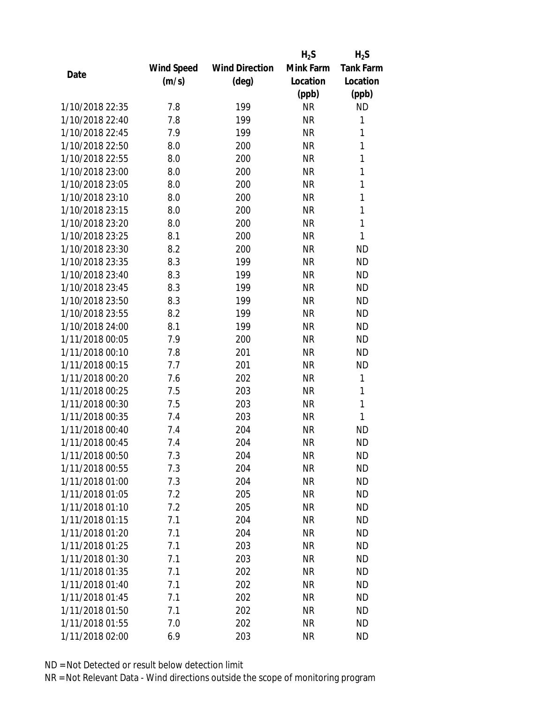|                 |                   |                       | $H_2S$    | $H_2S$           |
|-----------------|-------------------|-----------------------|-----------|------------------|
|                 | <b>Wind Speed</b> | <b>Wind Direction</b> | Mink Farm | <b>Tank Farm</b> |
| Date            | (m/s)             | (deg)                 | Location  | Location         |
|                 |                   |                       | (ppb)     | (ppb)            |
| 1/10/2018 22:35 | 7.8               | 199                   | <b>NR</b> | <b>ND</b>        |
| 1/10/2018 22:40 | 7.8               | 199                   | <b>NR</b> | $\mathbf{1}$     |
| 1/10/2018 22:45 | 7.9               | 199                   | <b>NR</b> | 1                |
| 1/10/2018 22:50 | 8.0               | 200                   | <b>NR</b> | 1                |
| 1/10/2018 22:55 | 8.0               | 200                   | <b>NR</b> | 1                |
| 1/10/2018 23:00 | 8.0               | 200                   | <b>NR</b> | 1                |
| 1/10/2018 23:05 | 8.0               | 200                   | <b>NR</b> | 1                |
| 1/10/2018 23:10 | 8.0               | 200                   | <b>NR</b> | 1                |
| 1/10/2018 23:15 | 8.0               | 200                   | <b>NR</b> | 1                |
| 1/10/2018 23:20 | 8.0               | 200                   | <b>NR</b> | $\mathbf{1}$     |
| 1/10/2018 23:25 | 8.1               | 200                   | <b>NR</b> | 1                |
| 1/10/2018 23:30 | 8.2               | 200                   | <b>NR</b> | <b>ND</b>        |
| 1/10/2018 23:35 | 8.3               | 199                   | <b>NR</b> | <b>ND</b>        |
| 1/10/2018 23:40 | 8.3               | 199                   | <b>NR</b> | <b>ND</b>        |
| 1/10/2018 23:45 | 8.3               | 199                   | <b>NR</b> | <b>ND</b>        |
| 1/10/2018 23:50 | 8.3               | 199                   | <b>NR</b> | <b>ND</b>        |
| 1/10/2018 23:55 | 8.2               | 199                   | <b>NR</b> | <b>ND</b>        |
| 1/10/2018 24:00 | 8.1               | 199                   | <b>NR</b> | <b>ND</b>        |
| 1/11/2018 00:05 | 7.9               | 200                   | <b>NR</b> | <b>ND</b>        |
| 1/11/2018 00:10 | 7.8               | 201                   | <b>NR</b> | <b>ND</b>        |
| 1/11/2018 00:15 | 7.7               | 201                   | <b>NR</b> | <b>ND</b>        |
| 1/11/2018 00:20 | 7.6               | 202                   | <b>NR</b> | 1                |
| 1/11/2018 00:25 | 7.5               | 203                   | <b>NR</b> | 1                |
| 1/11/2018 00:30 | 7.5               | 203                   | <b>NR</b> | 1                |
| 1/11/2018 00:35 | 7.4               | 203                   | <b>NR</b> | 1                |
| 1/11/2018 00:40 | 7.4               | 204                   | <b>NR</b> | <b>ND</b>        |
| 1/11/2018 00:45 | 7.4               | 204                   | <b>NR</b> | <b>ND</b>        |
| 1/11/2018 00:50 | 7.3               | 204                   | NR        | ND               |
| 1/11/2018 00:55 | 7.3               | 204                   | <b>NR</b> | <b>ND</b>        |
| 1/11/2018 01:00 | 7.3               | 204                   | NR        | <b>ND</b>        |
| 1/11/2018 01:05 | 7.2               | 205                   | <b>NR</b> | <b>ND</b>        |
| 1/11/2018 01:10 | 7.2               | 205                   | <b>NR</b> | <b>ND</b>        |
| 1/11/2018 01:15 | 7.1               | 204                   | NR        | <b>ND</b>        |
| 1/11/2018 01:20 | 7.1               | 204                   | <b>NR</b> | <b>ND</b>        |
| 1/11/2018 01:25 | 7.1               | 203                   | NR        | <b>ND</b>        |
| 1/11/2018 01:30 | 7.1               | 203                   | <b>NR</b> | <b>ND</b>        |
| 1/11/2018 01:35 | 7.1               | 202                   | NR        | <b>ND</b>        |
| 1/11/2018 01:40 | 7.1               | 202                   | NR        | <b>ND</b>        |
| 1/11/2018 01:45 | 7.1               | 202                   | <b>NR</b> | <b>ND</b>        |
| 1/11/2018 01:50 | 7.1               | 202                   | NR        | <b>ND</b>        |
| 1/11/2018 01:55 | 7.0               | 202                   | <b>NR</b> | <b>ND</b>        |
| 1/11/2018 02:00 | 6.9               | 203                   | <b>NR</b> | <b>ND</b>        |
|                 |                   |                       |           |                  |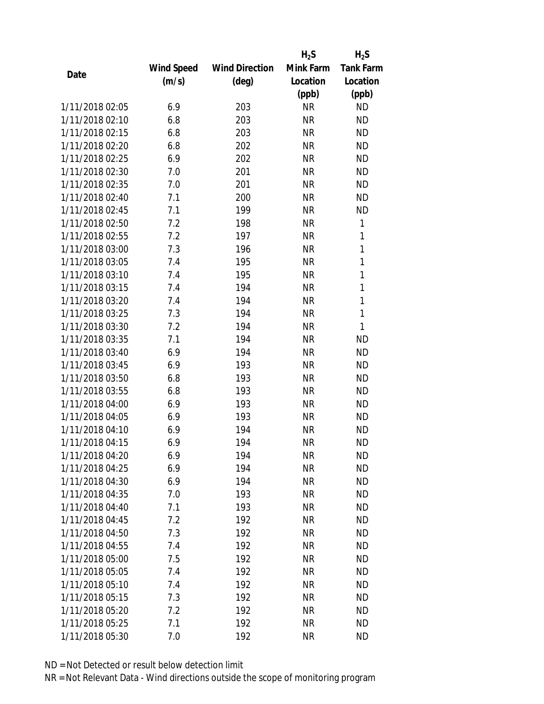|                 |                   |                       | $H_2S$    | $H_2S$           |
|-----------------|-------------------|-----------------------|-----------|------------------|
|                 | <b>Wind Speed</b> | <b>Wind Direction</b> | Mink Farm | <b>Tank Farm</b> |
| Date            | (m/s)             | (deg)                 | Location  | Location         |
|                 |                   |                       | (ppb)     | (ppb)            |
| 1/11/2018 02:05 | 6.9               | 203                   | <b>NR</b> | <b>ND</b>        |
| 1/11/2018 02:10 | 6.8               | 203                   | <b>NR</b> | <b>ND</b>        |
| 1/11/2018 02:15 | 6.8               | 203                   | <b>NR</b> | <b>ND</b>        |
| 1/11/2018 02:20 | 6.8               | 202                   | <b>NR</b> | <b>ND</b>        |
| 1/11/2018 02:25 | 6.9               | 202                   | <b>NR</b> | <b>ND</b>        |
| 1/11/2018 02:30 | 7.0               | 201                   | <b>NR</b> | <b>ND</b>        |
| 1/11/2018 02:35 | 7.0               | 201                   | <b>NR</b> | <b>ND</b>        |
| 1/11/2018 02:40 | 7.1               | 200                   | <b>NR</b> | <b>ND</b>        |
| 1/11/2018 02:45 | 7.1               | 199                   | <b>NR</b> | <b>ND</b>        |
| 1/11/2018 02:50 | 7.2               | 198                   | <b>NR</b> | 1                |
| 1/11/2018 02:55 | 7.2               | 197                   | <b>NR</b> | 1                |
| 1/11/2018 03:00 | 7.3               | 196                   | <b>NR</b> | $\mathbf{1}$     |
| 1/11/2018 03:05 | 7.4               | 195                   | <b>NR</b> | $\mathbf{1}$     |
| 1/11/2018 03:10 | 7.4               | 195                   | <b>NR</b> | $\mathbf{1}$     |
| 1/11/2018 03:15 | 7.4               | 194                   | <b>NR</b> | 1                |
| 1/11/2018 03:20 | 7.4               | 194                   | <b>NR</b> | $\mathbf{1}$     |
| 1/11/2018 03:25 | 7.3               | 194                   | <b>NR</b> | $\mathbf{1}$     |
| 1/11/2018 03:30 | 7.2               | 194                   | <b>NR</b> | $\mathbf{1}$     |
| 1/11/2018 03:35 | 7.1               | 194                   | <b>NR</b> | <b>ND</b>        |
| 1/11/2018 03:40 | 6.9               | 194                   | <b>NR</b> | <b>ND</b>        |
| 1/11/2018 03:45 | 6.9               | 193                   | <b>NR</b> | <b>ND</b>        |
| 1/11/2018 03:50 | 6.8               | 193                   | <b>NR</b> | <b>ND</b>        |
| 1/11/2018 03:55 | 6.8               | 193                   | <b>NR</b> | <b>ND</b>        |
| 1/11/2018 04:00 | 6.9               | 193                   | <b>NR</b> | <b>ND</b>        |
| 1/11/2018 04:05 | 6.9               | 193                   | <b>NR</b> | <b>ND</b>        |
| 1/11/2018 04:10 | 6.9               | 194                   | <b>NR</b> | <b>ND</b>        |
| 1/11/2018 04:15 | 6.9               | 194                   | <b>NR</b> | <b>ND</b>        |
| 1/11/2018 04:20 | 6.9               | 194                   | NR        | ND               |
| 1/11/2018 04:25 | 6.9               | 194                   | <b>NR</b> | <b>ND</b>        |
| 1/11/2018 04:30 | 6.9               | 194                   | <b>NR</b> | <b>ND</b>        |
| 1/11/2018 04:35 | 7.0               | 193                   | <b>NR</b> | <b>ND</b>        |
| 1/11/2018 04:40 | 7.1               | 193                   | <b>NR</b> | <b>ND</b>        |
| 1/11/2018 04:45 | 7.2               | 192                   | <b>NR</b> | <b>ND</b>        |
| 1/11/2018 04:50 | 7.3               | 192                   | <b>NR</b> | <b>ND</b>        |
| 1/11/2018 04:55 | 7.4               | 192                   | <b>NR</b> | <b>ND</b>        |
| 1/11/2018 05:00 | 7.5               | 192                   | <b>NR</b> | <b>ND</b>        |
| 1/11/2018 05:05 | 7.4               | 192                   | <b>NR</b> | ND               |
| 1/11/2018 05:10 | 7.4               | 192                   | NR        | <b>ND</b>        |
| 1/11/2018 05:15 | 7.3               | 192                   | <b>NR</b> | <b>ND</b>        |
| 1/11/2018 05:20 | 7.2               | 192                   | NR        | <b>ND</b>        |
| 1/11/2018 05:25 | 7.1               | 192                   | <b>NR</b> | <b>ND</b>        |
| 1/11/2018 05:30 | 7.0               | 192                   | <b>NR</b> | <b>ND</b>        |
|                 |                   |                       |           |                  |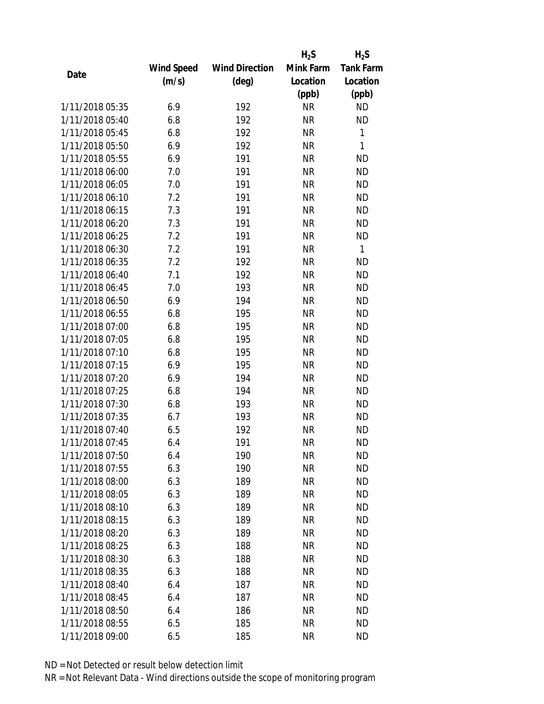|                 |            |                       | $H_2S$    | $H_2S$           |
|-----------------|------------|-----------------------|-----------|------------------|
|                 | Wind Speed | <b>Wind Direction</b> | Mink Farm | <b>Tank Farm</b> |
| Date            | (m/s)      | (deg)                 | Location  | Location         |
|                 |            |                       | (ppb)     | (ppb)            |
| 1/11/2018 05:35 | 6.9        | 192                   | <b>NR</b> | <b>ND</b>        |
| 1/11/2018 05:40 | 6.8        | 192                   | <b>NR</b> | <b>ND</b>        |
| 1/11/2018 05:45 | 6.8        | 192                   | <b>NR</b> | $\mathbf{1}$     |
| 1/11/2018 05:50 | 6.9        | 192                   | <b>NR</b> | 1                |
| 1/11/2018 05:55 | 6.9        | 191                   | <b>NR</b> | <b>ND</b>        |
| 1/11/2018 06:00 | 7.0        | 191                   | <b>NR</b> | <b>ND</b>        |
| 1/11/2018 06:05 | 7.0        | 191                   | <b>NR</b> | <b>ND</b>        |
| 1/11/2018 06:10 | 7.2        | 191                   | <b>NR</b> | <b>ND</b>        |
| 1/11/2018 06:15 | 7.3        | 191                   | <b>NR</b> | <b>ND</b>        |
| 1/11/2018 06:20 | 7.3        | 191                   | <b>NR</b> | <b>ND</b>        |
| 1/11/2018 06:25 | 7.2        | 191                   | <b>NR</b> | <b>ND</b>        |
| 1/11/2018 06:30 | 7.2        | 191                   | <b>NR</b> | $\mathbf{1}$     |
| 1/11/2018 06:35 | 7.2        | 192                   | <b>NR</b> | <b>ND</b>        |
| 1/11/2018 06:40 | 7.1        | 192                   | <b>NR</b> | <b>ND</b>        |
| 1/11/2018 06:45 | 7.0        | 193                   | <b>NR</b> | <b>ND</b>        |
| 1/11/2018 06:50 | 6.9        | 194                   | <b>NR</b> | <b>ND</b>        |
| 1/11/2018 06:55 | 6.8        | 195                   | <b>NR</b> | <b>ND</b>        |
| 1/11/2018 07:00 | 6.8        | 195                   | <b>NR</b> | <b>ND</b>        |
| 1/11/2018 07:05 | 6.8        | 195                   | <b>NR</b> | <b>ND</b>        |
| 1/11/2018 07:10 | 6.8        | 195                   | <b>NR</b> | <b>ND</b>        |
| 1/11/2018 07:15 | 6.9        | 195                   | <b>NR</b> | <b>ND</b>        |
| 1/11/2018 07:20 | 6.9        | 194                   | <b>NR</b> | <b>ND</b>        |
| 1/11/2018 07:25 | 6.8        | 194                   | <b>NR</b> | <b>ND</b>        |
| 1/11/2018 07:30 | 6.8        | 193                   | <b>NR</b> | <b>ND</b>        |
| 1/11/2018 07:35 | 6.7        | 193                   | <b>NR</b> | <b>ND</b>        |
| 1/11/2018 07:40 | 6.5        | 192                   | <b>NR</b> | <b>ND</b>        |
| 1/11/2018 07:45 | 6.4        | 191                   | <b>NR</b> | <b>ND</b>        |
| 1/11/2018 07:50 | 6.4        | 190                   | ΝR        | <b>ND</b>        |
| 1/11/2018 07:55 | 6.3        | 190                   | <b>NR</b> | <b>ND</b>        |
| 1/11/2018 08:00 | 6.3        | 189                   | <b>NR</b> | <b>ND</b>        |
| 1/11/2018 08:05 | 6.3        | 189                   | <b>NR</b> | <b>ND</b>        |
| 1/11/2018 08:10 | 6.3        | 189                   | <b>NR</b> | <b>ND</b>        |
| 1/11/2018 08:15 | 6.3        | 189                   | <b>NR</b> | <b>ND</b>        |
| 1/11/2018 08:20 | 6.3        | 189                   | <b>NR</b> | <b>ND</b>        |
| 1/11/2018 08:25 | 6.3        | 188                   | <b>NR</b> | <b>ND</b>        |
| 1/11/2018 08:30 | 6.3        | 188                   | <b>NR</b> | <b>ND</b>        |
| 1/11/2018 08:35 | 6.3        | 188                   | <b>NR</b> | ND.              |
| 1/11/2018 08:40 | 6.4        | 187                   | NR        | <b>ND</b>        |
| 1/11/2018 08:45 | 6.4        | 187                   | <b>NR</b> | <b>ND</b>        |
| 1/11/2018 08:50 | 6.4        | 186                   | NR        | <b>ND</b>        |
| 1/11/2018 08:55 | 6.5        | 185                   | <b>NR</b> | <b>ND</b>        |
| 1/11/2018 09:00 | 6.5        | 185                   | <b>NR</b> | <b>ND</b>        |
|                 |            |                       |           |                  |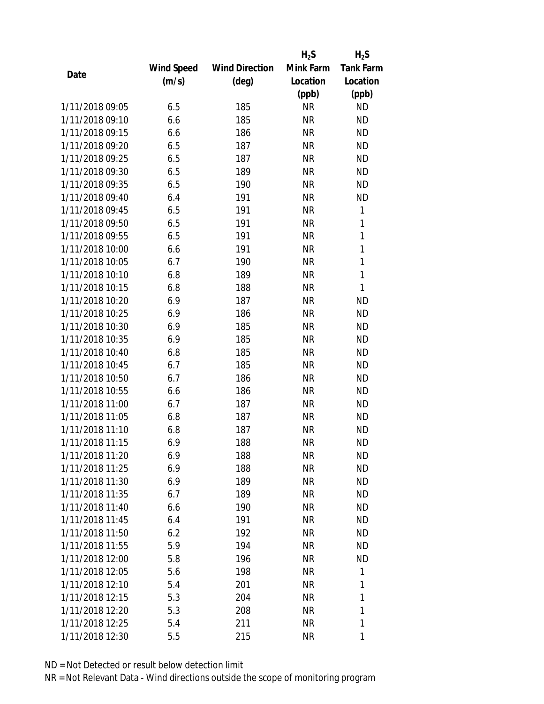|                 |            |                       | $H_2S$    | $H_2S$           |
|-----------------|------------|-----------------------|-----------|------------------|
|                 | Wind Speed | <b>Wind Direction</b> | Mink Farm | <b>Tank Farm</b> |
| Date            | (m/s)      | (deg)                 | Location  | Location         |
|                 |            |                       | (ppb)     | (ppb)            |
| 1/11/2018 09:05 | 6.5        | 185                   | <b>NR</b> | <b>ND</b>        |
| 1/11/2018 09:10 | 6.6        | 185                   | <b>NR</b> | <b>ND</b>        |
| 1/11/2018 09:15 | 6.6        | 186                   | <b>NR</b> | <b>ND</b>        |
| 1/11/2018 09:20 | 6.5        | 187                   | <b>NR</b> | <b>ND</b>        |
| 1/11/2018 09:25 | 6.5        | 187                   | <b>NR</b> | <b>ND</b>        |
| 1/11/2018 09:30 | 6.5        | 189                   | <b>NR</b> | <b>ND</b>        |
| 1/11/2018 09:35 | 6.5        | 190                   | <b>NR</b> | <b>ND</b>        |
| 1/11/2018 09:40 | 6.4        | 191                   | <b>NR</b> | <b>ND</b>        |
| 1/11/2018 09:45 | 6.5        | 191                   | <b>NR</b> | 1                |
| 1/11/2018 09:50 | 6.5        | 191                   | <b>NR</b> | 1                |
| 1/11/2018 09:55 | 6.5        | 191                   | <b>NR</b> | 1                |
| 1/11/2018 10:00 | 6.6        | 191                   | <b>NR</b> | $\mathbf{1}$     |
| 1/11/2018 10:05 | 6.7        | 190                   | <b>NR</b> | $\mathbf{1}$     |
| 1/11/2018 10:10 | 6.8        | 189                   | <b>NR</b> | $\mathbf{1}$     |
| 1/11/2018 10:15 | 6.8        | 188                   | <b>NR</b> | $\mathbf{1}$     |
| 1/11/2018 10:20 | 6.9        | 187                   | <b>NR</b> | <b>ND</b>        |
| 1/11/2018 10:25 | 6.9        | 186                   | <b>NR</b> | <b>ND</b>        |
| 1/11/2018 10:30 | 6.9        | 185                   | <b>NR</b> | <b>ND</b>        |
| 1/11/2018 10:35 | 6.9        | 185                   | <b>NR</b> | <b>ND</b>        |
| 1/11/2018 10:40 | 6.8        | 185                   | <b>NR</b> | <b>ND</b>        |
| 1/11/2018 10:45 | 6.7        | 185                   | <b>NR</b> | <b>ND</b>        |
| 1/11/2018 10:50 | 6.7        | 186                   | <b>NR</b> | <b>ND</b>        |
| 1/11/2018 10:55 | 6.6        | 186                   | <b>NR</b> | <b>ND</b>        |
| 1/11/2018 11:00 | 6.7        | 187                   | <b>NR</b> | <b>ND</b>        |
| 1/11/2018 11:05 | 6.8        | 187                   | <b>NR</b> | <b>ND</b>        |
| 1/11/2018 11:10 | 6.8        | 187                   | <b>NR</b> | <b>ND</b>        |
| 1/11/2018 11:15 | 6.9        | 188                   | <b>NR</b> | <b>ND</b>        |
| 1/11/2018 11:20 | 6.9        | 188                   | ΝR        | ND               |
| 1/11/2018 11:25 | 6.9        | 188                   | <b>NR</b> | <b>ND</b>        |
| 1/11/2018 11:30 | 6.9        | 189                   | NR        | <b>ND</b>        |
| 1/11/2018 11:35 | 6.7        | 189                   | <b>NR</b> | <b>ND</b>        |
| 1/11/2018 11:40 | 6.6        | 190                   | <b>NR</b> | <b>ND</b>        |
| 1/11/2018 11:45 | 6.4        | 191                   | NR        | <b>ND</b>        |
| 1/11/2018 11:50 | 6.2        | 192                   | <b>NR</b> | <b>ND</b>        |
| 1/11/2018 11:55 | 5.9        | 194                   | NR        | <b>ND</b>        |
| 1/11/2018 12:00 | 5.8        | 196                   | <b>NR</b> | <b>ND</b>        |
| 1/11/2018 12:05 | 5.6        | 198                   | <b>NR</b> | 1                |
| 1/11/2018 12:10 | 5.4        | 201                   | NR        | 1                |
| 1/11/2018 12:15 | 5.3        | 204                   | <b>NR</b> | 1                |
| 1/11/2018 12:20 | 5.3        | 208                   | ΝR        | 1                |
| 1/11/2018 12:25 | 5.4        | 211                   | <b>NR</b> | 1                |
| 1/11/2018 12:30 | 5.5        | 215                   | <b>NR</b> | 1                |
|                 |            |                       |           |                  |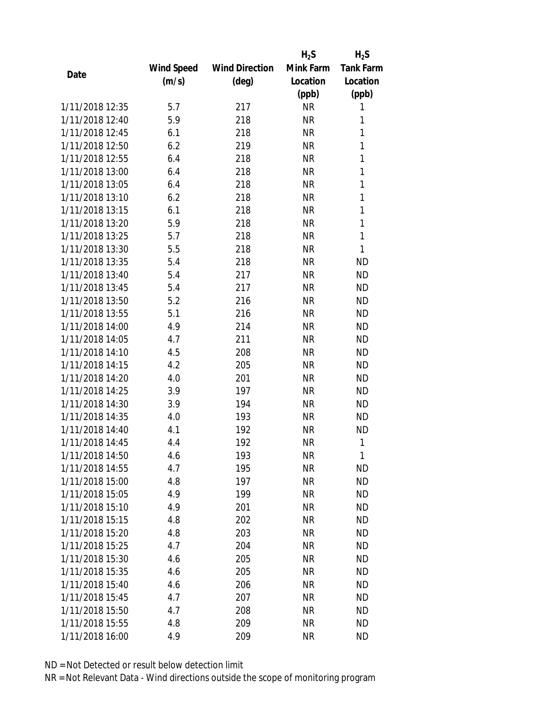|                 |            |                       | $H_2S$    | $H_2S$           |
|-----------------|------------|-----------------------|-----------|------------------|
|                 | Wind Speed | <b>Wind Direction</b> | Mink Farm | <b>Tank Farm</b> |
| Date            | (m/s)      | (deg)                 | Location  | Location         |
|                 |            |                       | (ppb)     | (ppb)            |
| 1/11/2018 12:35 | 5.7        | 217                   | <b>NR</b> | 1                |
| 1/11/2018 12:40 | 5.9        | 218                   | <b>NR</b> | 1                |
| 1/11/2018 12:45 | 6.1        | 218                   | <b>NR</b> | 1                |
| 1/11/2018 12:50 | 6.2        | 219                   | <b>NR</b> | 1                |
| 1/11/2018 12:55 | 6.4        | 218                   | <b>NR</b> | 1                |
| 1/11/2018 13:00 | 6.4        | 218                   | <b>NR</b> | 1                |
| 1/11/2018 13:05 | 6.4        | 218                   | <b>NR</b> | 1                |
| 1/11/2018 13:10 | 6.2        | 218                   | <b>NR</b> | 1                |
| 1/11/2018 13:15 | 6.1        | 218                   | <b>NR</b> | 1                |
| 1/11/2018 13:20 | 5.9        | 218                   | <b>NR</b> | 1                |
| 1/11/2018 13:25 | 5.7        | 218                   | <b>NR</b> | 1                |
| 1/11/2018 13:30 | 5.5        | 218                   | <b>NR</b> | 1                |
| 1/11/2018 13:35 | 5.4        | 218                   | <b>NR</b> | <b>ND</b>        |
| 1/11/2018 13:40 | 5.4        | 217                   | <b>NR</b> | <b>ND</b>        |
| 1/11/2018 13:45 | 5.4        | 217                   | <b>NR</b> | <b>ND</b>        |
| 1/11/2018 13:50 | 5.2        | 216                   | <b>NR</b> | <b>ND</b>        |
| 1/11/2018 13:55 | 5.1        | 216                   | <b>NR</b> | <b>ND</b>        |
| 1/11/2018 14:00 | 4.9        | 214                   | <b>NR</b> | <b>ND</b>        |
| 1/11/2018 14:05 | 4.7        | 211                   | <b>NR</b> | <b>ND</b>        |
| 1/11/2018 14:10 | 4.5        | 208                   | <b>NR</b> | <b>ND</b>        |
| 1/11/2018 14:15 | 4.2        | 205                   | <b>NR</b> | <b>ND</b>        |
| 1/11/2018 14:20 | 4.0        | 201                   | <b>NR</b> | <b>ND</b>        |
| 1/11/2018 14:25 | 3.9        | 197                   | <b>NR</b> | <b>ND</b>        |
| 1/11/2018 14:30 | 3.9        | 194                   | <b>NR</b> | <b>ND</b>        |
| 1/11/2018 14:35 | 4.0        | 193                   | <b>NR</b> | <b>ND</b>        |
| 1/11/2018 14:40 | 4.1        | 192                   | <b>NR</b> | <b>ND</b>        |
| 1/11/2018 14:45 | 4.4        | 192                   | <b>NR</b> | 1                |
| 1/11/2018 14:50 | 4.6        | 193                   | <b>NR</b> | 1                |
| 1/11/2018 14:55 | 4.7        | 195                   | <b>NR</b> | <b>ND</b>        |
| 1/11/2018 15:00 | 4.8        | 197                   | <b>NR</b> | <b>ND</b>        |
| 1/11/2018 15:05 | 4.9        | 199                   | <b>NR</b> | <b>ND</b>        |
| 1/11/2018 15:10 | 4.9        | 201                   | <b>NR</b> | <b>ND</b>        |
| 1/11/2018 15:15 | 4.8        | 202                   | <b>NR</b> | <b>ND</b>        |
| 1/11/2018 15:20 | 4.8        | 203                   | <b>NR</b> | <b>ND</b>        |
| 1/11/2018 15:25 | 4.7        | 204                   | <b>NR</b> | <b>ND</b>        |
| 1/11/2018 15:30 | 4.6        | 205                   | <b>NR</b> | <b>ND</b>        |
| 1/11/2018 15:35 | 4.6        | 205                   | <b>NR</b> | <b>ND</b>        |
| 1/11/2018 15:40 | 4.6        | 206                   | <b>NR</b> | <b>ND</b>        |
| 1/11/2018 15:45 | 4.7        | 207                   | <b>NR</b> | <b>ND</b>        |
| 1/11/2018 15:50 | 4.7        | 208                   | <b>NR</b> | <b>ND</b>        |
| 1/11/2018 15:55 | 4.8        | 209                   | <b>NR</b> | <b>ND</b>        |
| 1/11/2018 16:00 | 4.9        | 209                   | <b>NR</b> | <b>ND</b>        |
|                 |            |                       |           |                  |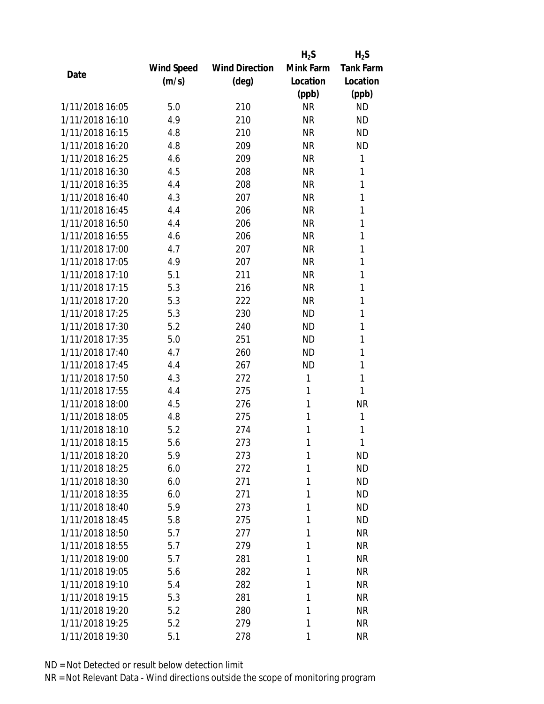|                 |            |                       | $H_2S$    | $H_2S$           |
|-----------------|------------|-----------------------|-----------|------------------|
|                 | Wind Speed | <b>Wind Direction</b> | Mink Farm | <b>Tank Farm</b> |
| Date            | (m/s)      | (deg)                 | Location  | Location         |
|                 |            |                       | (ppb)     | (ppb)            |
| 1/11/2018 16:05 | 5.0        | 210                   | <b>NR</b> | <b>ND</b>        |
| 1/11/2018 16:10 | 4.9        | 210                   | <b>NR</b> | <b>ND</b>        |
| 1/11/2018 16:15 | 4.8        | 210                   | <b>NR</b> | <b>ND</b>        |
| 1/11/2018 16:20 | 4.8        | 209                   | <b>NR</b> | <b>ND</b>        |
| 1/11/2018 16:25 | 4.6        | 209                   | <b>NR</b> | 1                |
| 1/11/2018 16:30 | 4.5        | 208                   | <b>NR</b> | 1                |
| 1/11/2018 16:35 | 4.4        | 208                   | <b>NR</b> | 1                |
| 1/11/2018 16:40 | 4.3        | 207                   | <b>NR</b> | 1                |
| 1/11/2018 16:45 | 4.4        | 206                   | <b>NR</b> | 1                |
| 1/11/2018 16:50 | 4.4        | 206                   | <b>NR</b> | 1                |
| 1/11/2018 16:55 | 4.6        | 206                   | <b>NR</b> | 1                |
| 1/11/2018 17:00 | 4.7        | 207                   | <b>NR</b> | 1                |
| 1/11/2018 17:05 | 4.9        | 207                   | <b>NR</b> | 1                |
| 1/11/2018 17:10 | 5.1        | 211                   | <b>NR</b> | 1                |
| 1/11/2018 17:15 | 5.3        | 216                   | <b>NR</b> | 1                |
| 1/11/2018 17:20 | 5.3        | 222                   | <b>NR</b> | 1                |
| 1/11/2018 17:25 | 5.3        | 230                   | <b>ND</b> | 1                |
| 1/11/2018 17:30 | 5.2        | 240                   | <b>ND</b> | 1                |
| 1/11/2018 17:35 | 5.0        | 251                   | <b>ND</b> | 1                |
| 1/11/2018 17:40 | 4.7        | 260                   | <b>ND</b> | 1                |
| 1/11/2018 17:45 | 4.4        | 267                   | <b>ND</b> | 1                |
| 1/11/2018 17:50 | 4.3        | 272                   | 1         | 1                |
| 1/11/2018 17:55 | 4.4        | 275                   | 1         | 1                |
| 1/11/2018 18:00 | 4.5        | 276                   | 1         | <b>NR</b>        |
| 1/11/2018 18:05 | 4.8        | 275                   | 1         | 1                |
| 1/11/2018 18:10 | 5.2        | 274                   | 1         | 1                |
| 1/11/2018 18:15 | 5.6        | 273                   | 1         | 1                |
| 1/11/2018 18:20 | 5.9        | 273                   | 1         | <b>ND</b>        |
| 1/11/2018 18:25 | 6.0        | 272                   | 1         | <b>ND</b>        |
| 1/11/2018 18:30 | 6.0        | 271                   | 1         | <b>ND</b>        |
| 1/11/2018 18:35 | 6.0        | 271                   | 1         | <b>ND</b>        |
| 1/11/2018 18:40 | 5.9        | 273                   | 1         | <b>ND</b>        |
| 1/11/2018 18:45 | 5.8        | 275                   | 1         | <b>ND</b>        |
| 1/11/2018 18:50 | 5.7        | 277                   | 1         | <b>NR</b>        |
| 1/11/2018 18:55 | 5.7        | 279                   | 1         | <b>NR</b>        |
| 1/11/2018 19:00 | 5.7        | 281                   | 1         | <b>NR</b>        |
| 1/11/2018 19:05 | 5.6        | 282                   | 1         | <b>NR</b>        |
| 1/11/2018 19:10 | 5.4        | 282                   | 1         | <b>NR</b>        |
| 1/11/2018 19:15 | 5.3        | 281                   | 1         | <b>NR</b>        |
| 1/11/2018 19:20 | 5.2        | 280                   | 1         | <b>NR</b>        |
| 1/11/2018 19:25 | 5.2        | 279                   | 1         | <b>NR</b>        |
| 1/11/2018 19:30 | 5.1        | 278                   | 1         | <b>NR</b>        |
|                 |            |                       |           |                  |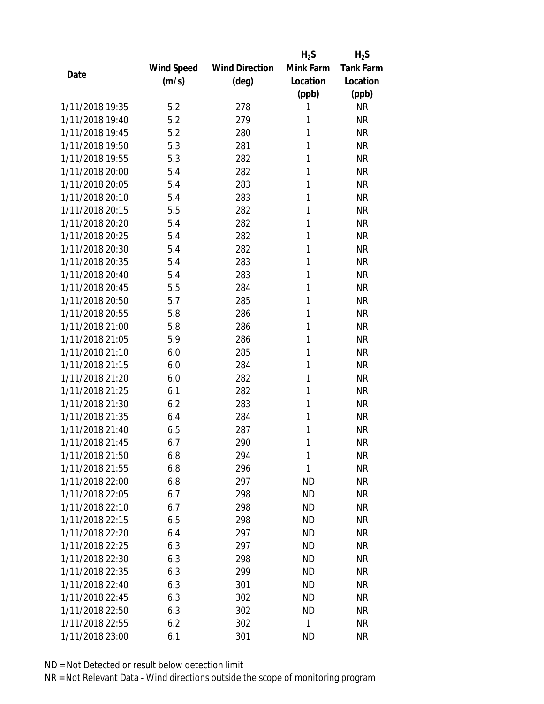|                 |                   |                       | $H_2S$    | $H_2S$           |
|-----------------|-------------------|-----------------------|-----------|------------------|
|                 | <b>Wind Speed</b> | <b>Wind Direction</b> | Mink Farm | <b>Tank Farm</b> |
| Date            | (m/s)             | (deg)                 | Location  | Location         |
|                 |                   |                       | (ppb)     | (ppb)            |
| 1/11/2018 19:35 | 5.2               | 278                   | 1         | <b>NR</b>        |
| 1/11/2018 19:40 | 5.2               | 279                   | 1         | <b>NR</b>        |
| 1/11/2018 19:45 | 5.2               | 280                   | 1         | <b>NR</b>        |
| 1/11/2018 19:50 | 5.3               | 281                   | 1         | <b>NR</b>        |
| 1/11/2018 19:55 | 5.3               | 282                   | 1         | <b>NR</b>        |
| 1/11/2018 20:00 | 5.4               | 282                   | 1         | <b>NR</b>        |
| 1/11/2018 20:05 | 5.4               | 283                   | 1         | <b>NR</b>        |
| 1/11/2018 20:10 | 5.4               | 283                   | 1         | <b>NR</b>        |
| 1/11/2018 20:15 | 5.5               | 282                   | 1         | <b>NR</b>        |
| 1/11/2018 20:20 | 5.4               | 282                   | 1         | <b>NR</b>        |
| 1/11/2018 20:25 | 5.4               | 282                   | 1         | <b>NR</b>        |
| 1/11/2018 20:30 | 5.4               | 282                   | 1         | <b>NR</b>        |
| 1/11/2018 20:35 | 5.4               | 283                   | 1         | <b>NR</b>        |
| 1/11/2018 20:40 | 5.4               | 283                   | 1         | <b>NR</b>        |
| 1/11/2018 20:45 | 5.5               | 284                   | 1         | <b>NR</b>        |
| 1/11/2018 20:50 | 5.7               | 285                   | 1         | <b>NR</b>        |
| 1/11/2018 20:55 | 5.8               | 286                   | 1         | <b>NR</b>        |
| 1/11/2018 21:00 | 5.8               | 286                   | 1         | <b>NR</b>        |
| 1/11/2018 21:05 | 5.9               | 286                   | 1         | <b>NR</b>        |
| 1/11/2018 21:10 | 6.0               | 285                   | 1         | <b>NR</b>        |
| 1/11/2018 21:15 | 6.0               | 284                   | 1         | <b>NR</b>        |
| 1/11/2018 21:20 | 6.0               | 282                   | 1         | <b>NR</b>        |
| 1/11/2018 21:25 | 6.1               | 282                   | 1         | <b>NR</b>        |
| 1/11/2018 21:30 | 6.2               | 283                   | 1         | <b>NR</b>        |
| 1/11/2018 21:35 | 6.4               | 284                   | 1         | <b>NR</b>        |
| 1/11/2018 21:40 | 6.5               | 287                   | 1         | <b>NR</b>        |
| 1/11/2018 21:45 | 6.7               | 290                   | 1         | <b>NR</b>        |
| 1/11/2018 21:50 | 6.8               | 294                   | 1         | <b>NR</b>        |
| 1/11/2018 21:55 | 6.8               | 296                   | 1         | <b>NR</b>        |
| 1/11/2018 22:00 | 6.8               | 297                   | <b>ND</b> | <b>NR</b>        |
| 1/11/2018 22:05 | 6.7               | 298                   | <b>ND</b> | <b>NR</b>        |
| 1/11/2018 22:10 | 6.7               | 298                   | <b>ND</b> | <b>NR</b>        |
| 1/11/2018 22:15 | 6.5               | 298                   | <b>ND</b> | <b>NR</b>        |
| 1/11/2018 22:20 | 6.4               | 297                   | <b>ND</b> | <b>NR</b>        |
| 1/11/2018 22:25 | 6.3               | 297                   | <b>ND</b> | <b>NR</b>        |
| 1/11/2018 22:30 | 6.3               | 298                   | <b>ND</b> | <b>NR</b>        |
| 1/11/2018 22:35 | 6.3               | 299                   | ND        | <b>NR</b>        |
| 1/11/2018 22:40 | 6.3               | 301                   | ND        | <b>NR</b>        |
| 1/11/2018 22:45 | 6.3               | 302                   | <b>ND</b> | <b>NR</b>        |
| 1/11/2018 22:50 | 6.3               | 302                   | <b>ND</b> | <b>NR</b>        |
| 1/11/2018 22:55 | 6.2               | 302                   | 1         | <b>NR</b>        |
| 1/11/2018 23:00 | 6.1               | 301                   | <b>ND</b> | <b>NR</b>        |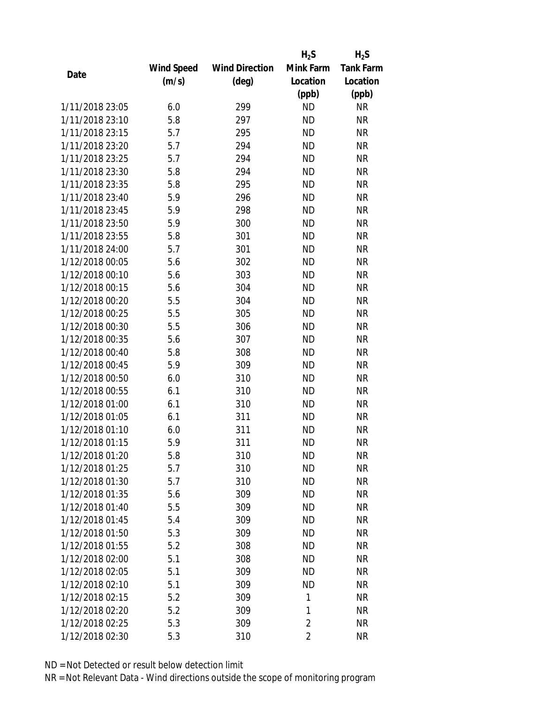|                 |                   |                       | $H_2S$         | $H_2S$           |
|-----------------|-------------------|-----------------------|----------------|------------------|
|                 | <b>Wind Speed</b> | <b>Wind Direction</b> | Mink Farm      | <b>Tank Farm</b> |
| Date            | (m/s)             | (deg)                 | Location       | Location         |
|                 |                   |                       | (ppb)          | (ppb)            |
| 1/11/2018 23:05 | 6.0               | 299                   | <b>ND</b>      | <b>NR</b>        |
| 1/11/2018 23:10 | 5.8               | 297                   | <b>ND</b>      | <b>NR</b>        |
| 1/11/2018 23:15 | 5.7               | 295                   | <b>ND</b>      | <b>NR</b>        |
| 1/11/2018 23:20 | 5.7               | 294                   | <b>ND</b>      | <b>NR</b>        |
| 1/11/2018 23:25 | 5.7               | 294                   | <b>ND</b>      | <b>NR</b>        |
| 1/11/2018 23:30 | 5.8               | 294                   | <b>ND</b>      | <b>NR</b>        |
| 1/11/2018 23:35 | 5.8               | 295                   | <b>ND</b>      | <b>NR</b>        |
| 1/11/2018 23:40 | 5.9               | 296                   | <b>ND</b>      | <b>NR</b>        |
| 1/11/2018 23:45 | 5.9               | 298                   | <b>ND</b>      | <b>NR</b>        |
| 1/11/2018 23:50 | 5.9               | 300                   | <b>ND</b>      | <b>NR</b>        |
| 1/11/2018 23:55 | 5.8               | 301                   | <b>ND</b>      | <b>NR</b>        |
| 1/11/2018 24:00 | 5.7               | 301                   | <b>ND</b>      | <b>NR</b>        |
| 1/12/2018 00:05 | 5.6               | 302                   | <b>ND</b>      | <b>NR</b>        |
| 1/12/2018 00:10 | 5.6               | 303                   | <b>ND</b>      | <b>NR</b>        |
| 1/12/2018 00:15 | 5.6               | 304                   | <b>ND</b>      | <b>NR</b>        |
| 1/12/2018 00:20 | 5.5               | 304                   | <b>ND</b>      | <b>NR</b>        |
| 1/12/2018 00:25 | 5.5               | 305                   | <b>ND</b>      | <b>NR</b>        |
| 1/12/2018 00:30 | 5.5               | 306                   | <b>ND</b>      | <b>NR</b>        |
| 1/12/2018 00:35 | 5.6               | 307                   | <b>ND</b>      | <b>NR</b>        |
| 1/12/2018 00:40 | 5.8               | 308                   | <b>ND</b>      | <b>NR</b>        |
| 1/12/2018 00:45 | 5.9               | 309                   | <b>ND</b>      | <b>NR</b>        |
| 1/12/2018 00:50 | 6.0               | 310                   | <b>ND</b>      | <b>NR</b>        |
| 1/12/2018 00:55 | 6.1               | 310                   | <b>ND</b>      | <b>NR</b>        |
| 1/12/2018 01:00 | 6.1               | 310                   | <b>ND</b>      | <b>NR</b>        |
| 1/12/2018 01:05 | 6.1               | 311                   | <b>ND</b>      | <b>NR</b>        |
| 1/12/2018 01:10 | 6.0               | 311                   | <b>ND</b>      | <b>NR</b>        |
| 1/12/2018 01:15 | 5.9               | 311                   | <b>ND</b>      | <b>NR</b>        |
| 1/12/2018 01:20 | 5.8               | 310                   | <b>ND</b>      | <b>NR</b>        |
| 1/12/2018 01:25 | 5.7               | 310                   | <b>ND</b>      | <b>NR</b>        |
| 1/12/2018 01:30 | 5.7               | 310                   | <b>ND</b>      | <b>NR</b>        |
| 1/12/2018 01:35 | 5.6               | 309                   | <b>ND</b>      | <b>NR</b>        |
| 1/12/2018 01:40 | 5.5               | 309                   | <b>ND</b>      | <b>NR</b>        |
| 1/12/2018 01:45 | 5.4               | 309                   | <b>ND</b>      | <b>NR</b>        |
| 1/12/2018 01:50 | 5.3               | 309                   | <b>ND</b>      | <b>NR</b>        |
| 1/12/2018 01:55 | 5.2               | 308                   | <b>ND</b>      | <b>NR</b>        |
| 1/12/2018 02:00 | 5.1               | 308                   | <b>ND</b>      | <b>NR</b>        |
| 1/12/2018 02:05 | 5.1               | 309                   | ND             | <b>NR</b>        |
| 1/12/2018 02:10 | 5.1               | 309                   | <b>ND</b>      | <b>NR</b>        |
| 1/12/2018 02:15 | 5.2               | 309                   | 1              | <b>NR</b>        |
| 1/12/2018 02:20 | 5.2               | 309                   | 1              | <b>NR</b>        |
| 1/12/2018 02:25 | 5.3               | 309                   | $\overline{c}$ | <b>NR</b>        |
| 1/12/2018 02:30 | 5.3               | 310                   | $\overline{c}$ | <b>NR</b>        |
|                 |                   |                       |                |                  |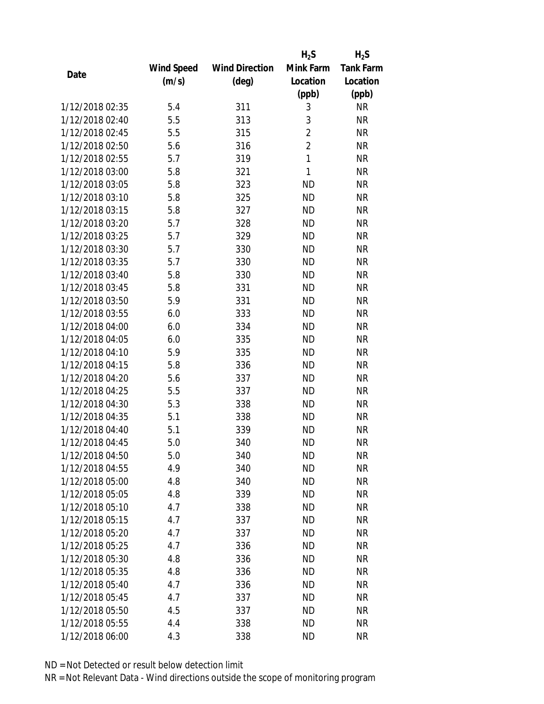|                 |                   |                       | $H_2S$         | $H_2S$           |
|-----------------|-------------------|-----------------------|----------------|------------------|
|                 | <b>Wind Speed</b> | <b>Wind Direction</b> | Mink Farm      | <b>Tank Farm</b> |
| Date            | (m/s)             | $(\text{deg})$        | Location       | Location         |
|                 |                   |                       | (ppb)          | (ppb)            |
| 1/12/2018 02:35 | 5.4               | 311                   | 3              | <b>NR</b>        |
| 1/12/2018 02:40 | 5.5               | 313                   | 3              | <b>NR</b>        |
| 1/12/2018 02:45 | 5.5               | 315                   | $\overline{2}$ | <b>NR</b>        |
| 1/12/2018 02:50 | 5.6               | 316                   | $\overline{2}$ | <b>NR</b>        |
| 1/12/2018 02:55 | 5.7               | 319                   | $\mathbf{1}$   | <b>NR</b>        |
| 1/12/2018 03:00 | 5.8               | 321                   | 1              | <b>NR</b>        |
| 1/12/2018 03:05 | 5.8               | 323                   | <b>ND</b>      | <b>NR</b>        |
| 1/12/2018 03:10 | 5.8               | 325                   | <b>ND</b>      | <b>NR</b>        |
| 1/12/2018 03:15 | 5.8               | 327                   | <b>ND</b>      | <b>NR</b>        |
| 1/12/2018 03:20 | 5.7               | 328                   | <b>ND</b>      | <b>NR</b>        |
| 1/12/2018 03:25 | 5.7               | 329                   | <b>ND</b>      | <b>NR</b>        |
| 1/12/2018 03:30 | 5.7               | 330                   | <b>ND</b>      | <b>NR</b>        |
| 1/12/2018 03:35 | 5.7               | 330                   | <b>ND</b>      | <b>NR</b>        |
| 1/12/2018 03:40 | 5.8               | 330                   | <b>ND</b>      | <b>NR</b>        |
| 1/12/2018 03:45 | 5.8               | 331                   | <b>ND</b>      | <b>NR</b>        |
| 1/12/2018 03:50 | 5.9               | 331                   | <b>ND</b>      | <b>NR</b>        |
| 1/12/2018 03:55 | 6.0               | 333                   | <b>ND</b>      | <b>NR</b>        |
| 1/12/2018 04:00 | 6.0               | 334                   | <b>ND</b>      | <b>NR</b>        |
| 1/12/2018 04:05 | 6.0               | 335                   | <b>ND</b>      | <b>NR</b>        |
| 1/12/2018 04:10 | 5.9               | 335                   | <b>ND</b>      | <b>NR</b>        |
| 1/12/2018 04:15 | 5.8               | 336                   | <b>ND</b>      | <b>NR</b>        |
| 1/12/2018 04:20 | 5.6               | 337                   | <b>ND</b>      | <b>NR</b>        |
| 1/12/2018 04:25 | 5.5               | 337                   | <b>ND</b>      | <b>NR</b>        |
| 1/12/2018 04:30 | 5.3               | 338                   | <b>ND</b>      | <b>NR</b>        |
| 1/12/2018 04:35 | 5.1               | 338                   | <b>ND</b>      | <b>NR</b>        |
| 1/12/2018 04:40 | 5.1               | 339                   | <b>ND</b>      | <b>NR</b>        |
| 1/12/2018 04:45 | 5.0               | 340                   | <b>ND</b>      | <b>NR</b>        |
| 1/12/2018 04:50 | 5.0               | 340                   | ND             | <b>NR</b>        |
| 1/12/2018 04:55 | 4.9               | 340                   | <b>ND</b>      | <b>NR</b>        |
| 1/12/2018 05:00 | 4.8               | 340                   | ND             | <b>NR</b>        |
| 1/12/2018 05:05 | 4.8               | 339                   | <b>ND</b>      | <b>NR</b>        |
| 1/12/2018 05:10 | 4.7               | 338                   | <b>ND</b>      | <b>NR</b>        |
| 1/12/2018 05:15 | 4.7               | 337                   | <b>ND</b>      | <b>NR</b>        |
| 1/12/2018 05:20 | 4.7               | 337                   | <b>ND</b>      | <b>NR</b>        |
| 1/12/2018 05:25 | 4.7               | 336                   | <b>ND</b>      | <b>NR</b>        |
| 1/12/2018 05:30 | 4.8               | 336                   | <b>ND</b>      | <b>NR</b>        |
| 1/12/2018 05:35 | 4.8               | 336                   | ND.            | <b>NR</b>        |
| 1/12/2018 05:40 | 4.7               | 336                   | <b>ND</b>      | <b>NR</b>        |
| 1/12/2018 05:45 | 4.7               | 337                   | <b>ND</b>      | <b>NR</b>        |
| 1/12/2018 05:50 | 4.5               | 337                   | <b>ND</b>      | <b>NR</b>        |
| 1/12/2018 05:55 | 4.4               | 338                   | <b>ND</b>      | <b>NR</b>        |
| 1/12/2018 06:00 | 4.3               | 338                   | <b>ND</b>      | <b>NR</b>        |
|                 |                   |                       |                |                  |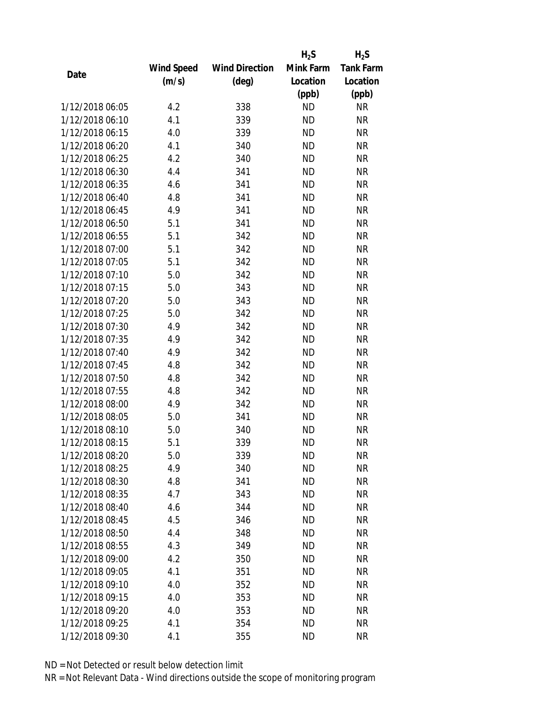|                 |                   |                       | $H_2S$    | $H_2S$           |
|-----------------|-------------------|-----------------------|-----------|------------------|
|                 | <b>Wind Speed</b> | <b>Wind Direction</b> | Mink Farm | <b>Tank Farm</b> |
| Date            | (m/s)             | (deg)                 | Location  | Location         |
|                 |                   |                       | (ppb)     | (ppb)            |
| 1/12/2018 06:05 | 4.2               | 338                   | <b>ND</b> | <b>NR</b>        |
| 1/12/2018 06:10 | 4.1               | 339                   | <b>ND</b> | <b>NR</b>        |
| 1/12/2018 06:15 | 4.0               | 339                   | <b>ND</b> | <b>NR</b>        |
| 1/12/2018 06:20 | 4.1               | 340                   | <b>ND</b> | <b>NR</b>        |
| 1/12/2018 06:25 | 4.2               | 340                   | <b>ND</b> | <b>NR</b>        |
| 1/12/2018 06:30 | 4.4               | 341                   | <b>ND</b> | <b>NR</b>        |
| 1/12/2018 06:35 | 4.6               | 341                   | <b>ND</b> | <b>NR</b>        |
| 1/12/2018 06:40 | 4.8               | 341                   | <b>ND</b> | <b>NR</b>        |
| 1/12/2018 06:45 | 4.9               | 341                   | <b>ND</b> | <b>NR</b>        |
| 1/12/2018 06:50 | 5.1               | 341                   | <b>ND</b> | <b>NR</b>        |
| 1/12/2018 06:55 | 5.1               | 342                   | <b>ND</b> | <b>NR</b>        |
| 1/12/2018 07:00 | 5.1               | 342                   | <b>ND</b> | <b>NR</b>        |
| 1/12/2018 07:05 | 5.1               | 342                   | <b>ND</b> | <b>NR</b>        |
| 1/12/2018 07:10 | 5.0               | 342                   | <b>ND</b> | <b>NR</b>        |
| 1/12/2018 07:15 | 5.0               | 343                   | <b>ND</b> | <b>NR</b>        |
| 1/12/2018 07:20 | 5.0               | 343                   | <b>ND</b> | <b>NR</b>        |
| 1/12/2018 07:25 | 5.0               | 342                   | <b>ND</b> | <b>NR</b>        |
| 1/12/2018 07:30 | 4.9               | 342                   | <b>ND</b> | <b>NR</b>        |
| 1/12/2018 07:35 | 4.9               | 342                   | <b>ND</b> | <b>NR</b>        |
| 1/12/2018 07:40 | 4.9               | 342                   | <b>ND</b> | <b>NR</b>        |
| 1/12/2018 07:45 | 4.8               | 342                   | <b>ND</b> | <b>NR</b>        |
| 1/12/2018 07:50 | 4.8               | 342                   | <b>ND</b> | <b>NR</b>        |
| 1/12/2018 07:55 | 4.8               | 342                   | <b>ND</b> | <b>NR</b>        |
| 1/12/2018 08:00 | 4.9               | 342                   | <b>ND</b> | <b>NR</b>        |
| 1/12/2018 08:05 | 5.0               | 341                   | <b>ND</b> | <b>NR</b>        |
| 1/12/2018 08:10 | 5.0               | 340                   | <b>ND</b> | <b>NR</b>        |
| 1/12/2018 08:15 | 5.1               | 339                   | <b>ND</b> | <b>NR</b>        |
| 1/12/2018 08:20 | 5.0               | 339                   | ND        | <b>NR</b>        |
| 1/12/2018 08:25 | 4.9               | 340                   | <b>ND</b> | <b>NR</b>        |
| 1/12/2018 08:30 | 4.8               | 341                   | ND        | <b>NR</b>        |
| 1/12/2018 08:35 | 4.7               | 343                   | <b>ND</b> | <b>NR</b>        |
| 1/12/2018 08:40 | 4.6               | 344                   | <b>ND</b> | <b>NR</b>        |
| 1/12/2018 08:45 | 4.5               | 346                   | <b>ND</b> | <b>NR</b>        |
| 1/12/2018 08:50 | 4.4               | 348                   | <b>ND</b> | <b>NR</b>        |
| 1/12/2018 08:55 | 4.3               | 349                   | <b>ND</b> | <b>NR</b>        |
| 1/12/2018 09:00 | 4.2               | 350                   | <b>ND</b> | <b>NR</b>        |
| 1/12/2018 09:05 | 4.1               | 351                   | ND        | <b>NR</b>        |
| 1/12/2018 09:10 | 4.0               | 352                   | <b>ND</b> | <b>NR</b>        |
| 1/12/2018 09:15 | 4.0               | 353                   | <b>ND</b> | <b>NR</b>        |
| 1/12/2018 09:20 | 4.0               | 353                   | <b>ND</b> | <b>NR</b>        |
| 1/12/2018 09:25 | 4.1               | 354                   | <b>ND</b> | <b>NR</b>        |
| 1/12/2018 09:30 | 4.1               | 355                   | <b>ND</b> | <b>NR</b>        |
|                 |                   |                       |           |                  |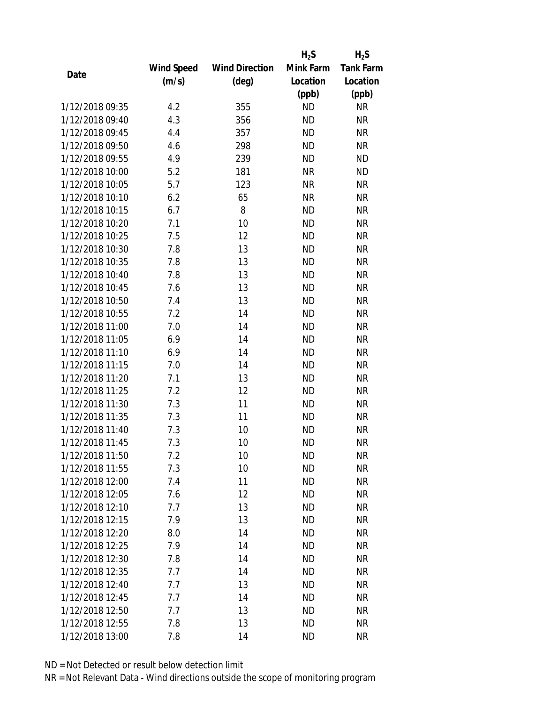|                 |                   |                       | $H_2S$    | $H_2S$           |
|-----------------|-------------------|-----------------------|-----------|------------------|
|                 | <b>Wind Speed</b> | <b>Wind Direction</b> | Mink Farm | <b>Tank Farm</b> |
| Date            | (m/s)             | $(\text{deg})$        | Location  | Location         |
|                 |                   |                       | (ppb)     | (ppb)            |
| 1/12/2018 09:35 | 4.2               | 355                   | <b>ND</b> | <b>NR</b>        |
| 1/12/2018 09:40 | 4.3               | 356                   | <b>ND</b> | <b>NR</b>        |
| 1/12/2018 09:45 | 4.4               | 357                   | <b>ND</b> | <b>NR</b>        |
| 1/12/2018 09:50 | 4.6               | 298                   | <b>ND</b> | <b>NR</b>        |
| 1/12/2018 09:55 | 4.9               | 239                   | <b>ND</b> | <b>ND</b>        |
| 1/12/2018 10:00 | 5.2               | 181                   | <b>NR</b> | <b>ND</b>        |
| 1/12/2018 10:05 | 5.7               | 123                   | <b>NR</b> | <b>NR</b>        |
| 1/12/2018 10:10 | 6.2               | 65                    | <b>NR</b> | <b>NR</b>        |
| 1/12/2018 10:15 | 6.7               | 8                     | <b>ND</b> | <b>NR</b>        |
| 1/12/2018 10:20 | 7.1               | 10                    | <b>ND</b> | <b>NR</b>        |
| 1/12/2018 10:25 | 7.5               | 12                    | <b>ND</b> | <b>NR</b>        |
| 1/12/2018 10:30 | 7.8               | 13                    | <b>ND</b> | <b>NR</b>        |
| 1/12/2018 10:35 | 7.8               | 13                    | <b>ND</b> | <b>NR</b>        |
| 1/12/2018 10:40 | 7.8               | 13                    | <b>ND</b> | <b>NR</b>        |
| 1/12/2018 10:45 | 7.6               | 13                    | <b>ND</b> | <b>NR</b>        |
| 1/12/2018 10:50 | 7.4               | 13                    | <b>ND</b> | <b>NR</b>        |
| 1/12/2018 10:55 | 7.2               | 14                    | <b>ND</b> | <b>NR</b>        |
| 1/12/2018 11:00 | 7.0               | 14                    | <b>ND</b> | <b>NR</b>        |
| 1/12/2018 11:05 | 6.9               | 14                    | <b>ND</b> | <b>NR</b>        |
| 1/12/2018 11:10 | 6.9               | 14                    | <b>ND</b> | <b>NR</b>        |
| 1/12/2018 11:15 | 7.0               | 14                    | <b>ND</b> | <b>NR</b>        |
| 1/12/2018 11:20 | 7.1               | 13                    | <b>ND</b> | <b>NR</b>        |
| 1/12/2018 11:25 | 7.2               | 12                    | <b>ND</b> | <b>NR</b>        |
| 1/12/2018 11:30 | 7.3               | 11                    | <b>ND</b> | <b>NR</b>        |
| 1/12/2018 11:35 | 7.3               | 11                    | <b>ND</b> | <b>NR</b>        |
| 1/12/2018 11:40 | 7.3               | 10                    | <b>ND</b> | <b>NR</b>        |
| 1/12/2018 11:45 | 7.3               | 10                    | <b>ND</b> | <b>NR</b>        |
| 1/12/2018 11:50 | 7.2               | 10                    | <b>ND</b> | <b>NR</b>        |
| 1/12/2018 11:55 | 7.3               | 10                    | <b>ND</b> | <b>NR</b>        |
| 1/12/2018 12:00 | 7.4               | 11                    | <b>ND</b> | <b>NR</b>        |
| 1/12/2018 12:05 | 7.6               | 12                    | <b>ND</b> | <b>NR</b>        |
| 1/12/2018 12:10 | 7.7               | 13                    | ND.       | <b>NR</b>        |
| 1/12/2018 12:15 | 7.9               | 13                    | <b>ND</b> | <b>NR</b>        |
| 1/12/2018 12:20 | 8.0               | 14                    | <b>ND</b> | <b>NR</b>        |
| 1/12/2018 12:25 | 7.9               | 14                    | <b>ND</b> | <b>NR</b>        |
| 1/12/2018 12:30 | 7.8               | 14                    | <b>ND</b> | <b>NR</b>        |
| 1/12/2018 12:35 | 7.7               | 14                    | ND        | <b>NR</b>        |
| 1/12/2018 12:40 | 7.7               | 13                    | <b>ND</b> | <b>NR</b>        |
| 1/12/2018 12:45 | 7.7               | 14                    | <b>ND</b> | <b>NR</b>        |
| 1/12/2018 12:50 | 7.7               | 13                    | <b>ND</b> | <b>NR</b>        |
| 1/12/2018 12:55 | 7.8               | 13                    | <b>ND</b> | <b>NR</b>        |
| 1/12/2018 13:00 | 7.8               | 14                    | <b>ND</b> | <b>NR</b>        |
|                 |                   |                       |           |                  |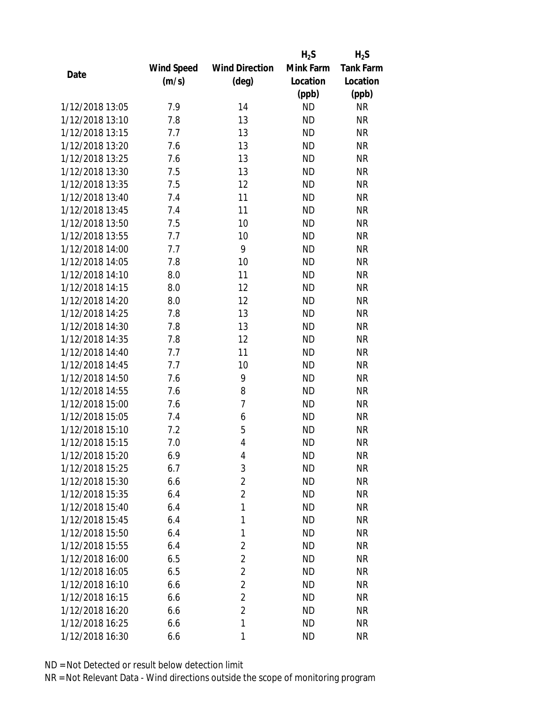|                 |            |                       | $H_2S$    | $H_2S$           |
|-----------------|------------|-----------------------|-----------|------------------|
|                 | Wind Speed | <b>Wind Direction</b> | Mink Farm | <b>Tank Farm</b> |
| Date            | (m/s)      | (deg)                 | Location  | Location         |
|                 |            |                       | (ppb)     | (ppb)            |
| 1/12/2018 13:05 | 7.9        | 14                    | <b>ND</b> | <b>NR</b>        |
| 1/12/2018 13:10 | 7.8        | 13                    | <b>ND</b> | <b>NR</b>        |
| 1/12/2018 13:15 | 7.7        | 13                    | <b>ND</b> | <b>NR</b>        |
| 1/12/2018 13:20 | 7.6        | 13                    | <b>ND</b> | <b>NR</b>        |
| 1/12/2018 13:25 | 7.6        | 13                    | <b>ND</b> | <b>NR</b>        |
| 1/12/2018 13:30 | 7.5        | 13                    | <b>ND</b> | <b>NR</b>        |
| 1/12/2018 13:35 | 7.5        | 12                    | <b>ND</b> | <b>NR</b>        |
| 1/12/2018 13:40 | 7.4        | 11                    | <b>ND</b> | <b>NR</b>        |
| 1/12/2018 13:45 | 7.4        | 11                    | <b>ND</b> | <b>NR</b>        |
| 1/12/2018 13:50 | 7.5        | 10                    | <b>ND</b> | <b>NR</b>        |
| 1/12/2018 13:55 | 7.7        | 10                    | <b>ND</b> | <b>NR</b>        |
| 1/12/2018 14:00 | 7.7        | 9                     | <b>ND</b> | <b>NR</b>        |
| 1/12/2018 14:05 | 7.8        | 10                    | <b>ND</b> | <b>NR</b>        |
| 1/12/2018 14:10 | 8.0        | 11                    | <b>ND</b> | <b>NR</b>        |
| 1/12/2018 14:15 | 8.0        | 12                    | <b>ND</b> | <b>NR</b>        |
| 1/12/2018 14:20 | 8.0        | 12                    | <b>ND</b> | <b>NR</b>        |
| 1/12/2018 14:25 | 7.8        | 13                    | <b>ND</b> | <b>NR</b>        |
| 1/12/2018 14:30 | 7.8        | 13                    | <b>ND</b> | <b>NR</b>        |
| 1/12/2018 14:35 | 7.8        | 12                    | <b>ND</b> | <b>NR</b>        |
| 1/12/2018 14:40 | 7.7        | 11                    | <b>ND</b> | <b>NR</b>        |
| 1/12/2018 14:45 | 7.7        | 10                    | <b>ND</b> | <b>NR</b>        |
| 1/12/2018 14:50 | 7.6        | 9                     | <b>ND</b> | <b>NR</b>        |
| 1/12/2018 14:55 | 7.6        | 8                     | <b>ND</b> | <b>NR</b>        |
| 1/12/2018 15:00 | 7.6        | $\overline{7}$        | <b>ND</b> | <b>NR</b>        |
| 1/12/2018 15:05 | 7.4        | 6                     | <b>ND</b> | <b>NR</b>        |
| 1/12/2018 15:10 | 7.2        | 5                     | <b>ND</b> | <b>NR</b>        |
| 1/12/2018 15:15 | 7.0        | $\overline{4}$        | <b>ND</b> | <b>NR</b>        |
| 1/12/2018 15:20 | 6.9        | 4                     | <b>ND</b> | <b>NR</b>        |
| 1/12/2018 15:25 | 6.7        | 3                     | <b>ND</b> | <b>NR</b>        |
| 1/12/2018 15:30 | 6.6        | $\overline{2}$        | ND        | <b>NR</b>        |
| 1/12/2018 15:35 | 6.4        | $\overline{2}$        | <b>ND</b> | <b>NR</b>        |
| 1/12/2018 15:40 | 6.4        | 1                     | ND        | <b>NR</b>        |
| 1/12/2018 15:45 | 6.4        | 1                     | <b>ND</b> | <b>NR</b>        |
| 1/12/2018 15:50 | 6.4        | 1                     | <b>ND</b> | <b>NR</b>        |
| 1/12/2018 15:55 | 6.4        | $\overline{2}$        | <b>ND</b> | <b>NR</b>        |
| 1/12/2018 16:00 | 6.5        | $\overline{2}$        | <b>ND</b> | <b>NR</b>        |
| 1/12/2018 16:05 | 6.5        | $\overline{2}$        | ND        | NR               |
| 1/12/2018 16:10 | 6.6        | $\overline{2}$        | <b>ND</b> | <b>NR</b>        |
| 1/12/2018 16:15 | 6.6        | $\overline{2}$        | <b>ND</b> | <b>NR</b>        |
| 1/12/2018 16:20 | 6.6        | $\overline{2}$        | <b>ND</b> | <b>NR</b>        |
| 1/12/2018 16:25 | 6.6        | 1                     | <b>ND</b> | <b>NR</b>        |
| 1/12/2018 16:30 | 6.6        | 1                     | <b>ND</b> | <b>NR</b>        |
|                 |            |                       |           |                  |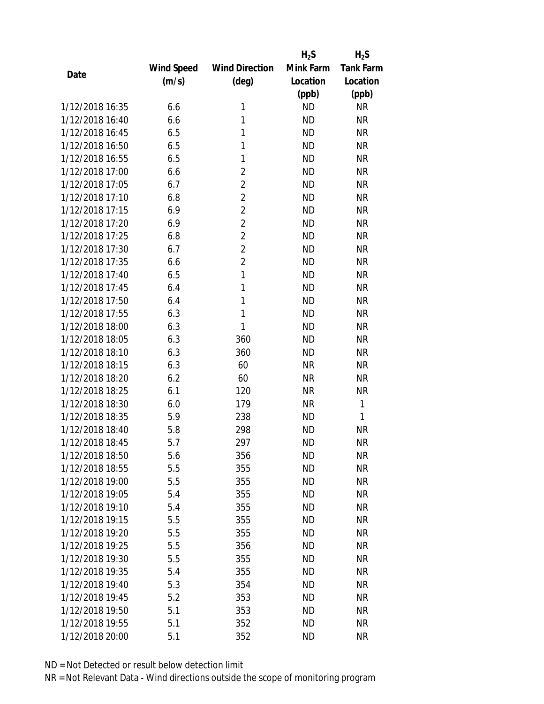|                 |            |                       | $H_2S$    | $H_2S$           |
|-----------------|------------|-----------------------|-----------|------------------|
|                 | Wind Speed | <b>Wind Direction</b> | Mink Farm | <b>Tank Farm</b> |
| Date            | (m/s)      | $(\text{deg})$        | Location  | Location         |
|                 |            |                       | (ppb)     | (ppb)            |
| 1/12/2018 16:35 | 6.6        | 1                     | <b>ND</b> | <b>NR</b>        |
| 1/12/2018 16:40 | 6.6        | 1                     | <b>ND</b> | <b>NR</b>        |
| 1/12/2018 16:45 | 6.5        | 1                     | <b>ND</b> | <b>NR</b>        |
| 1/12/2018 16:50 | 6.5        | 1                     | <b>ND</b> | <b>NR</b>        |
| 1/12/2018 16:55 | 6.5        | 1                     | <b>ND</b> | <b>NR</b>        |
| 1/12/2018 17:00 | 6.6        | $\overline{2}$        | <b>ND</b> | <b>NR</b>        |
| 1/12/2018 17:05 | 6.7        | $\overline{2}$        | <b>ND</b> | <b>NR</b>        |
| 1/12/2018 17:10 | 6.8        | $\overline{2}$        | <b>ND</b> | <b>NR</b>        |
| 1/12/2018 17:15 | 6.9        | $\overline{2}$        | <b>ND</b> | <b>NR</b>        |
| 1/12/2018 17:20 | 6.9        | $\overline{2}$        | <b>ND</b> | <b>NR</b>        |
| 1/12/2018 17:25 | 6.8        | $\overline{2}$        | <b>ND</b> | <b>NR</b>        |
| 1/12/2018 17:30 | 6.7        | $\overline{2}$        | <b>ND</b> | <b>NR</b>        |
| 1/12/2018 17:35 | 6.6        | $\overline{2}$        | <b>ND</b> | <b>NR</b>        |
| 1/12/2018 17:40 | 6.5        | 1                     | <b>ND</b> | <b>NR</b>        |
| 1/12/2018 17:45 | 6.4        | 1                     | <b>ND</b> | <b>NR</b>        |
| 1/12/2018 17:50 | 6.4        | 1                     | <b>ND</b> | <b>NR</b>        |
| 1/12/2018 17:55 | 6.3        | 1                     | <b>ND</b> | <b>NR</b>        |
| 1/12/2018 18:00 | 6.3        | $\mathbf{1}$          | <b>ND</b> | <b>NR</b>        |
| 1/12/2018 18:05 | 6.3        | 360                   | <b>ND</b> | <b>NR</b>        |
| 1/12/2018 18:10 | 6.3        | 360                   | <b>ND</b> | <b>NR</b>        |
| 1/12/2018 18:15 | 6.3        | 60                    | <b>NR</b> | <b>NR</b>        |
| 1/12/2018 18:20 | 6.2        | 60                    | <b>NR</b> | <b>NR</b>        |
| 1/12/2018 18:25 | 6.1        | 120                   | <b>NR</b> | <b>NR</b>        |
| 1/12/2018 18:30 | 6.0        | 179                   | <b>NR</b> | $\mathbf{1}$     |
| 1/12/2018 18:35 | 5.9        | 238                   | <b>ND</b> | 1                |
| 1/12/2018 18:40 | 5.8        | 298                   | <b>ND</b> | <b>NR</b>        |
| 1/12/2018 18:45 | 5.7        | 297                   | <b>ND</b> | <b>NR</b>        |
| 1/12/2018 18:50 | 5.6        | 356                   | ND        | <b>NR</b>        |
| 1/12/2018 18:55 | 5.5        | 355                   | <b>ND</b> | <b>NR</b>        |
| 1/12/2018 19:00 | 5.5        | 355                   | ND        | <b>NR</b>        |
| 1/12/2018 19:05 | 5.4        | 355                   | <b>ND</b> | <b>NR</b>        |
| 1/12/2018 19:10 | 5.4        | 355                   | <b>ND</b> | <b>NR</b>        |
| 1/12/2018 19:15 | 5.5        | 355                   | <b>ND</b> | <b>NR</b>        |
| 1/12/2018 19:20 | 5.5        | 355                   | <b>ND</b> | <b>NR</b>        |
| 1/12/2018 19:25 | 5.5        |                       | <b>ND</b> | <b>NR</b>        |
| 1/12/2018 19:30 | 5.5        | 356                   | <b>ND</b> | <b>NR</b>        |
|                 |            | 355                   |           |                  |
| 1/12/2018 19:35 | 5.4        | 355                   | <b>ND</b> | <b>NR</b>        |
| 1/12/2018 19:40 | 5.3        | 354                   | ND        | <b>NR</b>        |
| 1/12/2018 19:45 | 5.2        | 353                   | <b>ND</b> | <b>NR</b>        |
| 1/12/2018 19:50 | 5.1        | 353                   | ND        | <b>NR</b>        |
| 1/12/2018 19:55 | 5.1        | 352                   | <b>ND</b> | <b>NR</b>        |
| 1/12/2018 20:00 | 5.1        | 352                   | <b>ND</b> | <b>NR</b>        |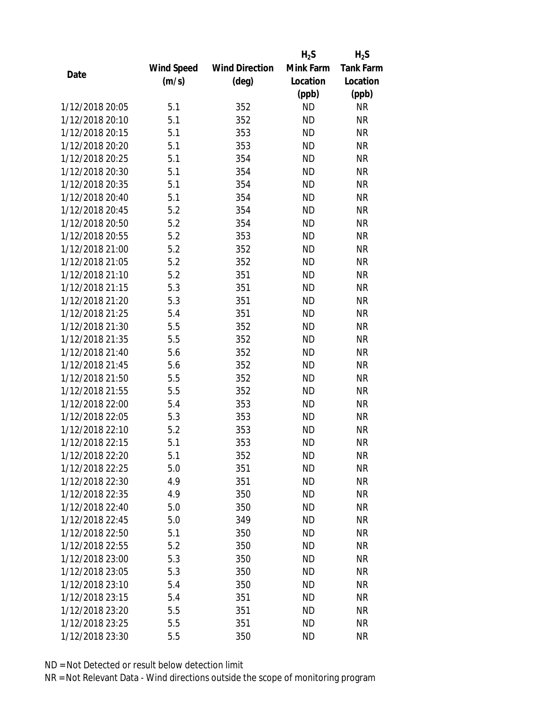|                 |                   |                       | $H_2S$    | $H_2S$           |
|-----------------|-------------------|-----------------------|-----------|------------------|
|                 | <b>Wind Speed</b> | <b>Wind Direction</b> | Mink Farm | <b>Tank Farm</b> |
| Date            | (m/s)             | $(\text{deg})$        | Location  | Location         |
|                 |                   |                       | (ppb)     | (ppb)            |
| 1/12/2018 20:05 | 5.1               | 352                   | <b>ND</b> | <b>NR</b>        |
| 1/12/2018 20:10 | 5.1               | 352                   | <b>ND</b> | <b>NR</b>        |
| 1/12/2018 20:15 | 5.1               | 353                   | <b>ND</b> | <b>NR</b>        |
| 1/12/2018 20:20 | 5.1               | 353                   | <b>ND</b> | <b>NR</b>        |
| 1/12/2018 20:25 | 5.1               | 354                   | <b>ND</b> | <b>NR</b>        |
| 1/12/2018 20:30 | 5.1               | 354                   | <b>ND</b> | <b>NR</b>        |
| 1/12/2018 20:35 | 5.1               | 354                   | <b>ND</b> | <b>NR</b>        |
| 1/12/2018 20:40 | 5.1               | 354                   | <b>ND</b> | <b>NR</b>        |
| 1/12/2018 20:45 | 5.2               | 354                   | <b>ND</b> | <b>NR</b>        |
| 1/12/2018 20:50 | 5.2               | 354                   | <b>ND</b> | <b>NR</b>        |
| 1/12/2018 20:55 | 5.2               | 353                   | <b>ND</b> | <b>NR</b>        |
| 1/12/2018 21:00 | 5.2               | 352                   | <b>ND</b> | <b>NR</b>        |
| 1/12/2018 21:05 | 5.2               | 352                   | <b>ND</b> | <b>NR</b>        |
| 1/12/2018 21:10 | 5.2               | 351                   | <b>ND</b> | <b>NR</b>        |
| 1/12/2018 21:15 | 5.3               | 351                   | <b>ND</b> | <b>NR</b>        |
| 1/12/2018 21:20 | 5.3               | 351                   | <b>ND</b> | <b>NR</b>        |
| 1/12/2018 21:25 | 5.4               | 351                   | <b>ND</b> | <b>NR</b>        |
| 1/12/2018 21:30 | 5.5               | 352                   | <b>ND</b> | <b>NR</b>        |
| 1/12/2018 21:35 | 5.5               | 352                   | <b>ND</b> | <b>NR</b>        |
| 1/12/2018 21:40 | 5.6               | 352                   | <b>ND</b> | <b>NR</b>        |
| 1/12/2018 21:45 | 5.6               | 352                   | <b>ND</b> | <b>NR</b>        |
| 1/12/2018 21:50 | 5.5               | 352                   | <b>ND</b> | <b>NR</b>        |
| 1/12/2018 21:55 | 5.5               | 352                   | <b>ND</b> | <b>NR</b>        |
| 1/12/2018 22:00 | 5.4               | 353                   | <b>ND</b> | <b>NR</b>        |
| 1/12/2018 22:05 | 5.3               | 353                   | <b>ND</b> | <b>NR</b>        |
| 1/12/2018 22:10 | 5.2               | 353                   | <b>ND</b> | <b>NR</b>        |
| 1/12/2018 22:15 | 5.1               | 353                   | <b>ND</b> | <b>NR</b>        |
| 1/12/2018 22:20 | 5.1               | 352                   | ND        | <b>NR</b>        |
| 1/12/2018 22:25 | 5.0               | 351                   | <b>ND</b> | <b>NR</b>        |
| 1/12/2018 22:30 | 4.9               | 351                   | ND        | <b>NR</b>        |
| 1/12/2018 22:35 | 4.9               | 350                   | <b>ND</b> | <b>NR</b>        |
| 1/12/2018 22:40 | 5.0               | 350                   | <b>ND</b> | <b>NR</b>        |
| 1/12/2018 22:45 | 5.0               | 349                   | <b>ND</b> | <b>NR</b>        |
| 1/12/2018 22:50 | 5.1               | 350                   | <b>ND</b> | <b>NR</b>        |
| 1/12/2018 22:55 | 5.2               | 350                   | ND        | <b>NR</b>        |
| 1/12/2018 23:00 | 5.3               | 350                   | <b>ND</b> | <b>NR</b>        |
| 1/12/2018 23:05 | 5.3               | 350                   | ND.       | <b>NR</b>        |
| 1/12/2018 23:10 | 5.4               | 350                   | <b>ND</b> | <b>NR</b>        |
| 1/12/2018 23:15 | 5.4               | 351                   | <b>ND</b> | <b>NR</b>        |
| 1/12/2018 23:20 | 5.5               | 351                   | <b>ND</b> | <b>NR</b>        |
| 1/12/2018 23:25 | 5.5               | 351                   | <b>ND</b> | <b>NR</b>        |
| 1/12/2018 23:30 | 5.5               | 350                   | <b>ND</b> | <b>NR</b>        |
|                 |                   |                       |           |                  |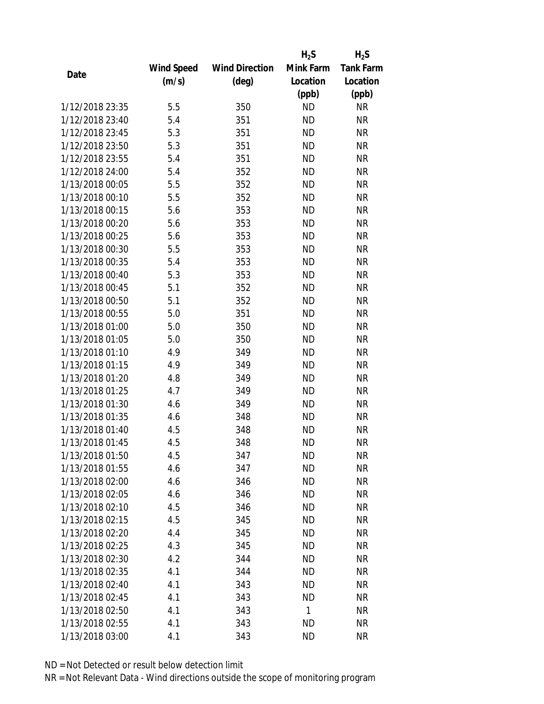|                 |                   |                       | $H_2S$    | $H_2S$           |
|-----------------|-------------------|-----------------------|-----------|------------------|
|                 | <b>Wind Speed</b> | <b>Wind Direction</b> | Mink Farm | <b>Tank Farm</b> |
| Date            | (m/s)             | (deg)                 | Location  | Location         |
|                 |                   |                       | (ppb)     | (ppb)            |
| 1/12/2018 23:35 | 5.5               | 350                   | <b>ND</b> | <b>NR</b>        |
| 1/12/2018 23:40 | 5.4               | 351                   | <b>ND</b> | <b>NR</b>        |
| 1/12/2018 23:45 | 5.3               | 351                   | <b>ND</b> | <b>NR</b>        |
| 1/12/2018 23:50 | 5.3               | 351                   | <b>ND</b> | <b>NR</b>        |
| 1/12/2018 23:55 | 5.4               | 351                   | <b>ND</b> | <b>NR</b>        |
| 1/12/2018 24:00 | 5.4               | 352                   | <b>ND</b> | <b>NR</b>        |
| 1/13/2018 00:05 | 5.5               | 352                   | <b>ND</b> | <b>NR</b>        |
| 1/13/2018 00:10 | 5.5               | 352                   | <b>ND</b> | <b>NR</b>        |
| 1/13/2018 00:15 | 5.6               | 353                   | <b>ND</b> | <b>NR</b>        |
| 1/13/2018 00:20 | 5.6               | 353                   | <b>ND</b> | <b>NR</b>        |
| 1/13/2018 00:25 | 5.6               | 353                   | <b>ND</b> | <b>NR</b>        |
| 1/13/2018 00:30 | 5.5               | 353                   | <b>ND</b> | <b>NR</b>        |
| 1/13/2018 00:35 | 5.4               | 353                   | <b>ND</b> | <b>NR</b>        |
| 1/13/2018 00:40 | 5.3               | 353                   | <b>ND</b> | <b>NR</b>        |
| 1/13/2018 00:45 | 5.1               | 352                   | <b>ND</b> | <b>NR</b>        |
| 1/13/2018 00:50 | 5.1               | 352                   | <b>ND</b> | <b>NR</b>        |
| 1/13/2018 00:55 | 5.0               | 351                   | <b>ND</b> | <b>NR</b>        |
| 1/13/2018 01:00 | 5.0               | 350                   | <b>ND</b> | <b>NR</b>        |
| 1/13/2018 01:05 | 5.0               | 350                   | <b>ND</b> | <b>NR</b>        |
| 1/13/2018 01:10 | 4.9               | 349                   | <b>ND</b> | <b>NR</b>        |
| 1/13/2018 01:15 | 4.9               | 349                   | <b>ND</b> | <b>NR</b>        |
| 1/13/2018 01:20 | 4.8               | 349                   | <b>ND</b> | <b>NR</b>        |
| 1/13/2018 01:25 | 4.7               | 349                   | <b>ND</b> | <b>NR</b>        |
| 1/13/2018 01:30 | 4.6               | 349                   | <b>ND</b> | <b>NR</b>        |
| 1/13/2018 01:35 | 4.6               | 348                   | <b>ND</b> | <b>NR</b>        |
| 1/13/2018 01:40 | 4.5               | 348                   | <b>ND</b> | <b>NR</b>        |
| 1/13/2018 01:45 | 4.5               | 348                   | <b>ND</b> | <b>NR</b>        |
| 1/13/2018 01:50 | 4.5               | 347                   | ND        | <b>NR</b>        |
| 1/13/2018 01:55 | 4.6               | 347                   | <b>ND</b> | <b>NR</b>        |
| 1/13/2018 02:00 | 4.6               | 346                   | ND        | <b>NR</b>        |
| 1/13/2018 02:05 | 4.6               | 346                   | <b>ND</b> | <b>NR</b>        |
| 1/13/2018 02:10 | 4.5               | 346                   | <b>ND</b> | <b>NR</b>        |
| 1/13/2018 02:15 | 4.5               | 345                   | <b>ND</b> | <b>NR</b>        |
| 1/13/2018 02:20 | 4.4               | 345                   | <b>ND</b> | <b>NR</b>        |
| 1/13/2018 02:25 | 4.3               | 345                   | <b>ND</b> | <b>NR</b>        |
| 1/13/2018 02:30 | 4.2               | 344                   | <b>ND</b> | <b>NR</b>        |
| 1/13/2018 02:35 | 4.1               | 344                   | ND        | <b>NR</b>        |
| 1/13/2018 02:40 | 4.1               | 343                   | ND        | <b>NR</b>        |
| 1/13/2018 02:45 | 4.1               | 343                   | <b>ND</b> | <b>NR</b>        |
| 1/13/2018 02:50 | 4.1               | 343                   | 1         | <b>NR</b>        |
| 1/13/2018 02:55 | 4.1               | 343                   | <b>ND</b> | <b>NR</b>        |
| 1/13/2018 03:00 | 4.1               | 343                   | <b>ND</b> | <b>NR</b>        |
|                 |                   |                       |           |                  |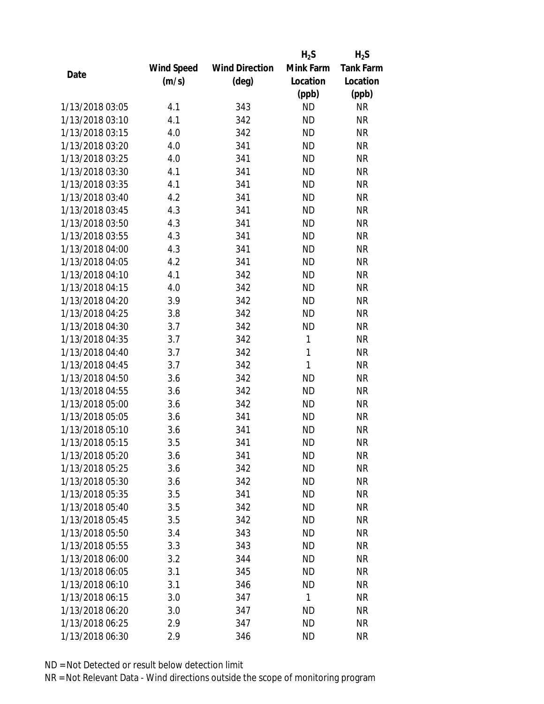|                 |                   |                       | $H_2S$    | $H_2S$           |
|-----------------|-------------------|-----------------------|-----------|------------------|
|                 | <b>Wind Speed</b> | <b>Wind Direction</b> | Mink Farm | <b>Tank Farm</b> |
| Date            | (m/s)             | $(\text{deg})$        | Location  | Location         |
|                 |                   |                       | (ppb)     | (ppb)            |
| 1/13/2018 03:05 | 4.1               | 343                   | <b>ND</b> | <b>NR</b>        |
| 1/13/2018 03:10 | 4.1               | 342                   | <b>ND</b> | <b>NR</b>        |
| 1/13/2018 03:15 | 4.0               | 342                   | <b>ND</b> | <b>NR</b>        |
| 1/13/2018 03:20 | 4.0               | 341                   | <b>ND</b> | <b>NR</b>        |
| 1/13/2018 03:25 | 4.0               | 341                   | <b>ND</b> | <b>NR</b>        |
| 1/13/2018 03:30 | 4.1               | 341                   | <b>ND</b> | <b>NR</b>        |
| 1/13/2018 03:35 | 4.1               | 341                   | <b>ND</b> | <b>NR</b>        |
| 1/13/2018 03:40 | 4.2               | 341                   | <b>ND</b> | <b>NR</b>        |
| 1/13/2018 03:45 | 4.3               | 341                   | <b>ND</b> | <b>NR</b>        |
| 1/13/2018 03:50 | 4.3               | 341                   | <b>ND</b> | <b>NR</b>        |
| 1/13/2018 03:55 | 4.3               | 341                   | <b>ND</b> | <b>NR</b>        |
| 1/13/2018 04:00 | 4.3               | 341                   | <b>ND</b> | <b>NR</b>        |
| 1/13/2018 04:05 | 4.2               | 341                   | <b>ND</b> | <b>NR</b>        |
| 1/13/2018 04:10 | 4.1               | 342                   | <b>ND</b> | <b>NR</b>        |
| 1/13/2018 04:15 | 4.0               | 342                   | <b>ND</b> | <b>NR</b>        |
| 1/13/2018 04:20 | 3.9               | 342                   | <b>ND</b> | <b>NR</b>        |
| 1/13/2018 04:25 | 3.8               | 342                   | <b>ND</b> | <b>NR</b>        |
| 1/13/2018 04:30 | 3.7               | 342                   | <b>ND</b> | <b>NR</b>        |
| 1/13/2018 04:35 | 3.7               | 342                   | 1         | <b>NR</b>        |
| 1/13/2018 04:40 | 3.7               | 342                   | 1         | <b>NR</b>        |
| 1/13/2018 04:45 | 3.7               | 342                   | 1         | <b>NR</b>        |
| 1/13/2018 04:50 | 3.6               | 342                   | <b>ND</b> | <b>NR</b>        |
| 1/13/2018 04:55 | 3.6               | 342                   | <b>ND</b> | <b>NR</b>        |
| 1/13/2018 05:00 | 3.6               | 342                   | <b>ND</b> | <b>NR</b>        |
| 1/13/2018 05:05 | 3.6               | 341                   | <b>ND</b> | <b>NR</b>        |
| 1/13/2018 05:10 | 3.6               | 341                   | <b>ND</b> | <b>NR</b>        |
| 1/13/2018 05:15 | 3.5               | 341                   | <b>ND</b> | <b>NR</b>        |
| 1/13/2018 05:20 | 3.6               | 341                   | ND        | <b>NR</b>        |
| 1/13/2018 05:25 | 3.6               | 342                   | <b>ND</b> | <b>NR</b>        |
| 1/13/2018 05:30 | 3.6               | 342                   | ND        | <b>NR</b>        |
| 1/13/2018 05:35 | 3.5               | 341                   | <b>ND</b> | <b>NR</b>        |
| 1/13/2018 05:40 | 3.5               | 342                   | <b>ND</b> | <b>NR</b>        |
| 1/13/2018 05:45 | 3.5               | 342                   | <b>ND</b> | <b>NR</b>        |
| 1/13/2018 05:50 | 3.4               | 343                   | <b>ND</b> | <b>NR</b>        |
| 1/13/2018 05:55 | 3.3               | 343                   | <b>ND</b> | <b>NR</b>        |
| 1/13/2018 06:00 | 3.2               | 344                   | <b>ND</b> | <b>NR</b>        |
| 1/13/2018 06:05 | 3.1               | 345                   | ND        | <b>NR</b>        |
| 1/13/2018 06:10 | 3.1               | 346                   | <b>ND</b> | <b>NR</b>        |
| 1/13/2018 06:15 | 3.0               | 347                   | 1         | <b>NR</b>        |
| 1/13/2018 06:20 | 3.0               | 347                   | <b>ND</b> | <b>NR</b>        |
| 1/13/2018 06:25 | 2.9               | 347                   | <b>ND</b> | <b>NR</b>        |
| 1/13/2018 06:30 | 2.9               | 346                   | <b>ND</b> | <b>NR</b>        |
|                 |                   |                       |           |                  |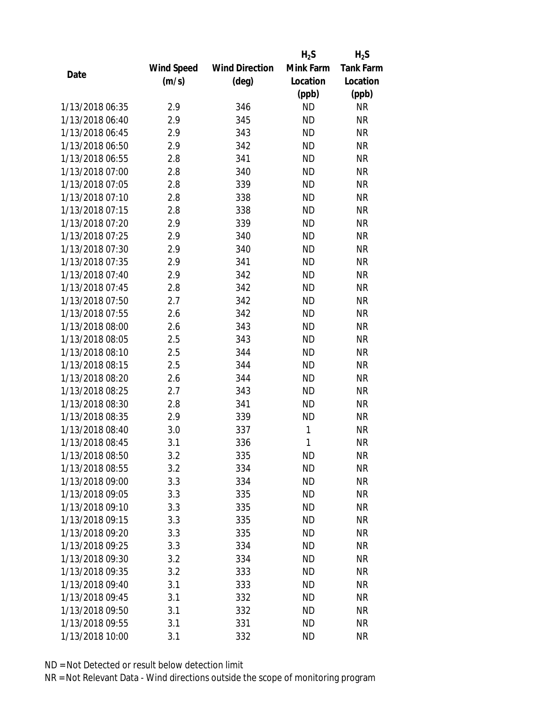|                 |                   |                       | $H_2S$    | $H_2S$           |
|-----------------|-------------------|-----------------------|-----------|------------------|
|                 | <b>Wind Speed</b> | <b>Wind Direction</b> | Mink Farm | <b>Tank Farm</b> |
| Date            | (m/s)             | $(\text{deg})$        | Location  | Location         |
|                 |                   |                       | (ppb)     | (ppb)            |
| 1/13/2018 06:35 | 2.9               | 346                   | <b>ND</b> | <b>NR</b>        |
| 1/13/2018 06:40 | 2.9               | 345                   | <b>ND</b> | <b>NR</b>        |
| 1/13/2018 06:45 | 2.9               | 343                   | <b>ND</b> | <b>NR</b>        |
| 1/13/2018 06:50 | 2.9               | 342                   | <b>ND</b> | <b>NR</b>        |
| 1/13/2018 06:55 | 2.8               | 341                   | <b>ND</b> | <b>NR</b>        |
| 1/13/2018 07:00 | 2.8               | 340                   | <b>ND</b> | <b>NR</b>        |
| 1/13/2018 07:05 | 2.8               | 339                   | <b>ND</b> | <b>NR</b>        |
| 1/13/2018 07:10 | 2.8               | 338                   | <b>ND</b> | <b>NR</b>        |
| 1/13/2018 07:15 | 2.8               | 338                   | <b>ND</b> | <b>NR</b>        |
| 1/13/2018 07:20 | 2.9               | 339                   | <b>ND</b> | <b>NR</b>        |
| 1/13/2018 07:25 | 2.9               | 340                   | <b>ND</b> | <b>NR</b>        |
| 1/13/2018 07:30 | 2.9               | 340                   | <b>ND</b> | <b>NR</b>        |
| 1/13/2018 07:35 | 2.9               | 341                   | <b>ND</b> | <b>NR</b>        |
| 1/13/2018 07:40 | 2.9               | 342                   | <b>ND</b> | <b>NR</b>        |
| 1/13/2018 07:45 | 2.8               | 342                   | <b>ND</b> | <b>NR</b>        |
| 1/13/2018 07:50 | 2.7               | 342                   | <b>ND</b> | <b>NR</b>        |
| 1/13/2018 07:55 | 2.6               | 342                   | <b>ND</b> | <b>NR</b>        |
| 1/13/2018 08:00 | 2.6               | 343                   | <b>ND</b> | <b>NR</b>        |
| 1/13/2018 08:05 | 2.5               | 343                   | <b>ND</b> | <b>NR</b>        |
| 1/13/2018 08:10 | 2.5               | 344                   | <b>ND</b> | <b>NR</b>        |
| 1/13/2018 08:15 | 2.5               | 344                   | <b>ND</b> | <b>NR</b>        |
| 1/13/2018 08:20 | 2.6               | 344                   | <b>ND</b> | <b>NR</b>        |
| 1/13/2018 08:25 | 2.7               | 343                   | <b>ND</b> | <b>NR</b>        |
| 1/13/2018 08:30 | 2.8               | 341                   | <b>ND</b> | <b>NR</b>        |
| 1/13/2018 08:35 | 2.9               | 339                   | <b>ND</b> | <b>NR</b>        |
| 1/13/2018 08:40 | 3.0               | 337                   | 1         | <b>NR</b>        |
| 1/13/2018 08:45 | 3.1               | 336                   | 1         | <b>NR</b>        |
| 1/13/2018 08:50 | 3.2               | 335                   | ND        | <b>NR</b>        |
| 1/13/2018 08:55 | 3.2               | 334                   | <b>ND</b> | <b>NR</b>        |
| 1/13/2018 09:00 | 3.3               | 334                   | ND        | <b>NR</b>        |
| 1/13/2018 09:05 | 3.3               | 335                   | <b>ND</b> | <b>NR</b>        |
| 1/13/2018 09:10 | 3.3               | 335                   | <b>ND</b> | <b>NR</b>        |
| 1/13/2018 09:15 | 3.3               | 335                   | <b>ND</b> | <b>NR</b>        |
| 1/13/2018 09:20 | 3.3               | 335                   | <b>ND</b> | <b>NR</b>        |
| 1/13/2018 09:25 | 3.3               | 334                   | <b>ND</b> | <b>NR</b>        |
| 1/13/2018 09:30 | 3.2               | 334                   | <b>ND</b> | <b>NR</b>        |
| 1/13/2018 09:35 | 3.2               | 333                   | ND        | <b>NR</b>        |
| 1/13/2018 09:40 | 3.1               | 333                   | <b>ND</b> | <b>NR</b>        |
| 1/13/2018 09:45 | 3.1               | 332                   | <b>ND</b> | <b>NR</b>        |
| 1/13/2018 09:50 | 3.1               | 332                   | <b>ND</b> | <b>NR</b>        |
| 1/13/2018 09:55 | 3.1               | 331                   | <b>ND</b> | <b>NR</b>        |
| 1/13/2018 10:00 | 3.1               | 332                   | <b>ND</b> | <b>NR</b>        |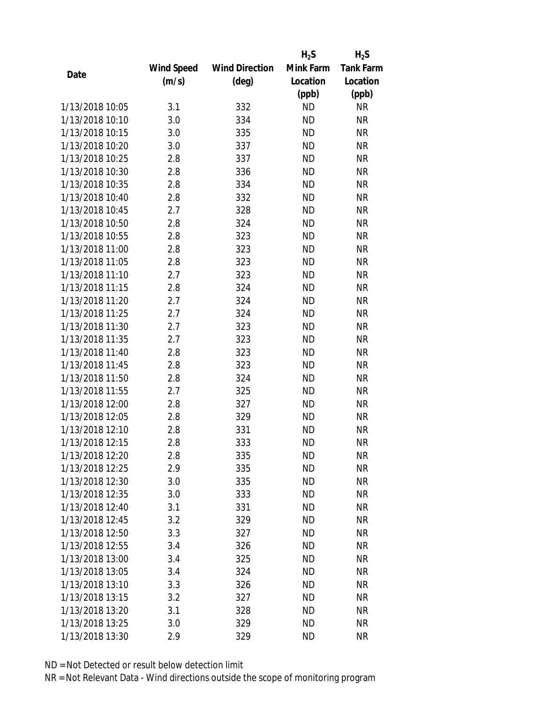|                 |                   |                       | $H_2S$    | $H_2S$           |
|-----------------|-------------------|-----------------------|-----------|------------------|
|                 | <b>Wind Speed</b> | <b>Wind Direction</b> | Mink Farm | <b>Tank Farm</b> |
| Date            | (m/s)             | $(\text{deg})$        | Location  | Location         |
|                 |                   |                       | (ppb)     | (ppb)            |
| 1/13/2018 10:05 | 3.1               | 332                   | <b>ND</b> | <b>NR</b>        |
| 1/13/2018 10:10 | 3.0               | 334                   | <b>ND</b> | <b>NR</b>        |
| 1/13/2018 10:15 | 3.0               | 335                   | <b>ND</b> | <b>NR</b>        |
| 1/13/2018 10:20 | 3.0               | 337                   | <b>ND</b> | <b>NR</b>        |
| 1/13/2018 10:25 | 2.8               | 337                   | <b>ND</b> | <b>NR</b>        |
| 1/13/2018 10:30 | 2.8               | 336                   | <b>ND</b> | <b>NR</b>        |
| 1/13/2018 10:35 | 2.8               | 334                   | <b>ND</b> | <b>NR</b>        |
| 1/13/2018 10:40 | 2.8               | 332                   | <b>ND</b> | <b>NR</b>        |
| 1/13/2018 10:45 | 2.7               | 328                   | <b>ND</b> | <b>NR</b>        |
| 1/13/2018 10:50 | 2.8               | 324                   | <b>ND</b> | <b>NR</b>        |
| 1/13/2018 10:55 | 2.8               | 323                   | <b>ND</b> | <b>NR</b>        |
| 1/13/2018 11:00 | 2.8               | 323                   | <b>ND</b> | <b>NR</b>        |
| 1/13/2018 11:05 | 2.8               | 323                   | <b>ND</b> | <b>NR</b>        |
| 1/13/2018 11:10 | 2.7               | 323                   | <b>ND</b> | <b>NR</b>        |
| 1/13/2018 11:15 | 2.8               | 324                   | <b>ND</b> | <b>NR</b>        |
| 1/13/2018 11:20 | 2.7               | 324                   | <b>ND</b> | <b>NR</b>        |
| 1/13/2018 11:25 | 2.7               | 324                   | <b>ND</b> | <b>NR</b>        |
| 1/13/2018 11:30 | 2.7               | 323                   | <b>ND</b> | <b>NR</b>        |
| 1/13/2018 11:35 | 2.7               | 323                   | <b>ND</b> | <b>NR</b>        |
| 1/13/2018 11:40 | 2.8               | 323                   | <b>ND</b> | <b>NR</b>        |
| 1/13/2018 11:45 | 2.8               | 323                   | <b>ND</b> | <b>NR</b>        |
| 1/13/2018 11:50 | 2.8               | 324                   | <b>ND</b> | <b>NR</b>        |
| 1/13/2018 11:55 | 2.7               | 325                   | <b>ND</b> | <b>NR</b>        |
| 1/13/2018 12:00 | 2.8               | 327                   | <b>ND</b> | <b>NR</b>        |
| 1/13/2018 12:05 | 2.8               | 329                   | <b>ND</b> | <b>NR</b>        |
| 1/13/2018 12:10 | 2.8               | 331                   | <b>ND</b> | <b>NR</b>        |
| 1/13/2018 12:15 | 2.8               | 333                   | <b>ND</b> | <b>NR</b>        |
| 1/13/2018 12:20 | 2.8               | 335                   | ND        | <b>NR</b>        |
| 1/13/2018 12:25 | 2.9               | 335                   | <b>ND</b> | <b>NR</b>        |
| 1/13/2018 12:30 | 3.0               | 335                   | ND        | <b>NR</b>        |
| 1/13/2018 12:35 | 3.0               | 333                   | <b>ND</b> | <b>NR</b>        |
| 1/13/2018 12:40 | 3.1               | 331                   | <b>ND</b> | <b>NR</b>        |
| 1/13/2018 12:45 | 3.2               | 329                   | <b>ND</b> | <b>NR</b>        |
| 1/13/2018 12:50 | 3.3               | 327                   | <b>ND</b> | <b>NR</b>        |
| 1/13/2018 12:55 | 3.4               | 326                   | <b>ND</b> | <b>NR</b>        |
| 1/13/2018 13:00 | 3.4               | 325                   | <b>ND</b> | <b>NR</b>        |
| 1/13/2018 13:05 | 3.4               | 324                   | ND.       | <b>NR</b>        |
| 1/13/2018 13:10 | 3.3               | 326                   | <b>ND</b> | <b>NR</b>        |
| 1/13/2018 13:15 | 3.2               | 327                   | <b>ND</b> | <b>NR</b>        |
| 1/13/2018 13:20 | 3.1               | 328                   | ND        | <b>NR</b>        |
| 1/13/2018 13:25 | 3.0               | 329                   | <b>ND</b> | <b>NR</b>        |
| 1/13/2018 13:30 | 2.9               | 329                   | <b>ND</b> | <b>NR</b>        |
|                 |                   |                       |           |                  |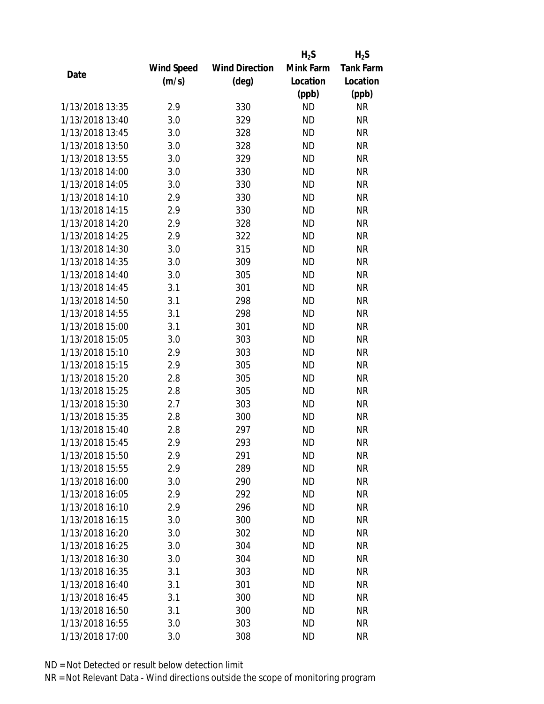|                 |                   |                       | $H_2S$    | $H_2S$           |
|-----------------|-------------------|-----------------------|-----------|------------------|
|                 | <b>Wind Speed</b> | <b>Wind Direction</b> | Mink Farm | <b>Tank Farm</b> |
| Date            | (m/s)             | (deg)                 | Location  | Location         |
|                 |                   |                       | (ppb)     | (ppb)            |
| 1/13/2018 13:35 | 2.9               | 330                   | <b>ND</b> | NR               |
| 1/13/2018 13:40 | 3.0               | 329                   | <b>ND</b> | <b>NR</b>        |
| 1/13/2018 13:45 | 3.0               | 328                   | <b>ND</b> | <b>NR</b>        |
| 1/13/2018 13:50 | 3.0               | 328                   | <b>ND</b> | <b>NR</b>        |
| 1/13/2018 13:55 | 3.0               | 329                   | <b>ND</b> | <b>NR</b>        |
| 1/13/2018 14:00 | 3.0               | 330                   | <b>ND</b> | <b>NR</b>        |
| 1/13/2018 14:05 | 3.0               | 330                   | <b>ND</b> | <b>NR</b>        |
| 1/13/2018 14:10 | 2.9               | 330                   | <b>ND</b> | <b>NR</b>        |
| 1/13/2018 14:15 | 2.9               | 330                   | <b>ND</b> | <b>NR</b>        |
| 1/13/2018 14:20 | 2.9               | 328                   | <b>ND</b> | <b>NR</b>        |
| 1/13/2018 14:25 | 2.9               | 322                   | <b>ND</b> | <b>NR</b>        |
| 1/13/2018 14:30 | 3.0               | 315                   | <b>ND</b> | <b>NR</b>        |
| 1/13/2018 14:35 | 3.0               | 309                   | <b>ND</b> | <b>NR</b>        |
| 1/13/2018 14:40 | 3.0               | 305                   | <b>ND</b> | <b>NR</b>        |
| 1/13/2018 14:45 | 3.1               | 301                   | <b>ND</b> | <b>NR</b>        |
| 1/13/2018 14:50 | 3.1               | 298                   | <b>ND</b> | <b>NR</b>        |
| 1/13/2018 14:55 | 3.1               | 298                   | <b>ND</b> | <b>NR</b>        |
| 1/13/2018 15:00 | 3.1               | 301                   | <b>ND</b> | <b>NR</b>        |
| 1/13/2018 15:05 | 3.0               | 303                   | <b>ND</b> | <b>NR</b>        |
| 1/13/2018 15:10 | 2.9               | 303                   | <b>ND</b> | <b>NR</b>        |
| 1/13/2018 15:15 | 2.9               | 305                   | <b>ND</b> | <b>NR</b>        |
| 1/13/2018 15:20 | 2.8               | 305                   | <b>ND</b> | <b>NR</b>        |
| 1/13/2018 15:25 | 2.8               | 305                   | <b>ND</b> | <b>NR</b>        |
| 1/13/2018 15:30 | 2.7               | 303                   | <b>ND</b> | <b>NR</b>        |
| 1/13/2018 15:35 | 2.8               | 300                   | <b>ND</b> | <b>NR</b>        |
| 1/13/2018 15:40 | 2.8               | 297                   | <b>ND</b> | <b>NR</b>        |
| 1/13/2018 15:45 | 2.9               | 293                   | <b>ND</b> | <b>NR</b>        |
| 1/13/2018 15:50 | 2.9               | 291                   | ND        | <b>NR</b>        |
| 1/13/2018 15:55 | 2.9               | 289                   | <b>ND</b> | <b>NR</b>        |
| 1/13/2018 16:00 | 3.0               | 290                   | ND        | <b>NR</b>        |
| 1/13/2018 16:05 | 2.9               | 292                   | <b>ND</b> | <b>NR</b>        |
| 1/13/2018 16:10 | 2.9               | 296                   | <b>ND</b> | <b>NR</b>        |
| 1/13/2018 16:15 | 3.0               | 300                   | <b>ND</b> | <b>NR</b>        |
| 1/13/2018 16:20 | 3.0               | 302                   | <b>ND</b> | <b>NR</b>        |
| 1/13/2018 16:25 | 3.0               | 304                   | <b>ND</b> | <b>NR</b>        |
| 1/13/2018 16:30 | 3.0               | 304                   | <b>ND</b> | <b>NR</b>        |
| 1/13/2018 16:35 | 3.1               | 303                   | ND        | <b>NR</b>        |
| 1/13/2018 16:40 | 3.1               | 301                   | ND        | <b>NR</b>        |
| 1/13/2018 16:45 | 3.1               | 300                   | <b>ND</b> | <b>NR</b>        |
| 1/13/2018 16:50 | 3.1               | 300                   | ND        | <b>NR</b>        |
| 1/13/2018 16:55 | 3.0               | 303                   | ND        | <b>NR</b>        |
| 1/13/2018 17:00 | 3.0               | 308                   | <b>ND</b> | <b>NR</b>        |
|                 |                   |                       |           |                  |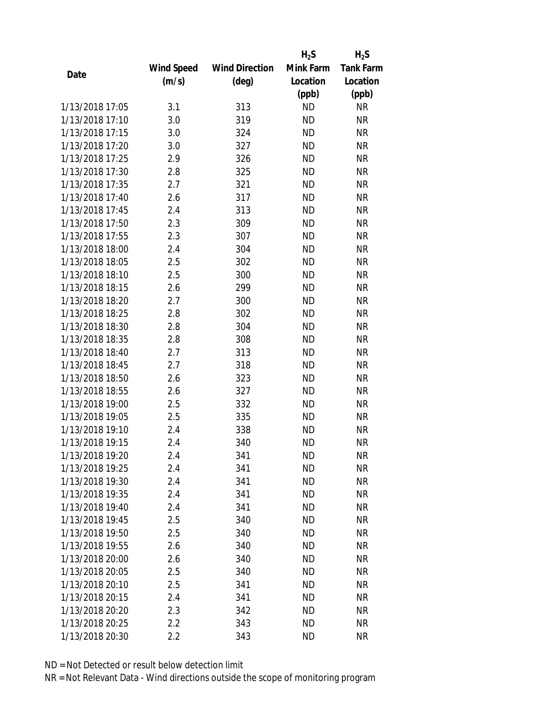|                 |                   |                       | $H_2S$    | $H_2S$           |
|-----------------|-------------------|-----------------------|-----------|------------------|
|                 | <b>Wind Speed</b> | <b>Wind Direction</b> | Mink Farm | <b>Tank Farm</b> |
| Date            | (m/s)             | (deg)                 | Location  | Location         |
|                 |                   |                       | (ppb)     | (ppb)            |
| 1/13/2018 17:05 | 3.1               | 313                   | <b>ND</b> | <b>NR</b>        |
| 1/13/2018 17:10 | 3.0               | 319                   | <b>ND</b> | <b>NR</b>        |
| 1/13/2018 17:15 | 3.0               | 324                   | <b>ND</b> | <b>NR</b>        |
| 1/13/2018 17:20 | 3.0               | 327                   | <b>ND</b> | <b>NR</b>        |
| 1/13/2018 17:25 | 2.9               | 326                   | <b>ND</b> | <b>NR</b>        |
| 1/13/2018 17:30 | 2.8               | 325                   | <b>ND</b> | <b>NR</b>        |
| 1/13/2018 17:35 | 2.7               | 321                   | <b>ND</b> | <b>NR</b>        |
| 1/13/2018 17:40 | 2.6               | 317                   | <b>ND</b> | <b>NR</b>        |
| 1/13/2018 17:45 | 2.4               | 313                   | <b>ND</b> | <b>NR</b>        |
| 1/13/2018 17:50 | 2.3               | 309                   | <b>ND</b> | <b>NR</b>        |
| 1/13/2018 17:55 | 2.3               | 307                   | <b>ND</b> | <b>NR</b>        |
| 1/13/2018 18:00 | 2.4               | 304                   | <b>ND</b> | <b>NR</b>        |
| 1/13/2018 18:05 | 2.5               | 302                   | <b>ND</b> | <b>NR</b>        |
| 1/13/2018 18:10 | 2.5               | 300                   | <b>ND</b> | <b>NR</b>        |
| 1/13/2018 18:15 | 2.6               | 299                   | <b>ND</b> | <b>NR</b>        |
| 1/13/2018 18:20 | 2.7               | 300                   | <b>ND</b> | <b>NR</b>        |
| 1/13/2018 18:25 | 2.8               | 302                   | <b>ND</b> | <b>NR</b>        |
| 1/13/2018 18:30 | 2.8               | 304                   | <b>ND</b> | <b>NR</b>        |
| 1/13/2018 18:35 | 2.8               | 308                   | <b>ND</b> | <b>NR</b>        |
| 1/13/2018 18:40 | 2.7               | 313                   | <b>ND</b> | <b>NR</b>        |
| 1/13/2018 18:45 | 2.7               | 318                   | <b>ND</b> | <b>NR</b>        |
| 1/13/2018 18:50 | 2.6               | 323                   | <b>ND</b> | <b>NR</b>        |
| 1/13/2018 18:55 | 2.6               | 327                   | <b>ND</b> | <b>NR</b>        |
| 1/13/2018 19:00 | 2.5               | 332                   | <b>ND</b> | <b>NR</b>        |
| 1/13/2018 19:05 | 2.5               | 335                   | <b>ND</b> | <b>NR</b>        |
| 1/13/2018 19:10 | 2.4               | 338                   | <b>ND</b> | <b>NR</b>        |
| 1/13/2018 19:15 | 2.4               | 340                   | <b>ND</b> | <b>NR</b>        |
| 1/13/2018 19:20 | 2.4               | 341                   | ND        | <b>NR</b>        |
| 1/13/2018 19:25 | 2.4               | 341                   | <b>ND</b> | <b>NR</b>        |
| 1/13/2018 19:30 | 2.4               | 341                   | ND        | <b>NR</b>        |
| 1/13/2018 19:35 | 2.4               | 341                   | <b>ND</b> | <b>NR</b>        |
| 1/13/2018 19:40 | 2.4               | 341                   | <b>ND</b> | <b>NR</b>        |
| 1/13/2018 19:45 | 2.5               | 340                   | <b>ND</b> | <b>NR</b>        |
| 1/13/2018 19:50 | 2.5               | 340                   | <b>ND</b> | <b>NR</b>        |
| 1/13/2018 19:55 | 2.6               | 340                   | <b>ND</b> | <b>NR</b>        |
| 1/13/2018 20:00 | 2.6               | 340                   | <b>ND</b> | <b>NR</b>        |
| 1/13/2018 20:05 | 2.5               | 340                   | ND        | <b>NR</b>        |
| 1/13/2018 20:10 | 2.5               | 341                   | ND        | <b>NR</b>        |
| 1/13/2018 20:15 | 2.4               | 341                   | <b>ND</b> | <b>NR</b>        |
| 1/13/2018 20:20 | 2.3               | 342                   | <b>ND</b> | <b>NR</b>        |
| 1/13/2018 20:25 | 2.2               | 343                   | ND        | <b>NR</b>        |
| 1/13/2018 20:30 | 2.2               | 343                   | <b>ND</b> | <b>NR</b>        |